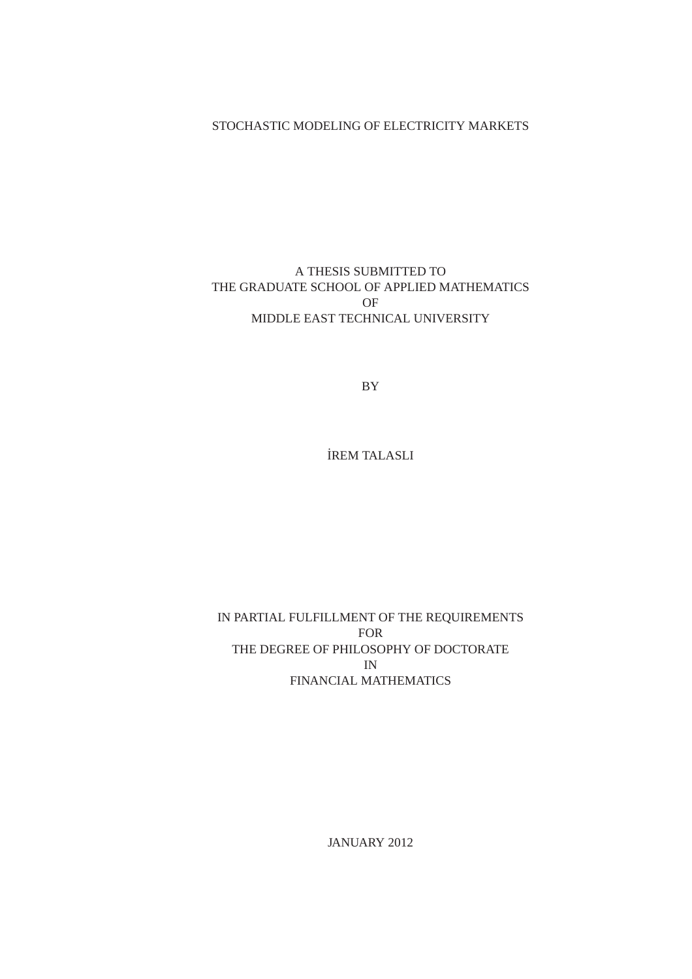### STOCHASTIC MODELING OF ELECTRICITY MARKETS

## A THESIS SUBMITTED TO THE GRADUATE SCHOOL OF APPLIED MATHEMATICS OF MIDDLE EAST TECHNICAL UNIVERSITY

BY

˙IREM TALASLI

IN PARTIAL FULFILLMENT OF THE REQUIREMENTS FOR THE DEGREE OF PHILOSOPHY OF DOCTORATE IN FINANCIAL MATHEMATICS

JANUARY 2012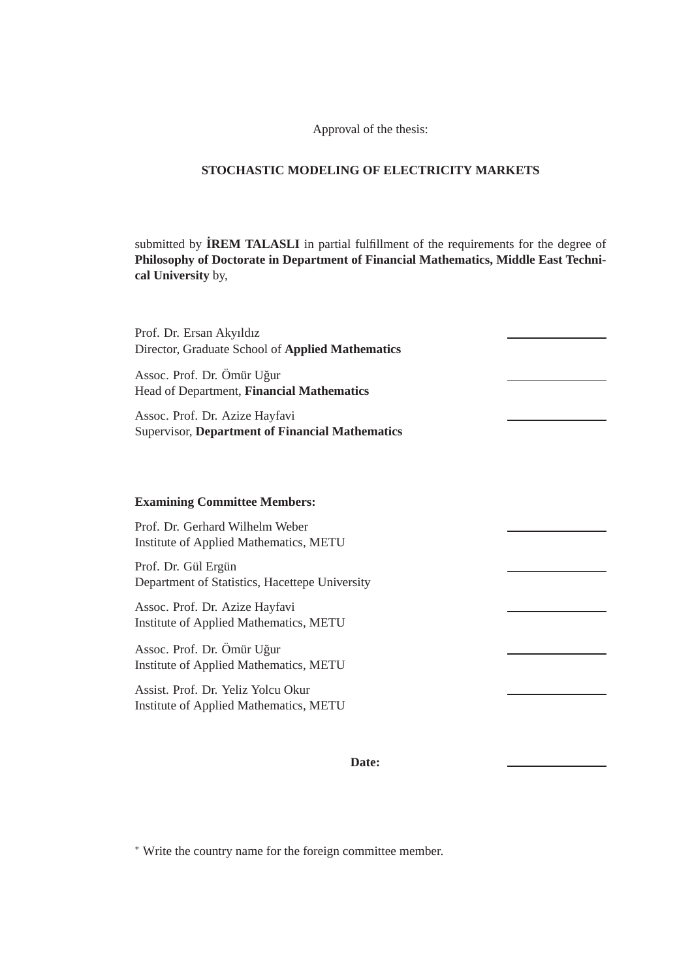Approval of the thesis:

#### **STOCHASTIC MODELING OF ELECTRICITY MARKETS**

submitted by **˙IREM TALASLI** in partial fulfillment of the requirements for the degree of **Philosophy of Doctorate in Department of Financial Mathematics, Middle East Technical University** by,

| Prof. Dr. Ersan Akyıldız<br>Director, Graduate School of Applied Mathematics             |  |
|------------------------------------------------------------------------------------------|--|
| Assoc. Prof. Dr. Ömür Uğur<br>Head of Department, Financial Mathematics                  |  |
| Assoc. Prof. Dr. Azize Hayfavi<br><b>Supervisor, Department of Financial Mathematics</b> |  |
|                                                                                          |  |
| <b>Examining Committee Members:</b>                                                      |  |
| Prof. Dr. Gerhard Wilhelm Weber<br>Institute of Applied Mathematics, METU                |  |
| Prof. Dr. Gül Ergün<br>Department of Statistics, Hacettepe University                    |  |
| Assoc. Prof. Dr. Azize Hayfavi<br>Institute of Applied Mathematics, METU                 |  |
| Assoc. Prof. Dr. Ömür Uğur<br>Institute of Applied Mathematics, METU                     |  |
| Assist. Prof. Dr. Yeliz Yolcu Okur<br>Institute of Applied Mathematics, METU             |  |
|                                                                                          |  |

## **Date:**

∗ Write the country name for the foreign committee member.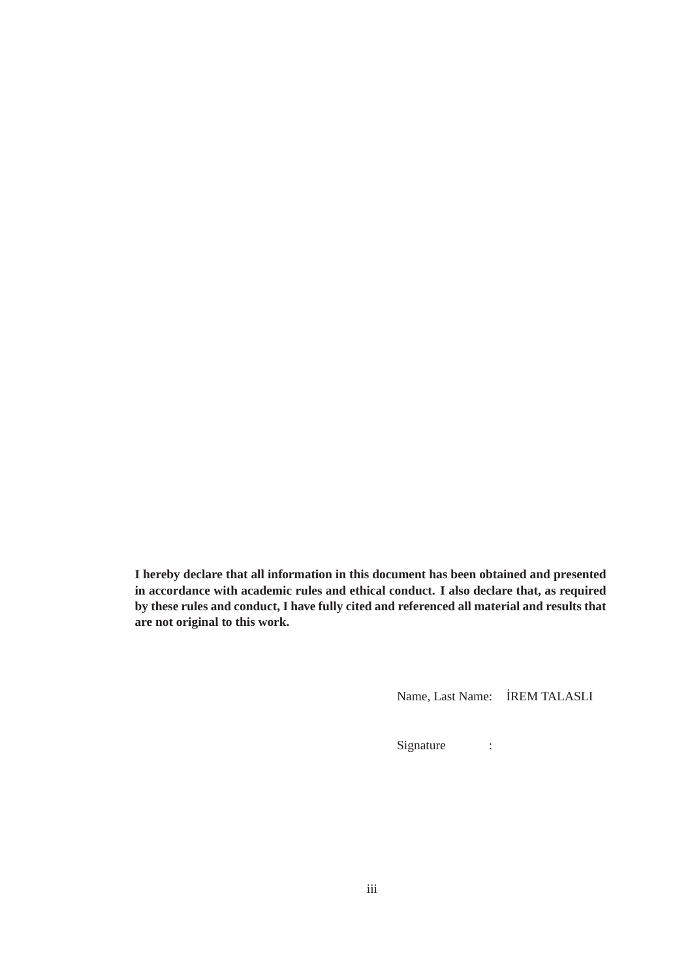**I hereby declare that all information in this document has been obtained and presented in accordance with academic rules and ethical conduct. I also declare that, as required by these rules and conduct, I have fully cited and referenced all material and results that are not original to this work.**

Name, Last Name: ˙IREM TALASLI

Signature :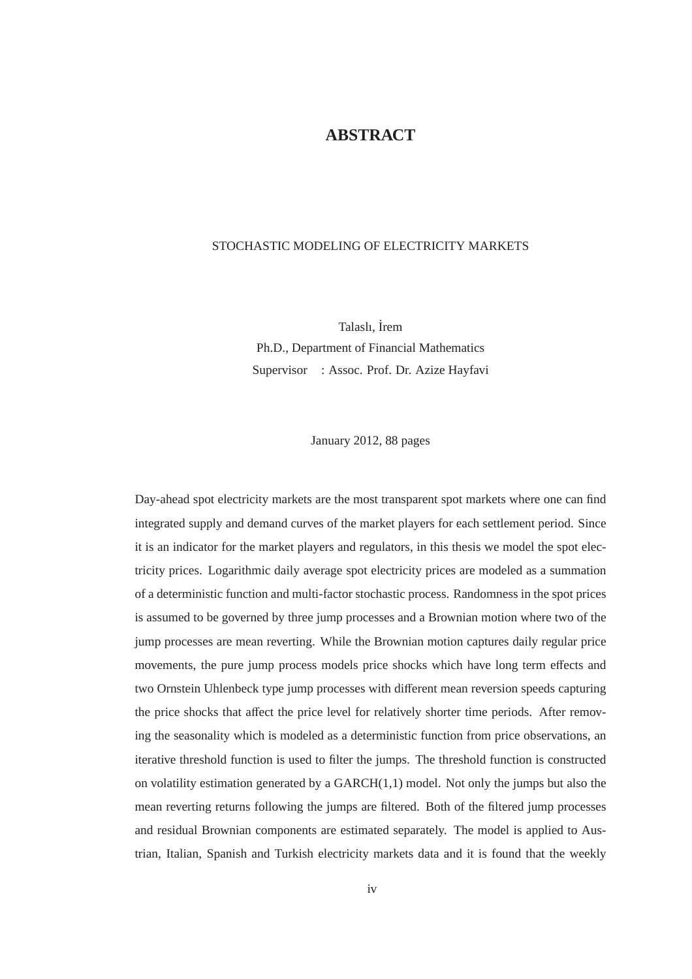# **ABSTRACT**

#### STOCHASTIC MODELING OF ELECTRICITY MARKETS

Talaslı, İrem Ph.D., Department of Financial Mathematics Supervisor : Assoc. Prof. Dr. Azize Hayfavi

January 2012, 88 pages

Day-ahead spot electricity markets are the most transparent spot markets where one can find integrated supply and demand curves of the market players for each settlement period. Since it is an indicator for the market players and regulators, in this thesis we model the spot electricity prices. Logarithmic daily average spot electricity prices are modeled as a summation of a deterministic function and multi-factor stochastic process. Randomness in the spot prices is assumed to be governed by three jump processes and a Brownian motion where two of the jump processes are mean reverting. While the Brownian motion captures daily regular price movements, the pure jump process models price shocks which have long term effects and two Ornstein Uhlenbeck type jump processes with different mean reversion speeds capturing the price shocks that affect the price level for relatively shorter time periods. After removing the seasonality which is modeled as a deterministic function from price observations, an iterative threshold function is used to filter the jumps. The threshold function is constructed on volatility estimation generated by a  $GARCH(1,1)$  model. Not only the jumps but also the mean reverting returns following the jumps are filtered. Both of the filtered jump processes and residual Brownian components are estimated separately. The model is applied to Austrian, Italian, Spanish and Turkish electricity markets data and it is found that the weekly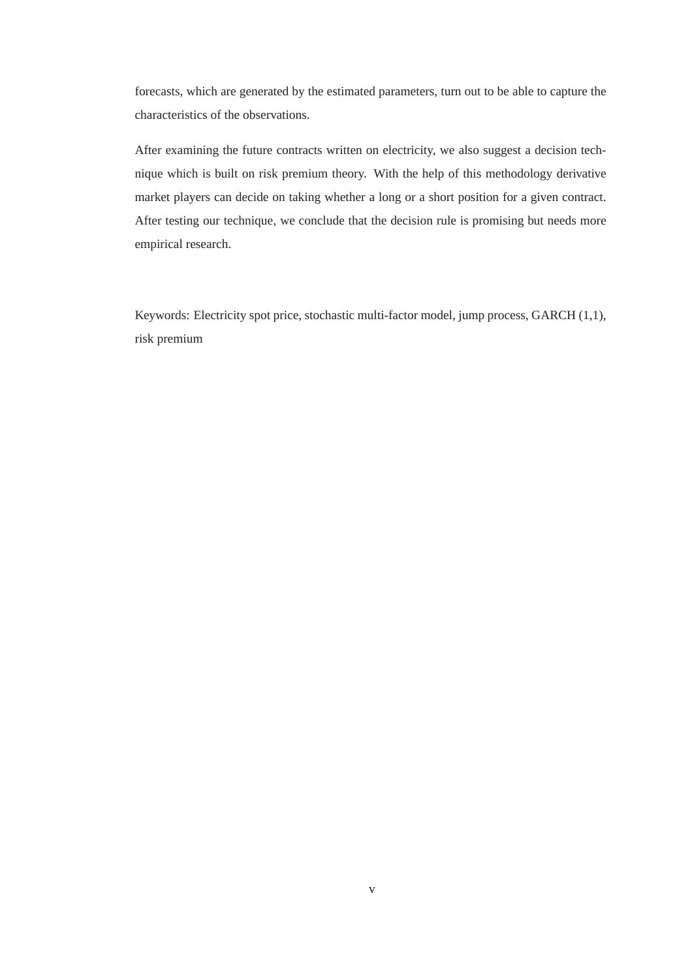forecasts, which are generated by the estimated parameters, turn out to be able to capture the characteristics of the observations.

After examining the future contracts written on electricity, we also suggest a decision technique which is built on risk premium theory. With the help of this methodology derivative market players can decide on taking whether a long or a short position for a given contract. After testing our technique, we conclude that the decision rule is promising but needs more empirical research.

Keywords: Electricity spot price, stochastic multi-factor model, jump process, GARCH (1,1), risk premium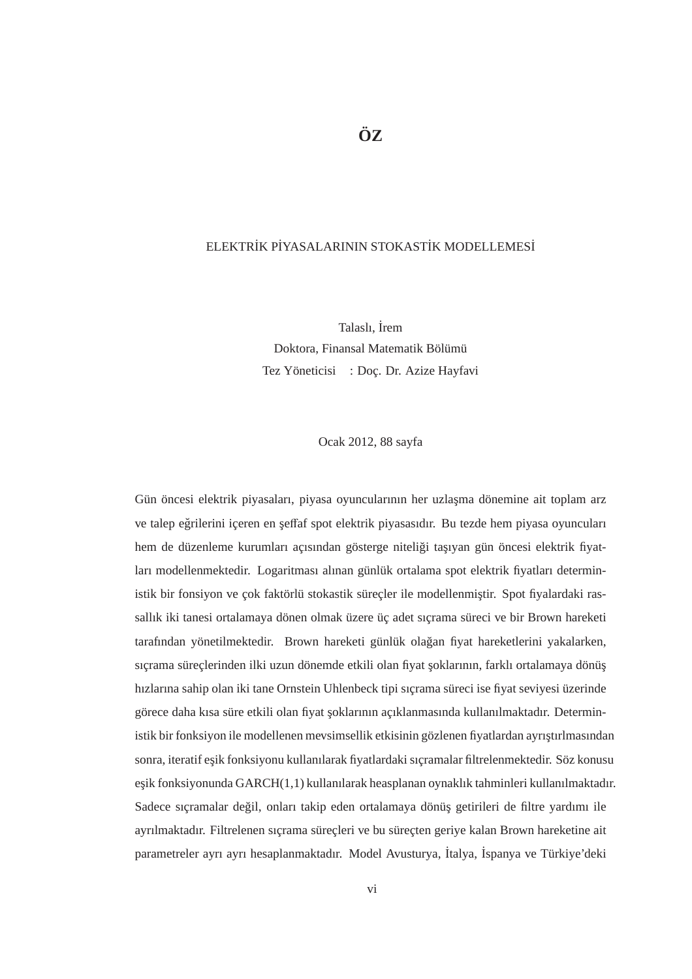#### ELEKTRİK PİYASALARININ STOKASTİK MODELLEMESİ

Talaslı, İrem Doktora, Finansal Matematik Bölümü Tez Yöneticisi : Doç. Dr. Azize Hayfavi

Ocak 2012, 88 sayfa

Gün öncesi elektrik piyasaları, piyasa oyuncularının her uzlaşma dönemine ait toplam arz ve talep eğrilerini içeren en şeffaf spot elektrik piyasasıdır. Bu tezde hem piyasa oyuncuları hem de düzenleme kurumları açısından gösterge niteliği taşıyan gün öncesi elektrik fiyatları modellenmektedir. Logaritması alınan günlük ortalama spot elektrik fiyatları deterministik bir fonsiyon ve çok faktörlü stokastik süreçler ile modellenmiştir. Spot fiyalardaki rassallık iki tanesi ortalamaya dönen olmak üzere üç adet sıçrama süreci ve bir Brown hareketi tarafından yönetilmektedir. Brown hareketi günlük olağan fiyat hareketlerini yakalarken, sıçrama süreçlerinden ilki uzun dönemde etkili olan fiyat şoklarının, farklı ortalamaya dönüş hızlarına sahip olan iki tane Ornstein Uhlenbeck tipi sıçrama süreci ise fiyat seviyesi üzerinde görece daha kısa süre etkili olan fiyat şoklarının açıklanmasında kullanılmaktadır. Deterministik bir fonksiyon ile modellenen mevsimsellik etkisinin gözlenen fiyatlardan ayrıştırlmasından sonra, iteratif eşik fonksiyonu kullanılarak fiyatlardaki sıçramalar filtrelenmektedir. Söz konusu esik fonksiyonunda  $GARCH(1,1)$  kullanılarak heasplanan oynaklık tahminleri kullanılmaktadır. Sadece sıçramalar değil, onları takip eden ortalamaya dönüş getirileri de filtre yardımı ile ayrılmaktadır. Filtrelenen sıcrama sürecleri ve bu sürecten geriye kalan Brown hareketine ait parametreler ayrı ayrı hesaplanmaktadır. Model Avusturya, ˙Italya, ˙Ispanya ve Turkiye'deki ¨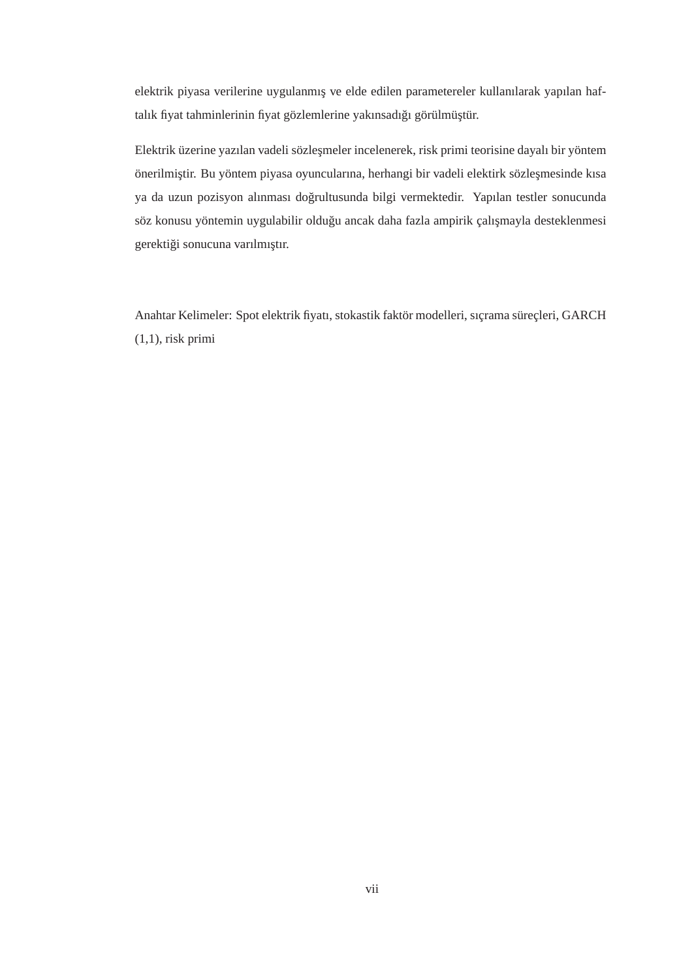elektrik piyasa verilerine uygulanmış ve elde edilen parametereler kullanılarak yapılan haftalık fiyat tahminlerinin fiyat gözlemlerine yakınsadığı görülmüştür.

Elektrik üzerine yazılan vadeli sözleşmeler incelenerek, risk primi teorisine dayalı bir yöntem önerilmiştir. Bu yöntem piyasa oyuncularına, herhangi bir vadeli elektirk sözleşmesinde kısa ya da uzun pozisyon alınması doğrultusunda bilgi vermektedir. Yapılan testler sonucunda söz konusu yöntemin uygulabilir olduğu ancak daha fazla ampirik çalışmayla desteklenmesi gerektiği sonucuna varılmıştır.

Anahtar Kelimeler: Spot elektrik fiyatı, stokastik faktör modelleri, sıçrama süreçleri, GARCH  $(1,1)$ , risk primi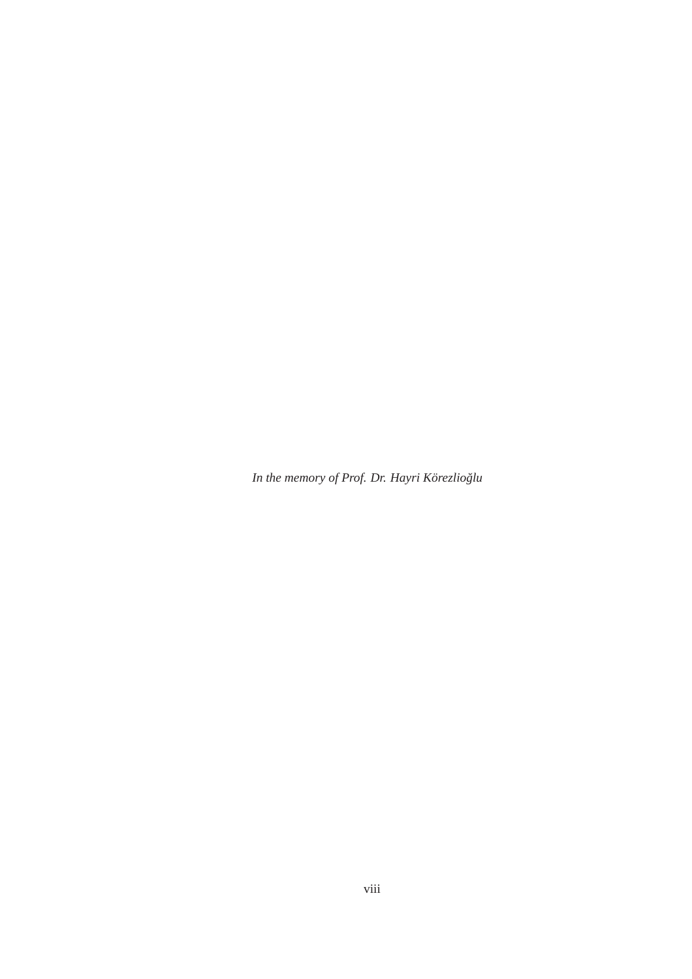In the memory of Prof. Dr. Hayri Körezlioğlu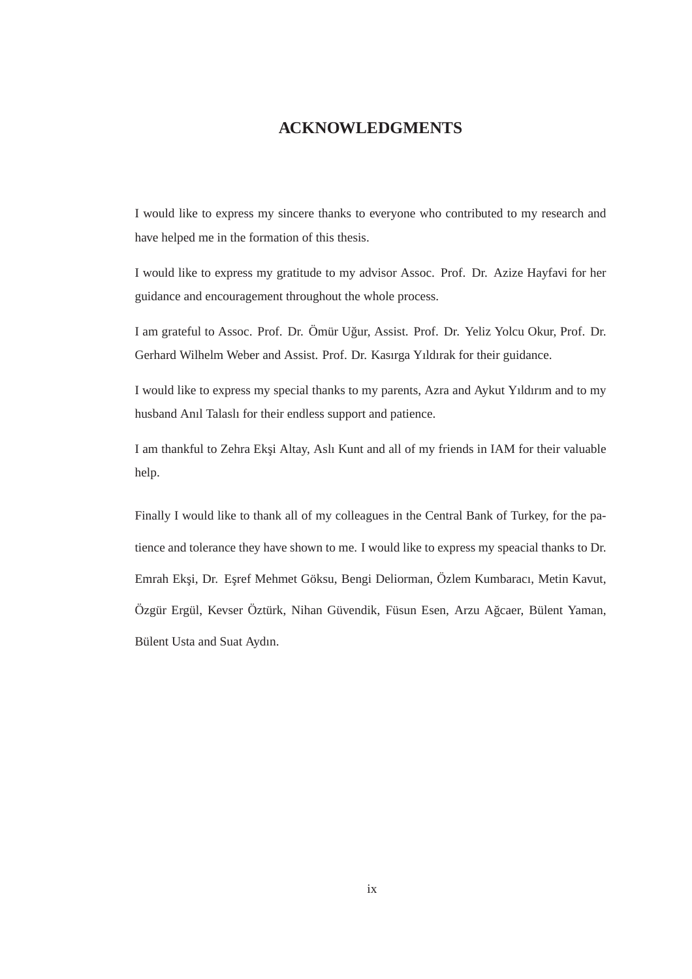## **ACKNOWLEDGMENTS**

I would like to express my sincere thanks to everyone who contributed to my research and have helped me in the formation of this thesis.

I would like to express my gratitude to my advisor Assoc. Prof. Dr. Azize Hayfavi for her guidance and encouragement throughout the whole process.

I am grateful to Assoc. Prof. Dr. Ömür Uğur, Assist. Prof. Dr. Yeliz Yolcu Okur, Prof. Dr. Gerhard Wilhelm Weber and Assist. Prof. Dr. Kasırga Yıldırak for their guidance.

I would like to express my special thanks to my parents, Azra and Aykut Yıldırım and to my husband Anıl Talaslı for their endless support and patience.

I am thankful to Zehra Eksi Altay, Aslı Kunt and all of my friends in IAM for their valuable help.

Finally I would like to thank all of my colleagues in the Central Bank of Turkey, for the patience and tolerance they have shown to me. I would like to express my speacial thanks to Dr. Emrah Eksi, Dr. Esref Mehmet Göksu, Bengi Deliorman, Özlem Kumbaracı, Metin Kavut, Özgür Ergül, Kevser Öztürk, Nihan Güvendik, Füsun Esen, Arzu Ağcaer, Bülent Yaman, Bülent Usta and Suat Aydın.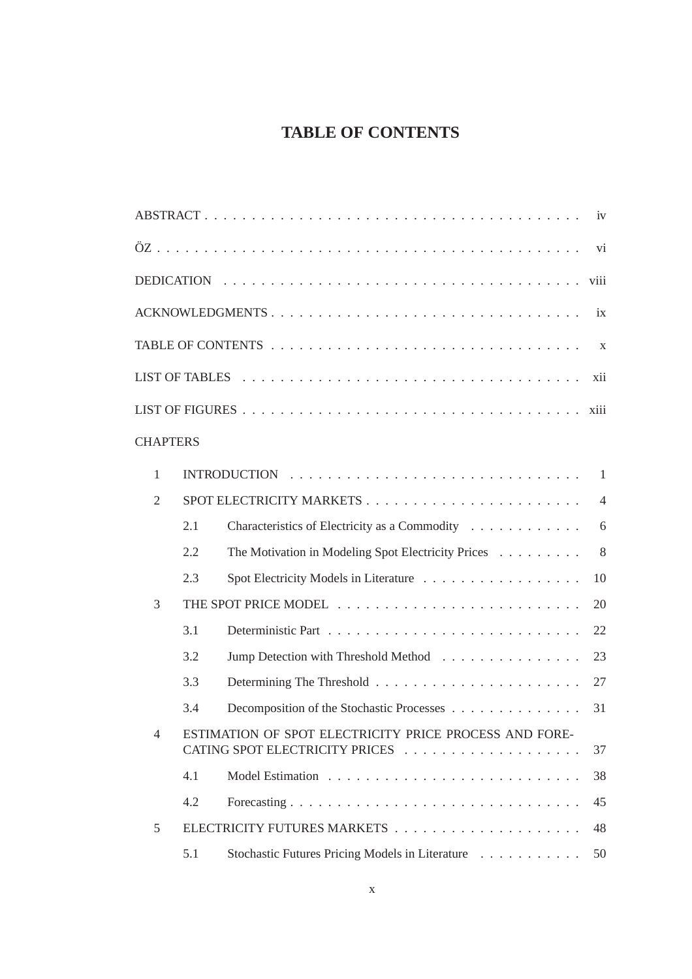# **TABLE OF CONTENTS**

|                 |                 |     |                                                        | iv             |
|-----------------|-----------------|-----|--------------------------------------------------------|----------------|
|                 |                 |     |                                                        |                |
|                 |                 |     |                                                        | viii           |
| ACKNOWLEDGMENTS |                 |     |                                                        |                |
|                 |                 |     |                                                        | X              |
|                 |                 |     |                                                        | xii            |
|                 |                 |     |                                                        |                |
|                 |                 |     |                                                        | xiii           |
|                 | <b>CHAPTERS</b> |     |                                                        |                |
|                 | $\mathbf{1}$    |     |                                                        | -1             |
|                 | $\overline{2}$  |     |                                                        | $\overline{4}$ |
|                 |                 | 2.1 | Characteristics of Electricity as a Commodity          | 6              |
|                 |                 | 2.2 | The Motivation in Modeling Spot Electricity Prices     | 8              |
|                 |                 | 2.3 |                                                        | 10             |
|                 | 3               |     |                                                        | 20             |
|                 |                 | 3.1 |                                                        | 22             |
|                 |                 | 3.2 | Jump Detection with Threshold Method                   | 23             |
|                 |                 | 3.3 |                                                        | 27             |
|                 |                 | 3.4 | Decomposition of the Stochastic Processes              | 31             |
|                 | $\overline{4}$  |     | ESTIMATION OF SPOT ELECTRICITY PRICE PROCESS AND FORE- | 37             |
|                 |                 | 4.1 |                                                        | 38             |
|                 |                 | 4.2 |                                                        | 45             |
| 5               |                 |     |                                                        |                |
|                 |                 | 5.1 | Stochastic Futures Pricing Models in Literature        | 50             |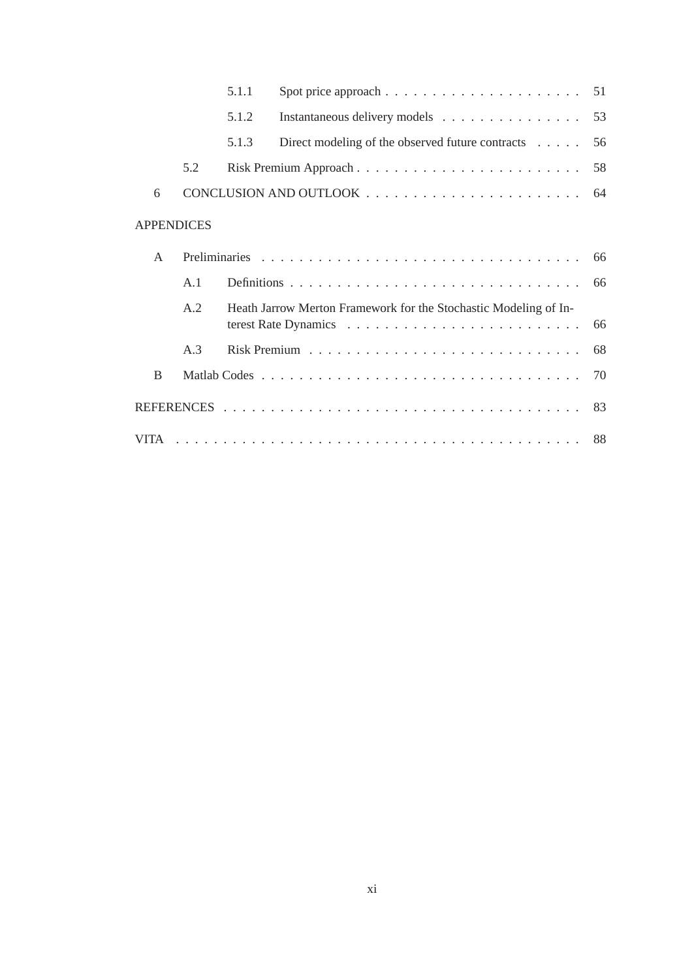|              |                   | 5.1.1 |                                                                  |    |
|--------------|-------------------|-------|------------------------------------------------------------------|----|
|              |                   | 5.1.2 | Instantaneous delivery models 53                                 |    |
|              |                   | 5.1.3 | Direct modeling of the observed future contracts 56              |    |
|              | 5.2               |       |                                                                  |    |
| 6            |                   |       |                                                                  |    |
|              | <b>APPENDICES</b> |       |                                                                  |    |
| $\mathsf{A}$ |                   |       |                                                                  |    |
|              | A.1               |       |                                                                  |    |
|              | A.2               |       | Heath Jarrow Merton Framework for the Stochastic Modeling of In- | 66 |
|              | A.3               |       |                                                                  | 68 |
| B            |                   |       |                                                                  |    |
|              |                   |       |                                                                  |    |
|              |                   |       |                                                                  |    |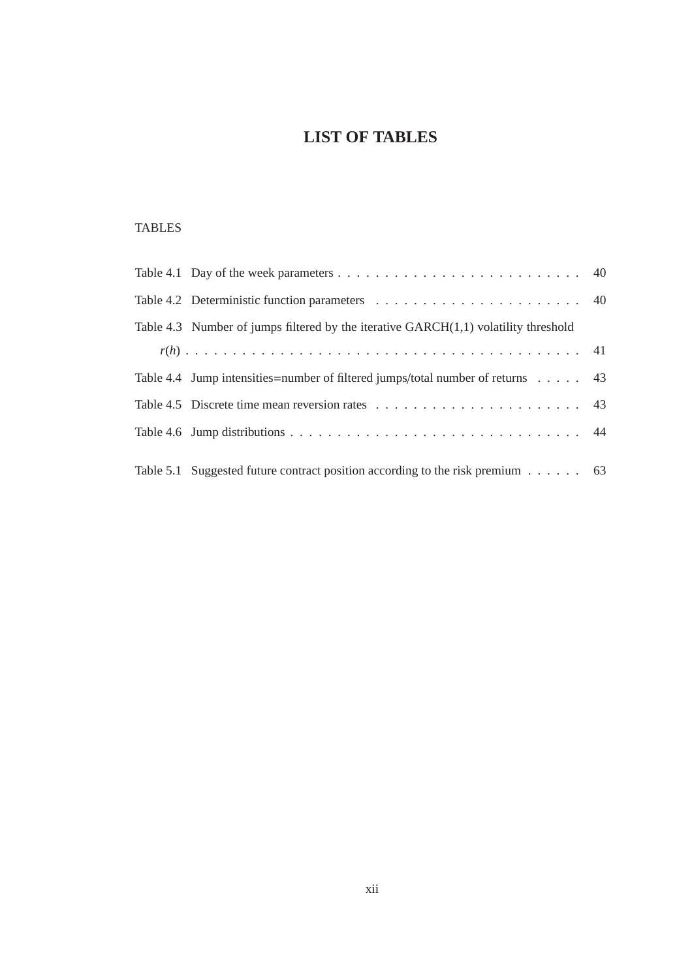# **LIST OF TABLES**

# TABLES

| Table 4.3 Number of jumps filtered by the iterative $GARCH(1,1)$ volatility threshold       |  |
|---------------------------------------------------------------------------------------------|--|
|                                                                                             |  |
| Table 4.4 Jump intensities = number of filtered jumps/total number of returns $\dots$ . 43  |  |
|                                                                                             |  |
|                                                                                             |  |
|                                                                                             |  |
| Table 5.1 Suggested future contract position according to the risk premium $\dots \dots$ 63 |  |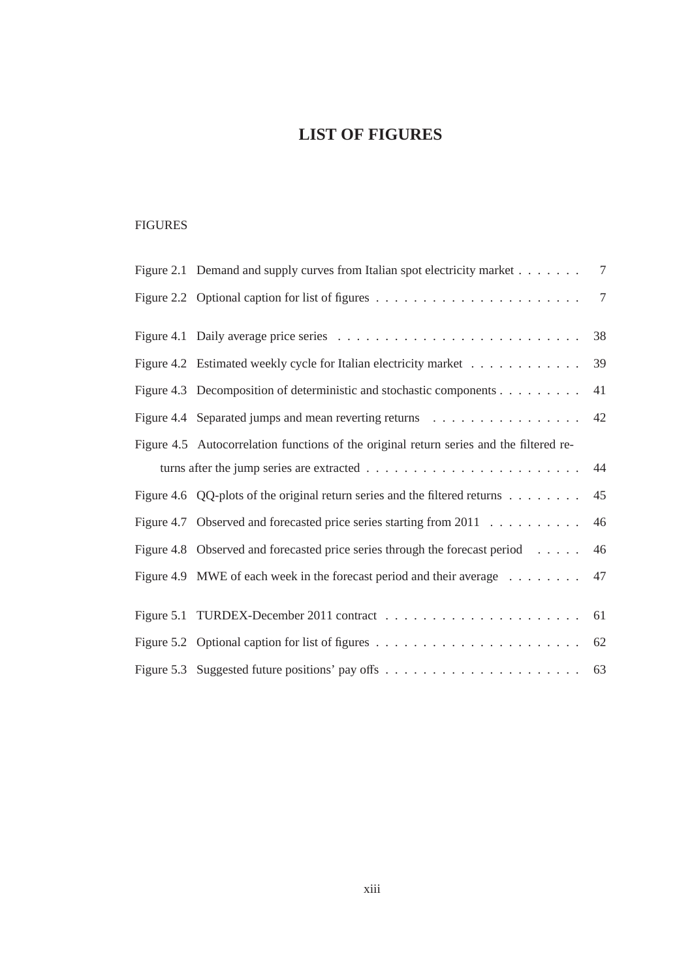# **LIST OF FIGURES**

## FIGURES

| Figure 2.1 Demand and supply curves from Italian spot electricity market                          | $7\phantom{.0}$ |
|---------------------------------------------------------------------------------------------------|-----------------|
| Figure 2.2 Optional caption for list of figures $\dots \dots \dots \dots \dots \dots \dots \dots$ | $7\phantom{.0}$ |
|                                                                                                   | 38              |
| Figure 4.2 Estimated weekly cycle for Italian electricity market                                  | 39              |
| Figure 4.3 Decomposition of deterministic and stochastic components                               | 41              |
|                                                                                                   | 42              |
| Figure 4.5 Autocorrelation functions of the original return series and the filtered re-           |                 |
|                                                                                                   | 44              |
| Figure 4.6 QQ-plots of the original return series and the filtered returns $\dots \dots$          | 45              |
| Figure 4.7 Observed and forecasted price series starting from 2011                                | 46              |
| Figure 4.8 Observed and forecasted price series through the forecast period                       | 46              |
| Figure 4.9 MWE of each week in the forecast period and their average $\dots \dots$                | 47              |
|                                                                                                   |                 |
|                                                                                                   | 62              |
|                                                                                                   |                 |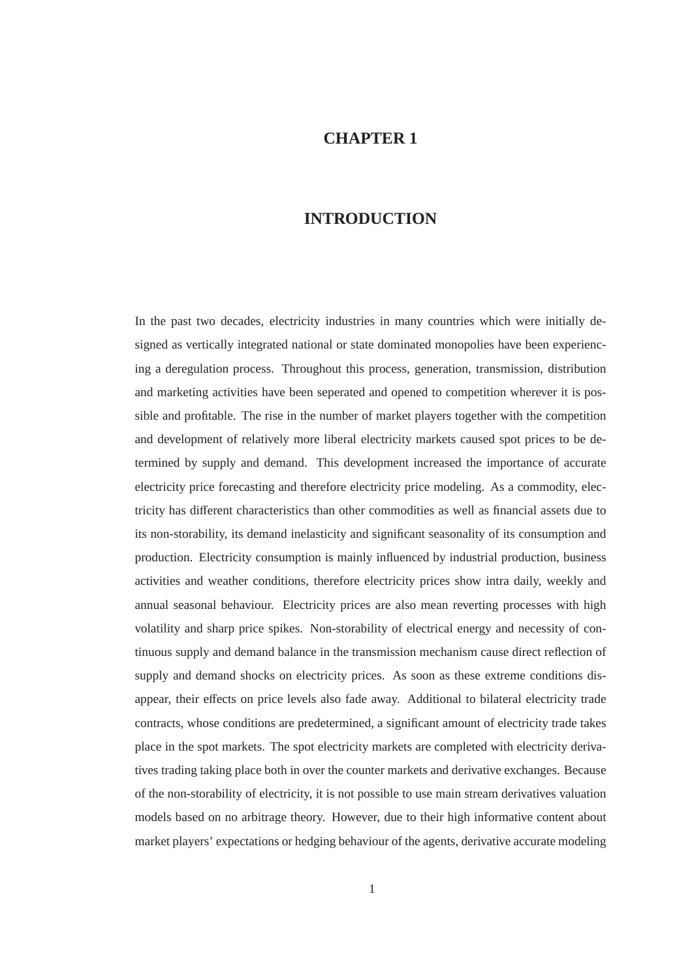# **CHAPTER 1**

## **INTRODUCTION**

In the past two decades, electricity industries in many countries which were initially designed as vertically integrated national or state dominated monopolies have been experiencing a deregulation process. Throughout this process, generation, transmission, distribution and marketing activities have been seperated and opened to competition wherever it is possible and profitable. The rise in the number of market players together with the competition and development of relatively more liberal electricity markets caused spot prices to be determined by supply and demand. This development increased the importance of accurate electricity price forecasting and therefore electricity price modeling. As a commodity, electricity has different characteristics than other commodities as well as financial assets due to its non-storability, its demand inelasticity and significant seasonality of its consumption and production. Electricity consumption is mainly influenced by industrial production, business activities and weather conditions, therefore electricity prices show intra daily, weekly and annual seasonal behaviour. Electricity prices are also mean reverting processes with high volatility and sharp price spikes. Non-storability of electrical energy and necessity of continuous supply and demand balance in the transmission mechanism cause direct reflection of supply and demand shocks on electricity prices. As soon as these extreme conditions disappear, their effects on price levels also fade away. Additional to bilateral electricity trade contracts, whose conditions are predetermined, a significant amount of electricity trade takes place in the spot markets. The spot electricity markets are completed with electricity derivatives trading taking place both in over the counter markets and derivative exchanges. Because of the non-storability of electricity, it is not possible to use main stream derivatives valuation models based on no arbitrage theory. However, due to their high informative content about market players' expectations or hedging behaviour of the agents, derivative accurate modeling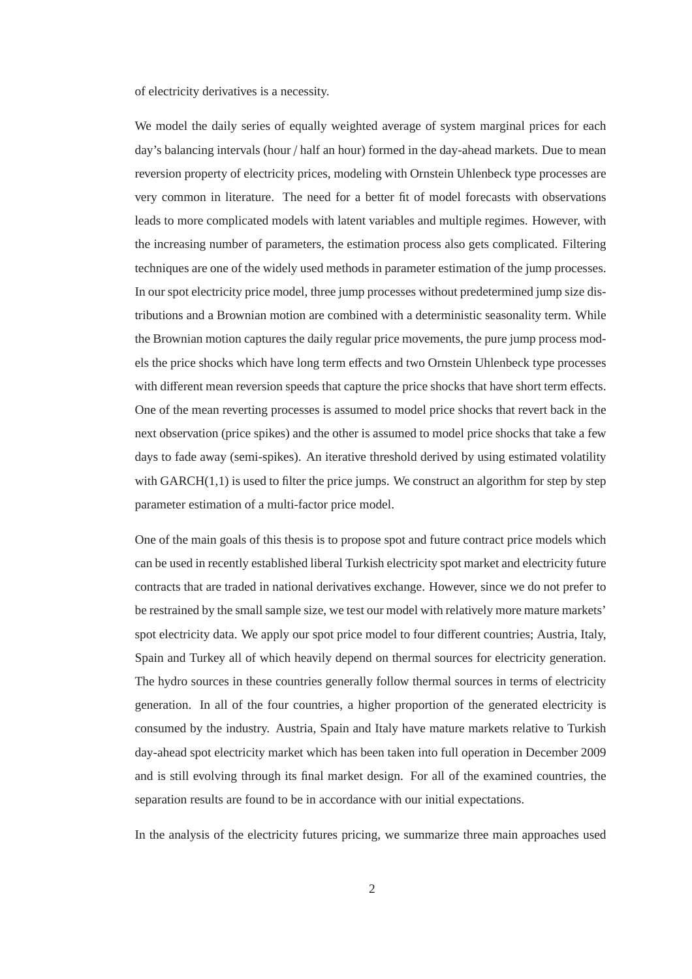of electricity derivatives is a necessity.

We model the daily series of equally weighted average of system marginal prices for each day's balancing intervals (hour / half an hour) formed in the day-ahead markets. Due to mean reversion property of electricity prices, modeling with Ornstein Uhlenbeck type processes are very common in literature. The need for a better fit of model forecasts with observations leads to more complicated models with latent variables and multiple regimes. However, with the increasing number of parameters, the estimation process also gets complicated. Filtering techniques are one of the widely used methods in parameter estimation of the jump processes. In our spot electricity price model, three jump processes without predetermined jump size distributions and a Brownian motion are combined with a deterministic seasonality term. While the Brownian motion captures the daily regular price movements, the pure jump process models the price shocks which have long term effects and two Ornstein Uhlenbeck type processes with different mean reversion speeds that capture the price shocks that have short term effects. One of the mean reverting processes is assumed to model price shocks that revert back in the next observation (price spikes) and the other is assumed to model price shocks that take a few days to fade away (semi-spikes). An iterative threshold derived by using estimated volatility with  $GARCH(1,1)$  is used to filter the price jumps. We construct an algorithm for step by step parameter estimation of a multi-factor price model.

One of the main goals of this thesis is to propose spot and future contract price models which can be used in recently established liberal Turkish electricity spot market and electricity future contracts that are traded in national derivatives exchange. However, since we do not prefer to be restrained by the small sample size, we test our model with relatively more mature markets' spot electricity data. We apply our spot price model to four different countries; Austria, Italy, Spain and Turkey all of which heavily depend on thermal sources for electricity generation. The hydro sources in these countries generally follow thermal sources in terms of electricity generation. In all of the four countries, a higher proportion of the generated electricity is consumed by the industry. Austria, Spain and Italy have mature markets relative to Turkish day-ahead spot electricity market which has been taken into full operation in December 2009 and is still evolving through its final market design. For all of the examined countries, the separation results are found to be in accordance with our initial expectations.

In the analysis of the electricity futures pricing, we summarize three main approaches used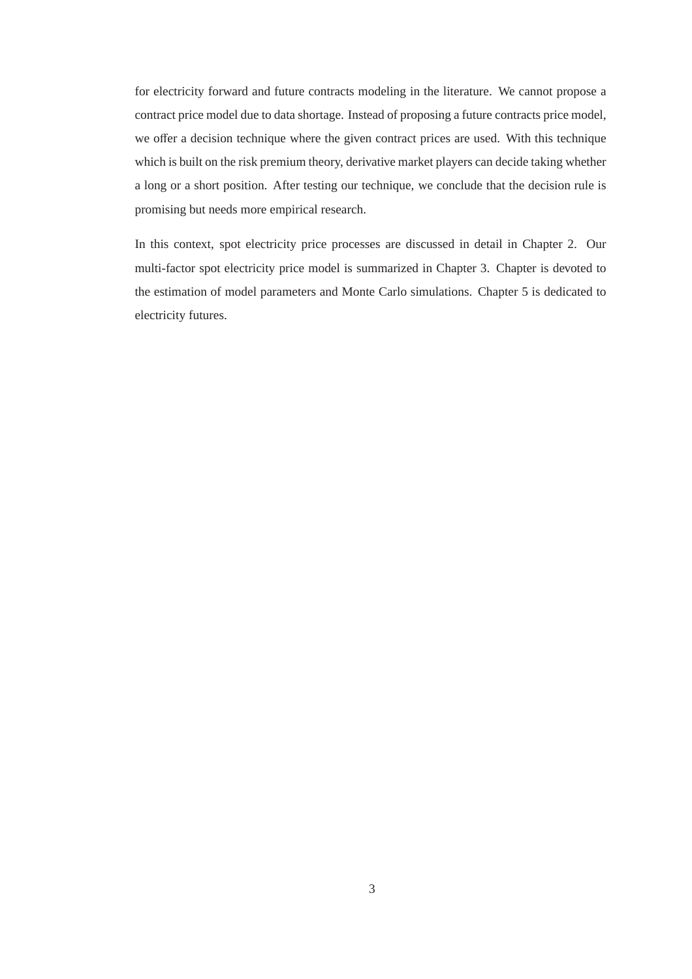for electricity forward and future contracts modeling in the literature. We cannot propose a contract price model due to data shortage. Instead of proposing a future contracts price model, we offer a decision technique where the given contract prices are used. With this technique which is built on the risk premium theory, derivative market players can decide taking whether a long or a short position. After testing our technique, we conclude that the decision rule is promising but needs more empirical research.

In this context, spot electricity price processes are discussed in detail in Chapter 2. Our multi-factor spot electricity price model is summarized in Chapter 3. Chapter is devoted to the estimation of model parameters and Monte Carlo simulations. Chapter 5 is dedicated to electricity futures.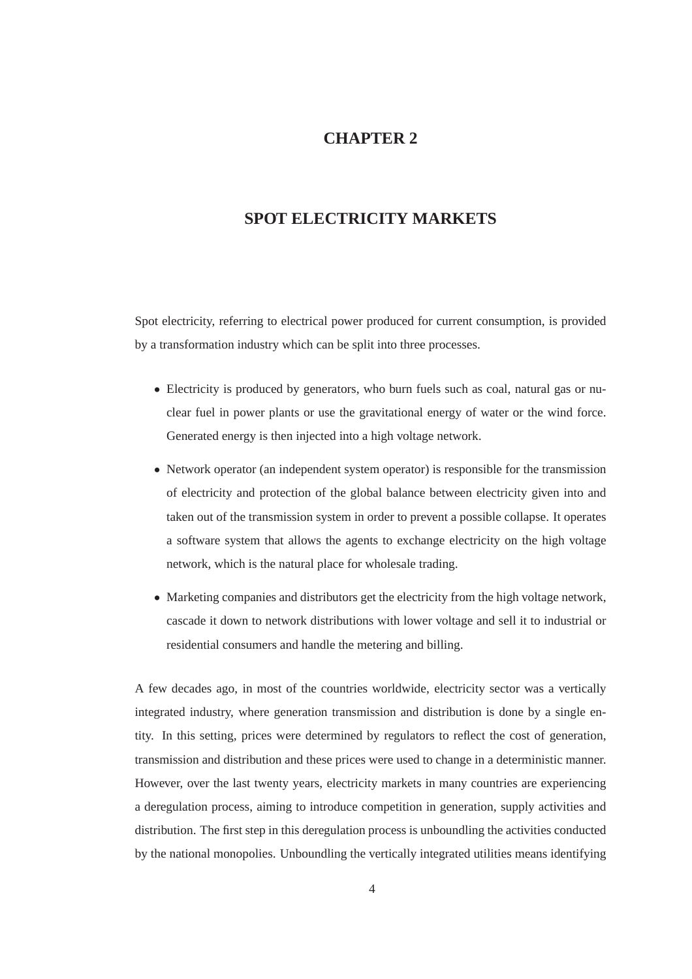## **CHAPTER 2**

## **SPOT ELECTRICITY MARKETS**

Spot electricity, referring to electrical power produced for current consumption, is provided by a transformation industry which can be split into three processes.

- Electricity is produced by generators, who burn fuels such as coal, natural gas or nuclear fuel in power plants or use the gravitational energy of water or the wind force. Generated energy is then injected into a high voltage network.
- Network operator (an independent system operator) is responsible for the transmission of electricity and protection of the global balance between electricity given into and taken out of the transmission system in order to prevent a possible collapse. It operates a software system that allows the agents to exchange electricity on the high voltage network, which is the natural place for wholesale trading.
- Marketing companies and distributors get the electricity from the high voltage network, cascade it down to network distributions with lower voltage and sell it to industrial or residential consumers and handle the metering and billing.

A few decades ago, in most of the countries worldwide, electricity sector was a vertically integrated industry, where generation transmission and distribution is done by a single entity. In this setting, prices were determined by regulators to reflect the cost of generation, transmission and distribution and these prices were used to change in a deterministic manner. However, over the last twenty years, electricity markets in many countries are experiencing a deregulation process, aiming to introduce competition in generation, supply activities and distribution. The first step in this deregulation process is unboundling the activities conducted by the national monopolies. Unboundling the vertically integrated utilities means identifying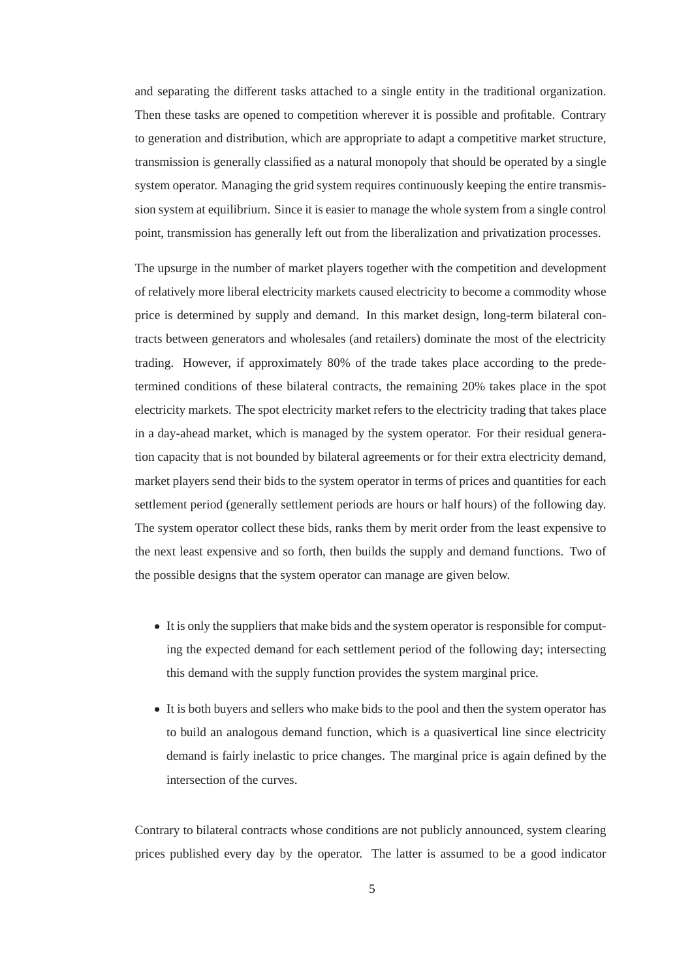and separating the different tasks attached to a single entity in the traditional organization. Then these tasks are opened to competition wherever it is possible and profitable. Contrary to generation and distribution, which are appropriate to adapt a competitive market structure, transmission is generally classified as a natural monopoly that should be operated by a single system operator. Managing the grid system requires continuously keeping the entire transmission system at equilibrium. Since it is easier to manage the whole system from a single control point, transmission has generally left out from the liberalization and privatization processes.

The upsurge in the number of market players together with the competition and development of relatively more liberal electricity markets caused electricity to become a commodity whose price is determined by supply and demand. In this market design, long-term bilateral contracts between generators and wholesales (and retailers) dominate the most of the electricity trading. However, if approximately 80% of the trade takes place according to the predetermined conditions of these bilateral contracts, the remaining 20% takes place in the spot electricity markets. The spot electricity market refers to the electricity trading that takes place in a day-ahead market, which is managed by the system operator. For their residual generation capacity that is not bounded by bilateral agreements or for their extra electricity demand, market players send their bids to the system operator in terms of prices and quantities for each settlement period (generally settlement periods are hours or half hours) of the following day. The system operator collect these bids, ranks them by merit order from the least expensive to the next least expensive and so forth, then builds the supply and demand functions. Two of the possible designs that the system operator can manage are given below.

- It is only the suppliers that make bids and the system operator is responsible for computing the expected demand for each settlement period of the following day; intersecting this demand with the supply function provides the system marginal price.
- It is both buyers and sellers who make bids to the pool and then the system operator has to build an analogous demand function, which is a quasivertical line since electricity demand is fairly inelastic to price changes. The marginal price is again defined by the intersection of the curves.

Contrary to bilateral contracts whose conditions are not publicly announced, system clearing prices published every day by the operator. The latter is assumed to be a good indicator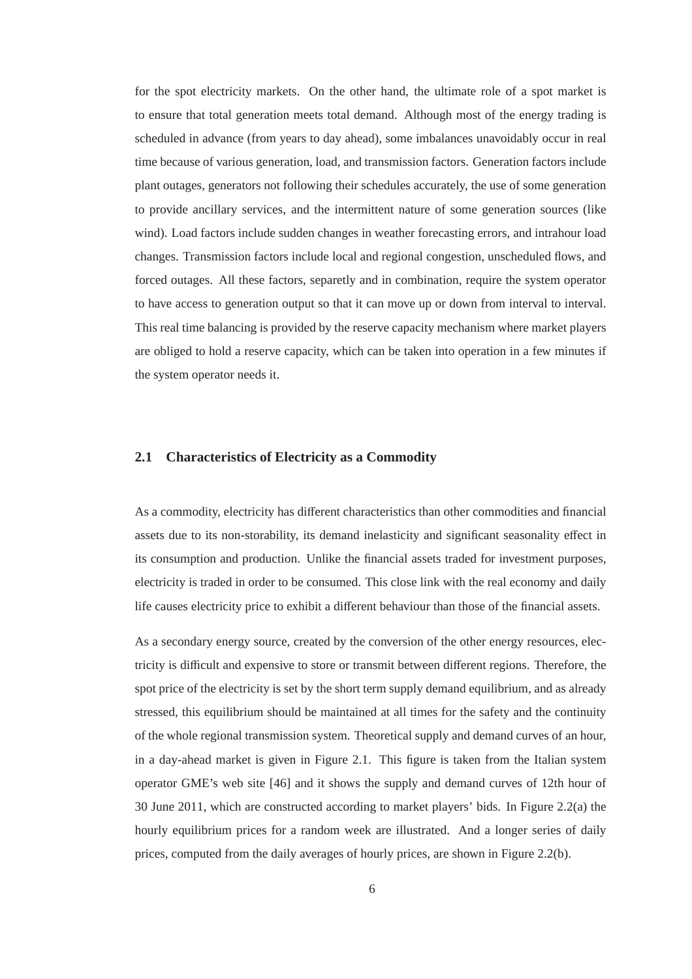for the spot electricity markets. On the other hand, the ultimate role of a spot market is to ensure that total generation meets total demand. Although most of the energy trading is scheduled in advance (from years to day ahead), some imbalances unavoidably occur in real time because of various generation, load, and transmission factors. Generation factors include plant outages, generators not following their schedules accurately, the use of some generation to provide ancillary services, and the intermittent nature of some generation sources (like wind). Load factors include sudden changes in weather forecasting errors, and intrahour load changes. Transmission factors include local and regional congestion, unscheduled flows, and forced outages. All these factors, separetly and in combination, require the system operator to have access to generation output so that it can move up or down from interval to interval. This real time balancing is provided by the reserve capacity mechanism where market players are obliged to hold a reserve capacity, which can be taken into operation in a few minutes if the system operator needs it.

#### **2.1 Characteristics of Electricity as a Commodity**

As a commodity, electricity has different characteristics than other commodities and financial assets due to its non-storability, its demand inelasticity and significant seasonality effect in its consumption and production. Unlike the financial assets traded for investment purposes, electricity is traded in order to be consumed. This close link with the real economy and daily life causes electricity price to exhibit a different behaviour than those of the financial assets.

As a secondary energy source, created by the conversion of the other energy resources, electricity is difficult and expensive to store or transmit between different regions. Therefore, the spot price of the electricity is set by the short term supply demand equilibrium, and as already stressed, this equilibrium should be maintained at all times for the safety and the continuity of the whole regional transmission system. Theoretical supply and demand curves of an hour, in a day-ahead market is given in Figure 2.1. This figure is taken from the Italian system operator GME's web site [46] and it shows the supply and demand curves of 12th hour of 30 June 2011, which are constructed according to market players' bids. In Figure 2.2(a) the hourly equilibrium prices for a random week are illustrated. And a longer series of daily prices, computed from the daily averages of hourly prices, are shown in Figure 2.2(b).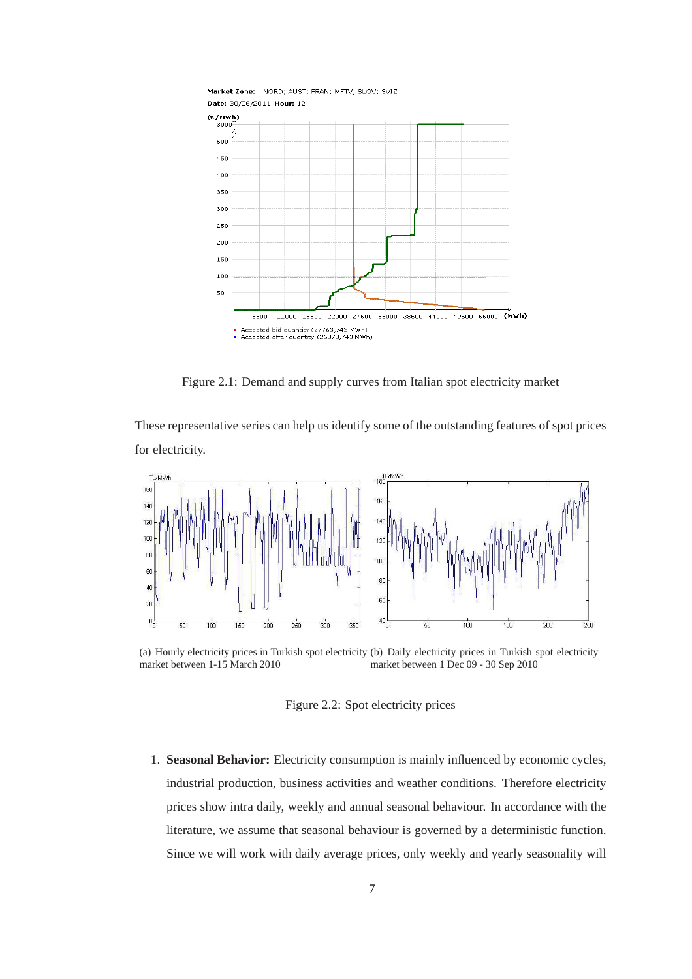

Figure 2.1: Demand and supply curves from Italian spot electricity market

These representative series can help us identify some of the outstanding features of spot prices for electricity.



(a) Hourly electricity prices in Turkish spot electricity (b) Daily electricity prices in Turkish spot electricity market between 1-15 March 2010 market between 1 Dec 09 - 30 Sep 2010

Figure 2.2: Spot electricity prices

1. **Seasonal Behavior:** Electricity consumption is mainly influenced by economic cycles, industrial production, business activities and weather conditions. Therefore electricity prices show intra daily, weekly and annual seasonal behaviour. In accordance with the literature, we assume that seasonal behaviour is governed by a deterministic function. Since we will work with daily average prices, only weekly and yearly seasonality will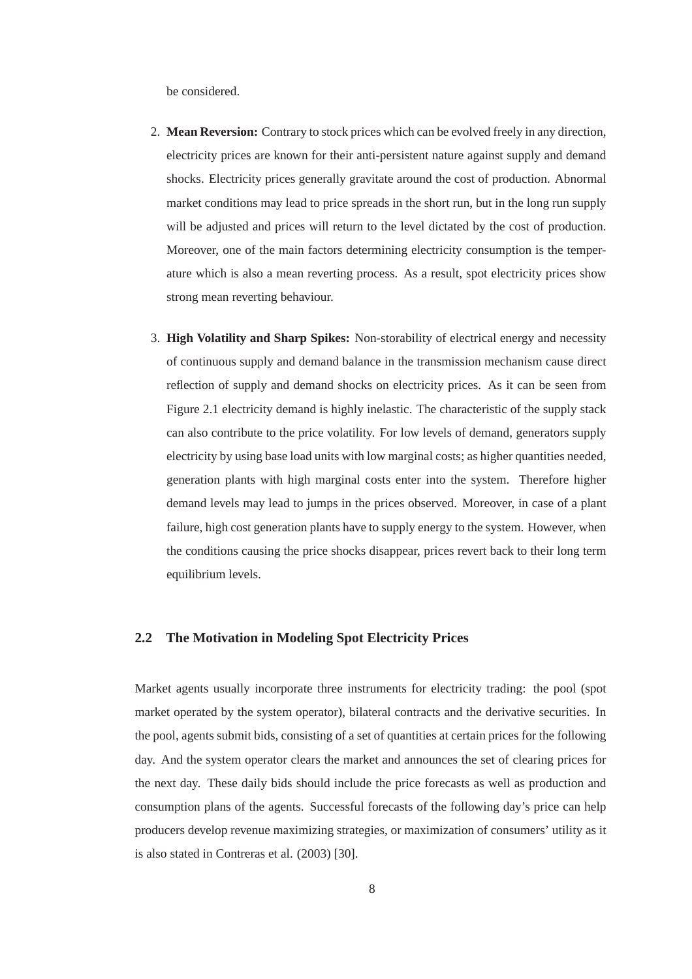be considered.

- 2. **Mean Reversion:** Contrary to stock prices which can be evolved freely in any direction, electricity prices are known for their anti-persistent nature against supply and demand shocks. Electricity prices generally gravitate around the cost of production. Abnormal market conditions may lead to price spreads in the short run, but in the long run supply will be adjusted and prices will return to the level dictated by the cost of production. Moreover, one of the main factors determining electricity consumption is the temperature which is also a mean reverting process. As a result, spot electricity prices show strong mean reverting behaviour.
- 3. **High Volatility and Sharp Spikes:** Non-storability of electrical energy and necessity of continuous supply and demand balance in the transmission mechanism cause direct reflection of supply and demand shocks on electricity prices. As it can be seen from Figure 2.1 electricity demand is highly inelastic. The characteristic of the supply stack can also contribute to the price volatility. For low levels of demand, generators supply electricity by using base load units with low marginal costs; as higher quantities needed, generation plants with high marginal costs enter into the system. Therefore higher demand levels may lead to jumps in the prices observed. Moreover, in case of a plant failure, high cost generation plants have to supply energy to the system. However, when the conditions causing the price shocks disappear, prices revert back to their long term equilibrium levels.

#### **2.2 The Motivation in Modeling Spot Electricity Prices**

Market agents usually incorporate three instruments for electricity trading: the pool (spot market operated by the system operator), bilateral contracts and the derivative securities. In the pool, agents submit bids, consisting of a set of quantities at certain prices for the following day. And the system operator clears the market and announces the set of clearing prices for the next day. These daily bids should include the price forecasts as well as production and consumption plans of the agents. Successful forecasts of the following day's price can help producers develop revenue maximizing strategies, or maximization of consumers' utility as it is also stated in Contreras et al. (2003) [30].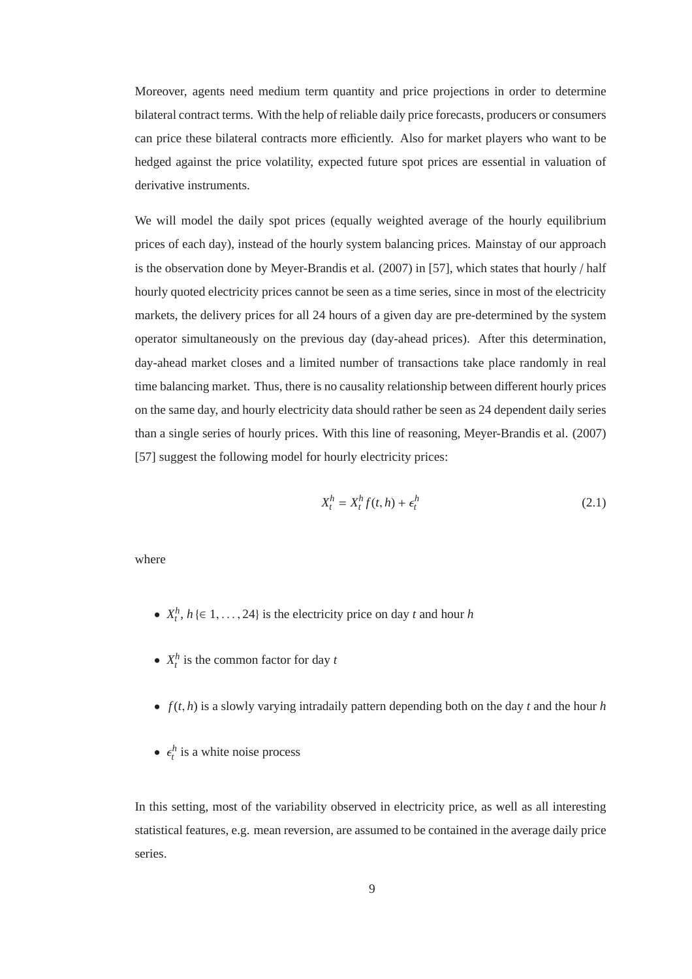Moreover, agents need medium term quantity and price projections in order to determine bilateral contract terms. With the help of reliable daily price forecasts, producers or consumers can price these bilateral contracts more efficiently. Also for market players who want to be hedged against the price volatility, expected future spot prices are essential in valuation of derivative instruments.

We will model the daily spot prices (equally weighted average of the hourly equilibrium prices of each day), instead of the hourly system balancing prices. Mainstay of our approach is the observation done by Meyer-Brandis et al. (2007) in [57], which states that hourly / half hourly quoted electricity prices cannot be seen as a time series, since in most of the electricity markets, the delivery prices for all 24 hours of a given day are pre-determined by the system operator simultaneously on the previous day (day-ahead prices). After this determination, day-ahead market closes and a limited number of transactions take place randomly in real time balancing market. Thus, there is no causality relationship between different hourly prices on the same day, and hourly electricity data should rather be seen as 24 dependent daily series than a single series of hourly prices. With this line of reasoning, Meyer-Brandis et al. (2007) [57] suggest the following model for hourly electricity prices:

$$
X_t^h = X_t^h f(t, h) + \epsilon_t^h \tag{2.1}
$$

where

- $X_t^h$ ,  $h \in 1, \ldots, 24$  is the electricity price on day *t* and hour *h*
- $X_t^h$  is the common factor for day  $t$
- $f(t, h)$  is a slowly varying intradaily pattern depending both on the day  $t$  and the hour  $h$
- $\epsilon_t^h$  is a white noise process

In this setting, most of the variability observed in electricity price, as well as all interesting statistical features, e.g. mean reversion, are assumed to be contained in the average daily price series.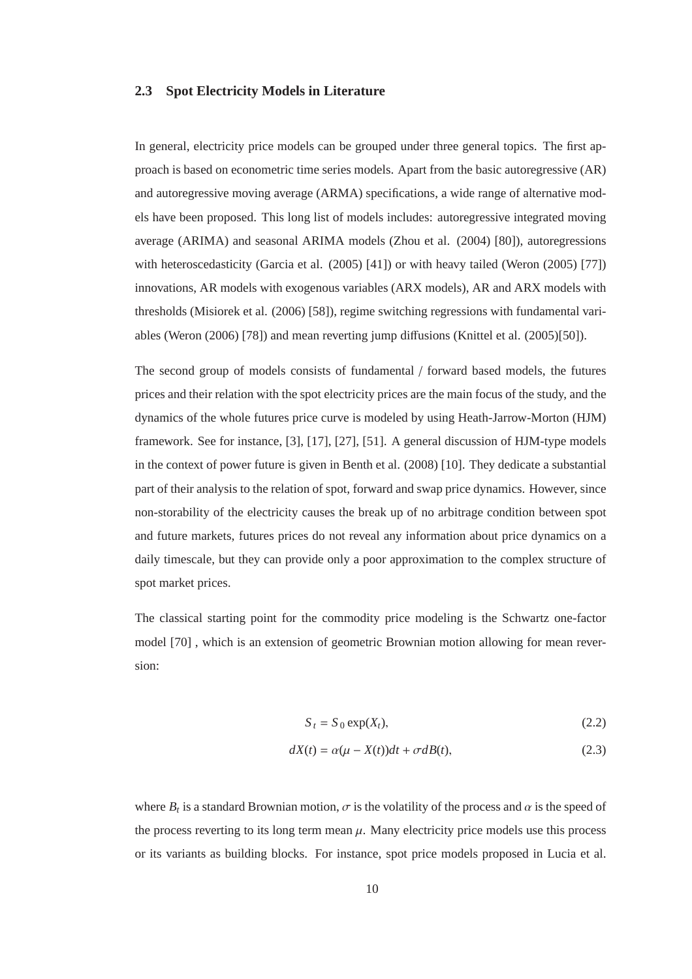#### **2.3 Spot Electricity Models in Literature**

In general, electricity price models can be grouped under three general topics. The first approach is based on econometric time series models. Apart from the basic autoregressive (AR) and autoregressive moving average (ARMA) specifications, a wide range of alternative models have been proposed. This long list of models includes: autoregressive integrated moving average (ARIMA) and seasonal ARIMA models (Zhou et al. (2004) [80]), autoregressions with heteroscedasticity (Garcia et al. (2005) [41]) or with heavy tailed (Weron (2005) [77]) innovations, AR models with exogenous variables (ARX models), AR and ARX models with thresholds (Misiorek et al. (2006) [58]), regime switching regressions with fundamental variables (Weron (2006) [78]) and mean reverting jump diffusions (Knittel et al. (2005)[50]).

The second group of models consists of fundamental / forward based models, the futures prices and their relation with the spot electricity prices are the main focus of the study, and the dynamics of the whole futures price curve is modeled by using Heath-Jarrow-Morton (HJM) framework. See for instance, [3], [17], [27], [51]. A general discussion of HJM-type models in the context of power future is given in Benth et al. (2008) [10]. They dedicate a substantial part of their analysis to the relation of spot, forward and swap price dynamics. However, since non-storability of the electricity causes the break up of no arbitrage condition between spot and future markets, futures prices do not reveal any information about price dynamics on a daily timescale, but they can provide only a poor approximation to the complex structure of spot market prices.

The classical starting point for the commodity price modeling is the Schwartz one-factor model [70] , which is an extension of geometric Brownian motion allowing for mean reversion:

$$
S_t = S_0 \exp(X_t), \tag{2.2}
$$

$$
dX(t) = \alpha(\mu - X(t))dt + \sigma dB(t),
$$
\n(2.3)

where  $B_t$  is a standard Brownian motion,  $\sigma$  is the volatility of the process and  $\alpha$  is the speed of the process reverting to its long term mean  $\mu$ . Many electricity price models use this process or its variants as building blocks. For instance, spot price models proposed in Lucia et al.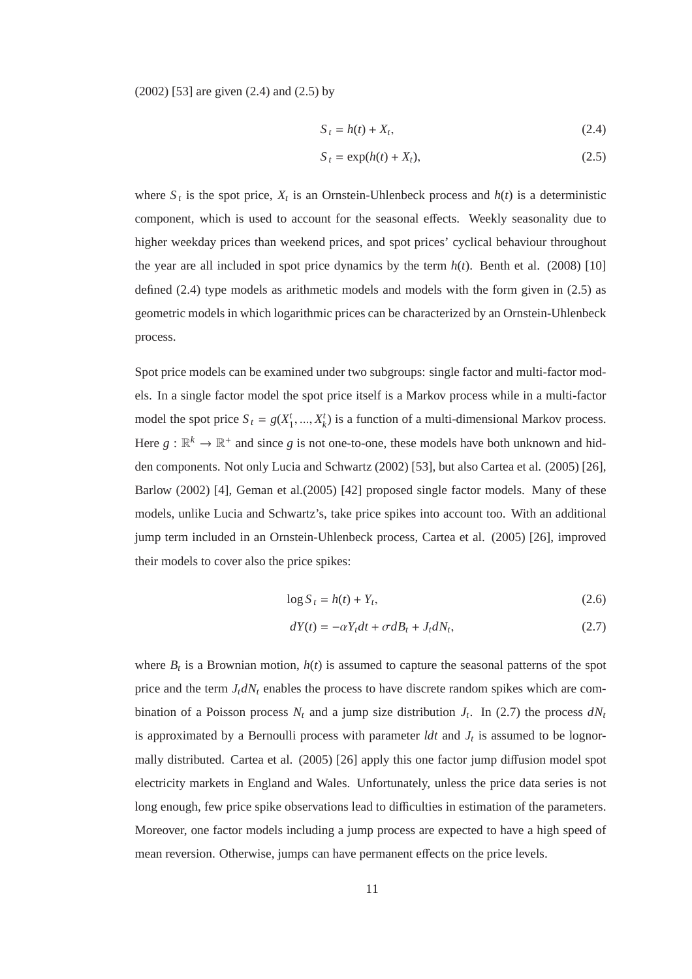(2002) [53] are given (2.4) and (2.5) by

$$
S_t = h(t) + X_t,\tag{2.4}
$$

$$
S_t = \exp(h(t) + X_t),\tag{2.5}
$$

where  $S_t$  is the spot price,  $X_t$  is an Ornstein-Uhlenbeck process and  $h(t)$  is a deterministic component, which is used to account for the seasonal effects. Weekly seasonality due to higher weekday prices than weekend prices, and spot prices' cyclical behaviour throughout the year are all included in spot price dynamics by the term  $h(t)$ . Benth et al. (2008) [10] defined (2.4) type models as arithmetic models and models with the form given in (2.5) as geometric models in which logarithmic prices can be characterized by an Ornstein-Uhlenbeck process.

Spot price models can be examined under two subgroups: single factor and multi-factor models. In a single factor model the spot price itself is a Markov process while in a multi-factor model the spot price  $S_t = g(X_1^t, ..., X_k^t)$  is a function of a multi-dimensional Markov process. Here  $g : \mathbb{R}^k \to \mathbb{R}^+$  and since g is not one-to-one, these models have both unknown and hidden components. Not only Lucia and Schwartz (2002) [53], but also Cartea et al. (2005) [26], Barlow (2002) [4], Geman et al.(2005) [42] proposed single factor models. Many of these models, unlike Lucia and Schwartz's, take price spikes into account too. With an additional jump term included in an Ornstein-Uhlenbeck process, Cartea et al. (2005) [26], improved their models to cover also the price spikes:

$$
\log S_t = h(t) + Y_t,\tag{2.6}
$$

$$
dY(t) = -\alpha Y_t dt + \sigma dB_t + J_t dN_t, \qquad (2.7)
$$

where  $B_t$  is a Brownian motion,  $h(t)$  is assumed to capture the seasonal patterns of the spot price and the term  $J_t dN_t$  enables the process to have discrete random spikes which are combination of a Poisson process  $N_t$  and a jump size distribution  $J_t$ . In (2.7) the process  $dN_t$ is approximated by a Bernoulli process with parameter *ldt* and *J<sup>t</sup>* is assumed to be lognormally distributed. Cartea et al. (2005) [26] apply this one factor jump diffusion model spot electricity markets in England and Wales. Unfortunately, unless the price data series is not long enough, few price spike observations lead to difficulties in estimation of the parameters. Moreover, one factor models including a jump process are expected to have a high speed of mean reversion. Otherwise, jumps can have permanent effects on the price levels.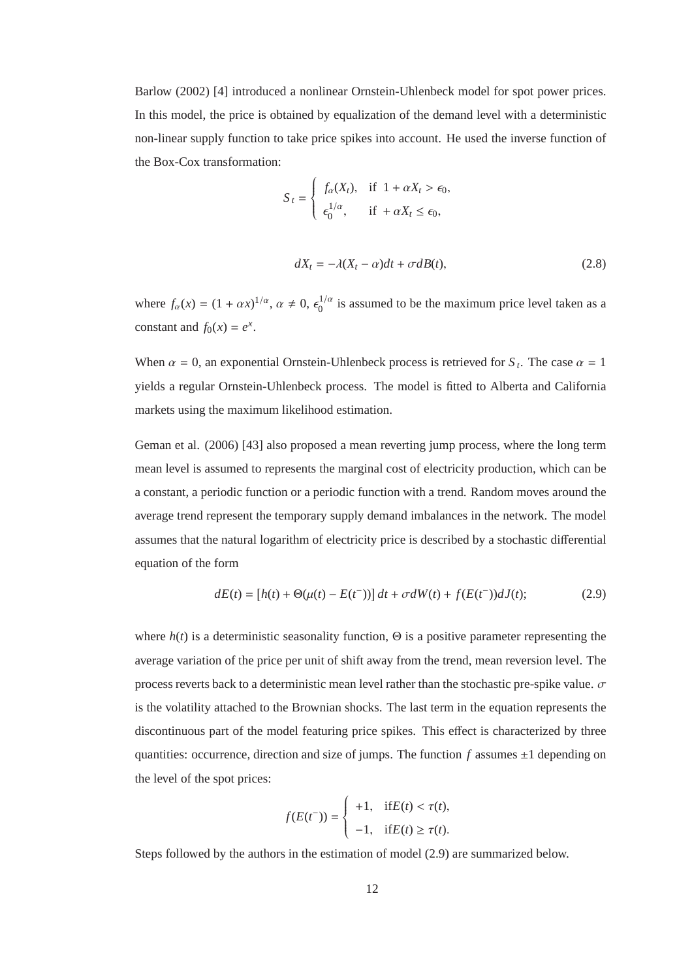Barlow (2002) [4] introduced a nonlinear Ornstein-Uhlenbeck model for spot power prices. In this model, the price is obtained by equalization of the demand level with a deterministic non-linear supply function to take price spikes into account. He used the inverse function of the Box-Cox transformation:

$$
S_t = \begin{cases} f_{\alpha}(X_t), & \text{if } 1 + \alpha X_t > \epsilon_0, \\ \epsilon_0^{1/\alpha}, & \text{if } + \alpha X_t \le \epsilon_0, \end{cases}
$$

$$
dX_t = -\lambda (X_t - \alpha)dt + \sigma dB(t),
$$
\n(2.8)

where  $f_{\alpha}(x) = (1 + \alpha x)^{1/\alpha}, \alpha \neq 0, \epsilon_0^{1/\alpha}$  $\int_0^{1/\alpha}$  is assumed to be the maximum price level taken as a constant and  $f_0(x) = e^x$ .

When  $\alpha = 0$ , an exponential Ornstein-Uhlenbeck process is retrieved for  $S_t$ . The case  $\alpha = 1$ yields a regular Ornstein-Uhlenbeck process. The model is fitted to Alberta and California markets using the maximum likelihood estimation.

Geman et al. (2006) [43] also proposed a mean reverting jump process, where the long term mean level is assumed to represents the marginal cost of electricity production, which can be a constant, a periodic function or a periodic function with a trend. Random moves around the average trend represent the temporary supply demand imbalances in the network. The model assumes that the natural logarithm of electricity price is described by a stochastic differential equation of the form

$$
dE(t) = [h(t) + \Theta(\mu(t) - E(t^{-}))]dt + \sigma dW(t) + f(E(t^{-}))dJ(t); \qquad (2.9)
$$

where  $h(t)$  is a deterministic seasonality function,  $\Theta$  is a positive parameter representing the average variation of the price per unit of shift away from the trend, mean reversion level. The process reverts back to a deterministic mean level rather than the stochastic pre-spike value.  $\sigma$ is the volatility attached to the Brownian shocks. The last term in the equation represents the discontinuous part of the model featuring price spikes. This effect is characterized by three quantities: occurrence, direction and size of jumps. The function  $f$  assumes  $\pm 1$  depending on the level of the spot prices:

$$
f(E(t^-)) = \begin{cases} +1, & \text{if } E(t) < \tau(t), \\ -1, & \text{if } E(t) \ge \tau(t). \end{cases}
$$

Steps followed by the authors in the estimation of model (2.9) are summarized below.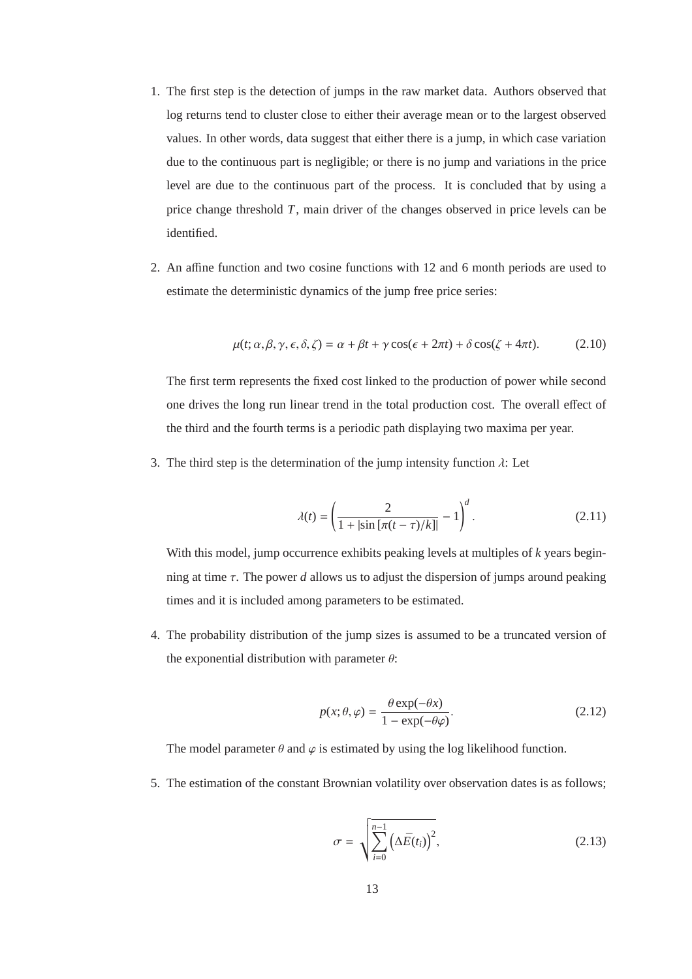- 1. The first step is the detection of jumps in the raw market data. Authors observed that log returns tend to cluster close to either their average mean or to the largest observed values. In other words, data suggest that either there is a jump, in which case variation due to the continuous part is negligible; or there is no jump and variations in the price level are due to the continuous part of the process. It is concluded that by using a price change threshold *T*, main driver of the changes observed in price levels can be identified.
- 2. An affine function and two cosine functions with 12 and 6 month periods are used to estimate the deterministic dynamics of the jump free price series:

$$
\mu(t; \alpha, \beta, \gamma, \epsilon, \delta, \zeta) = \alpha + \beta t + \gamma \cos(\epsilon + 2\pi t) + \delta \cos(\zeta + 4\pi t). \tag{2.10}
$$

The first term represents the fixed cost linked to the production of power while second one drives the long run linear trend in the total production cost. The overall effect of the third and the fourth terms is a periodic path displaying two maxima per year.

3. The third step is the determination of the jump intensity function  $\lambda$ : Let

$$
\lambda(t) = \left(\frac{2}{1 + |\sin\left[\pi(t - \tau)/k\right]\right]} - 1\right)^{d}.
$$
\n(2.11)

With this model, jump occurrence exhibits peaking levels at multiples of *k* years beginning at time  $\tau$ . The power *d* allows us to adjust the dispersion of jumps around peaking times and it is included among parameters to be estimated.

4. The probability distribution of the jump sizes is assumed to be a truncated version of the exponential distribution with parameter  $\theta$ :

$$
p(x; \theta, \varphi) = \frac{\theta \exp(-\theta x)}{1 - \exp(-\theta \varphi)}.
$$
 (2.12)

The model parameter  $\theta$  and  $\varphi$  is estimated by using the log likelihood function.

5. The estimation of the constant Brownian volatility over observation dates is as follows;

$$
\sigma = \sqrt{\sum_{i=0}^{n-1} (\Delta \bar{E}(t_i))^2},\tag{2.13}
$$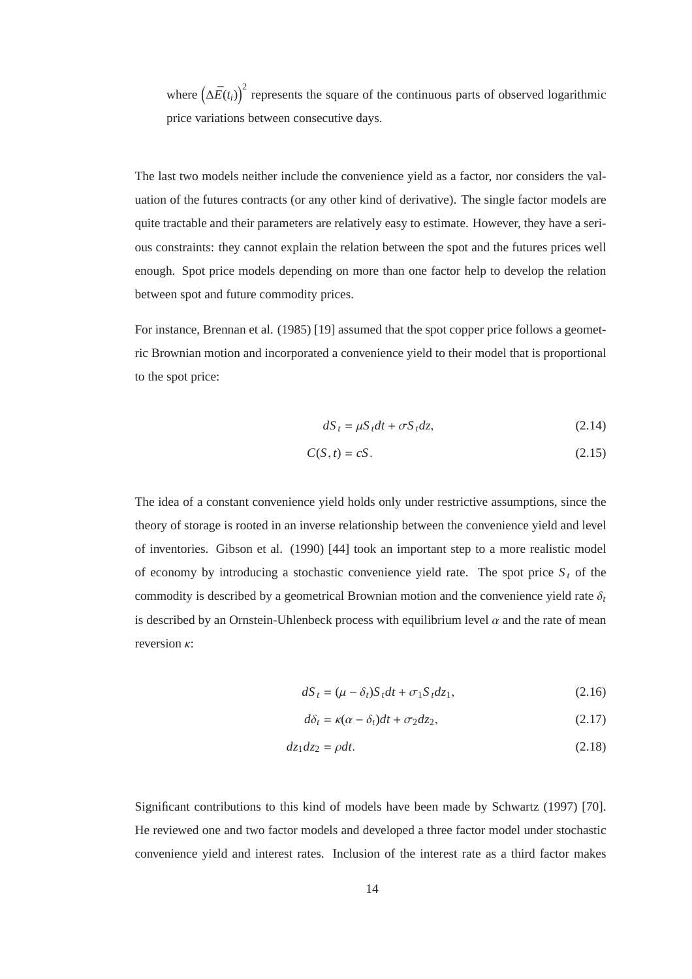where  $(\Delta \bar{E}(t_i))^2$  represents the square of the continuous parts of observed logarithmic price variations between consecutive days.

The last two models neither include the convenience yield as a factor, nor considers the valuation of the futures contracts (or any other kind of derivative). The single factor models are quite tractable and their parameters are relatively easy to estimate. However, they have a serious constraints: they cannot explain the relation between the spot and the futures prices well enough. Spot price models depending on more than one factor help to develop the relation between spot and future commodity prices.

For instance, Brennan et al. (1985) [19] assumed that the spot copper price follows a geometric Brownian motion and incorporated a convenience yield to their model that is proportional to the spot price:

$$
dS_t = \mu S_t dt + \sigma S_t dz, \qquad (2.14)
$$

$$
C(S,t) = cS.
$$
\n
$$
(2.15)
$$

The idea of a constant convenience yield holds only under restrictive assumptions, since the theory of storage is rooted in an inverse relationship between the convenience yield and level of inventories. Gibson et al. (1990) [44] took an important step to a more realistic model of economy by introducing a stochastic convenience yield rate. The spot price  $S_t$  of the commodity is described by a geometrical Brownian motion and the convenience yield rate δ*<sup>t</sup>* is described by an Ornstein-Uhlenbeck process with equilibrium level  $\alpha$  and the rate of mean reversion κ:

$$
dS_t = (\mu - \delta_t)S_t dt + \sigma_1 S_t dz_1, \qquad (2.16)
$$

$$
d\delta_t = \kappa(\alpha - \delta_t)dt + \sigma_2 dz_2, \qquad (2.17)
$$

$$
dz_1 dz_2 = \rho dt. \tag{2.18}
$$

Significant contributions to this kind of models have been made by Schwartz (1997) [70]. He reviewed one and two factor models and developed a three factor model under stochastic convenience yield and interest rates. Inclusion of the interest rate as a third factor makes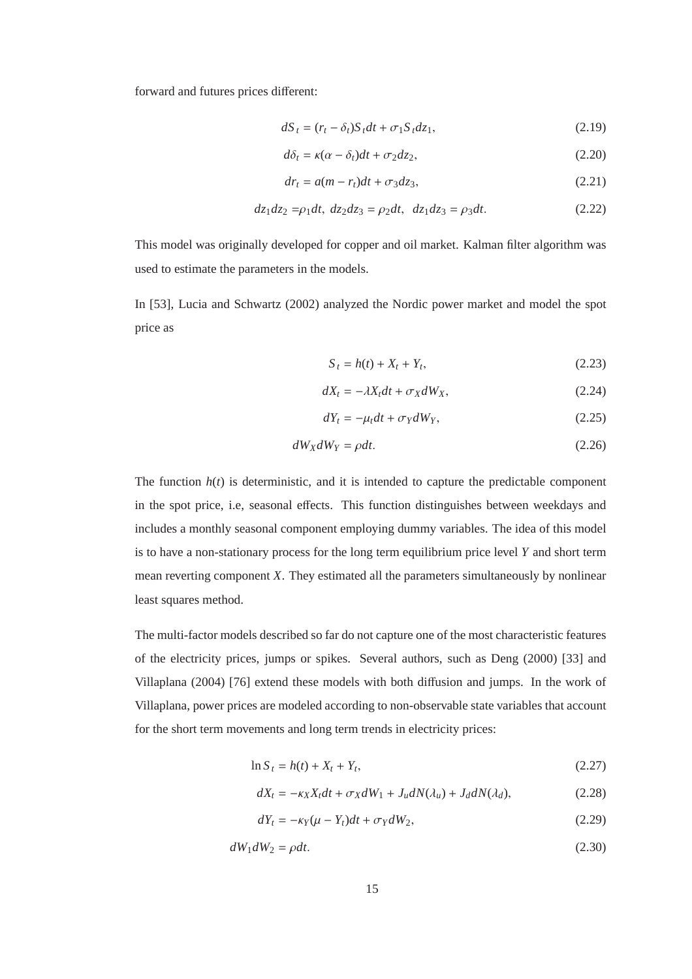forward and futures prices different:

$$
dS_t = (r_t - \delta_t)S_t dt + \sigma_1 S_t dz_1, \qquad (2.19)
$$

$$
d\delta_t = \kappa(\alpha - \delta_t)dt + \sigma_2 dz_2, \qquad (2.20)
$$

$$
dr_t = a(m - r_t)dt + \sigma_3 dz_3, \qquad (2.21)
$$

$$
dz_1 dz_2 = \rho_1 dt, \ dz_2 dz_3 = \rho_2 dt, \ dz_1 dz_3 = \rho_3 dt. \tag{2.22}
$$

This model was originally developed for copper and oil market. Kalman filter algorithm was used to estimate the parameters in the models.

In [53], Lucia and Schwartz (2002) analyzed the Nordic power market and model the spot price as

$$
S_t = h(t) + X_t + Y_t,
$$
\n(2.23)

$$
dX_t = -\lambda X_t dt + \sigma_X dW_X, \qquad (2.24)
$$

$$
dY_t = -\mu_t dt + \sigma_Y dW_Y, \qquad (2.25)
$$

$$
dW_X dW_Y = \rho dt. \tag{2.26}
$$

The function  $h(t)$  is deterministic, and it is intended to capture the predictable component in the spot price, i.e, seasonal effects. This function distinguishes between weekdays and includes a monthly seasonal component employing dummy variables. The idea of this model is to have a non-stationary process for the long term equilibrium price level *Y* and short term mean reverting component *X*. They estimated all the parameters simultaneously by nonlinear least squares method.

The multi-factor models described so far do not capture one of the most characteristic features of the electricity prices, jumps or spikes. Several authors, such as Deng (2000) [33] and Villaplana (2004) [76] extend these models with both diffusion and jumps. In the work of Villaplana, power prices are modeled according to non-observable state variables that account for the short term movements and long term trends in electricity prices:

$$
\ln S_t = h(t) + X_t + Y_t,
$$
\n(2.27)

$$
dX_t = -\kappa_X X_t dt + \sigma_X dW_1 + J_u dN(\lambda_u) + J_d dN(\lambda_d),\tag{2.28}
$$

$$
dY_t = -\kappa_Y(\mu - Y_t)dt + \sigma_Y dW_2, \qquad (2.29)
$$

$$
dW_1 dW_2 = \rho dt. \tag{2.30}
$$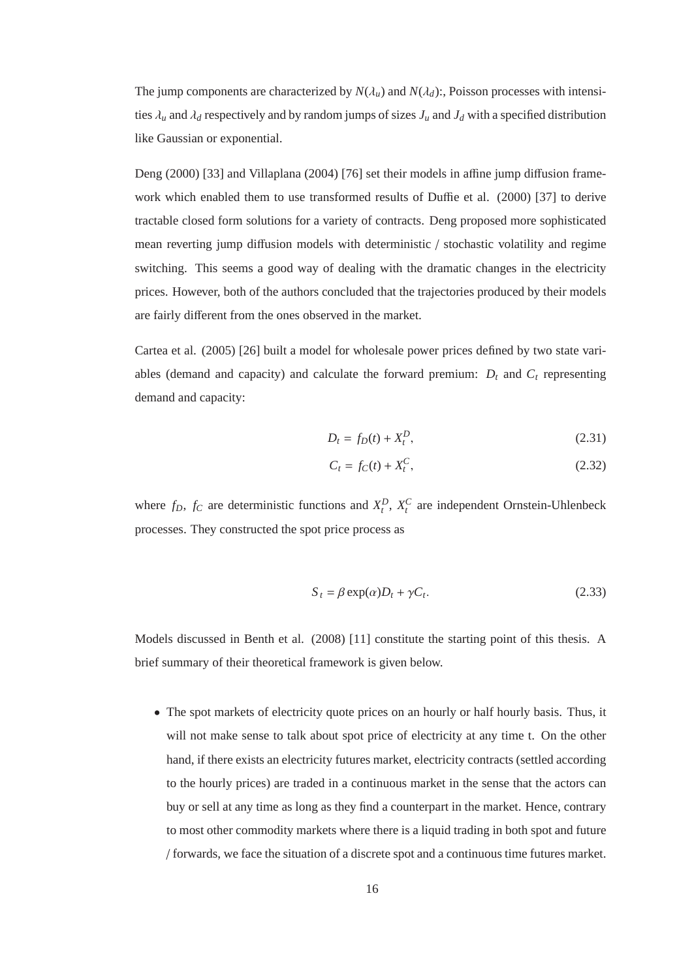The jump components are characterized by  $N(\lambda_u)$  and  $N(\lambda_d)$ :, Poisson processes with intensities  $\lambda_u$  and  $\lambda_d$  respectively and by random jumps of sizes  $J_u$  and  $J_d$  with a specified distribution like Gaussian or exponential.

Deng (2000) [33] and Villaplana (2004) [76] set their models in affine jump diffusion framework which enabled them to use transformed results of Duffie et al. (2000) [37] to derive tractable closed form solutions for a variety of contracts. Deng proposed more sophisticated mean reverting jump diffusion models with deterministic / stochastic volatility and regime switching. This seems a good way of dealing with the dramatic changes in the electricity prices. However, both of the authors concluded that the trajectories produced by their models are fairly different from the ones observed in the market.

Cartea et al. (2005) [26] built a model for wholesale power prices defined by two state variables (demand and capacity) and calculate the forward premium:  $D_t$  and  $C_t$  representing demand and capacity:

$$
D_t = f_D(t) + X_t^D,
$$
\n(2.31)

$$
C_t = f_C(t) + X_t^C,\tag{2.32}
$$

where  $f_D$ ,  $f_C$  are deterministic functions and  $X_t^D$ ,  $X_t^C$  are independent Ornstein-Uhlenbeck processes. They constructed the spot price process as

$$
S_t = \beta \exp(\alpha) D_t + \gamma C_t. \tag{2.33}
$$

Models discussed in Benth et al. (2008) [11] constitute the starting point of this thesis. A brief summary of their theoretical framework is given below.

• The spot markets of electricity quote prices on an hourly or half hourly basis. Thus, it will not make sense to talk about spot price of electricity at any time t. On the other hand, if there exists an electricity futures market, electricity contracts (settled according to the hourly prices) are traded in a continuous market in the sense that the actors can buy or sell at any time as long as they find a counterpart in the market. Hence, contrary to most other commodity markets where there is a liquid trading in both spot and future / forwards, we face the situation of a discrete spot and a continuous time futures market.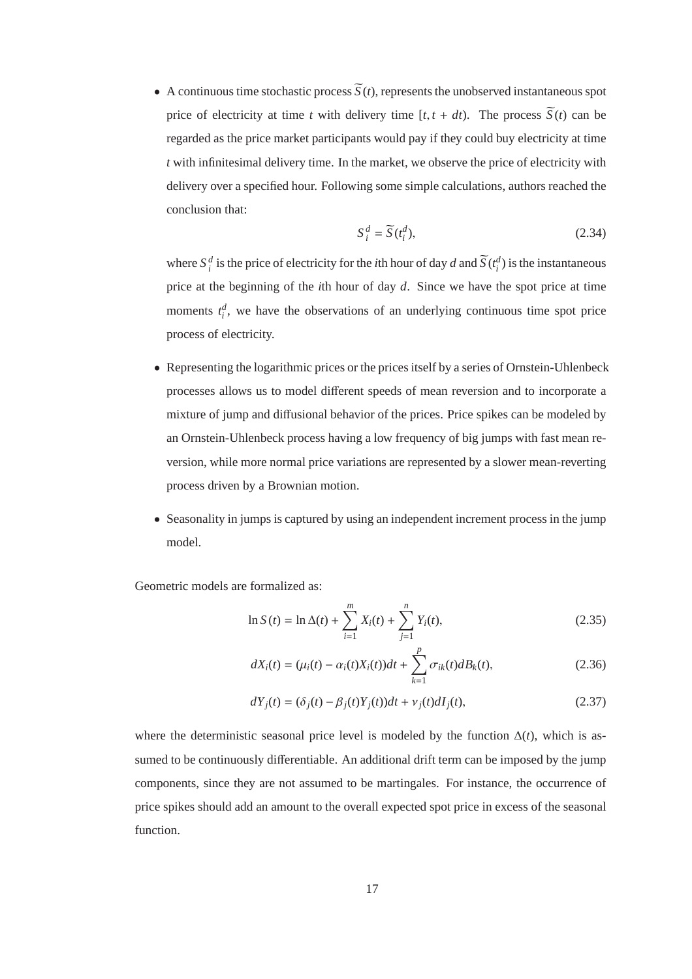• A continuous time stochastic process  $\widetilde{S}(t)$ , represents the unobserved instantaneous spot price of electricity at time *t* with delivery time  $[t, t + dt)$ . The process  $\widetilde{S}(t)$  can be regarded as the price market participants would pay if they could buy electricity at time *t* with infinitesimal delivery time. In the market, we observe the price of electricity with delivery over a specified hour. Following some simple calculations, authors reached the conclusion that:

$$
S_i^d = \widetilde{S}(t_i^d),\tag{2.34}
$$

where  $S_i^d$  is the price of electricity for the *i*th hour of day *d* and  $\widetilde{S}(t_i^d)$  is the instantaneous price at the beginning of the *i*th hour of day *d*. Since we have the spot price at time moments  $t_i^d$ , we have the observations of an underlying continuous time spot price process of electricity.

- Representing the logarithmic prices or the prices itself by a series of Ornstein-Uhlenbeck processes allows us to model different speeds of mean reversion and to incorporate a mixture of jump and diffusional behavior of the prices. Price spikes can be modeled by an Ornstein-Uhlenbeck process having a low frequency of big jumps with fast mean reversion, while more normal price variations are represented by a slower mean-reverting process driven by a Brownian motion.
- Seasonality in jumps is captured by using an independent increment process in the jump model.

Geometric models are formalized as:

$$
\ln S(t) = \ln \Delta(t) + \sum_{i=1}^{m} X_i(t) + \sum_{j=1}^{n} Y_i(t),
$$
\n(2.35)

$$
dX_i(t) = (\mu_i(t) - \alpha_i(t)X_i(t))dt + \sum_{k=1}^p \sigma_{ik}(t)dB_k(t),
$$
\n(2.36)

$$
dY_j(t) = (\delta_j(t) - \beta_j(t)Y_j(t))dt + v_j(t)dl_j(t),
$$
\n(2.37)

where the deterministic seasonal price level is modeled by the function ∆(*t*), which is assumed to be continuously differentiable. An additional drift term can be imposed by the jump components, since they are not assumed to be martingales. For instance, the occurrence of price spikes should add an amount to the overall expected spot price in excess of the seasonal function.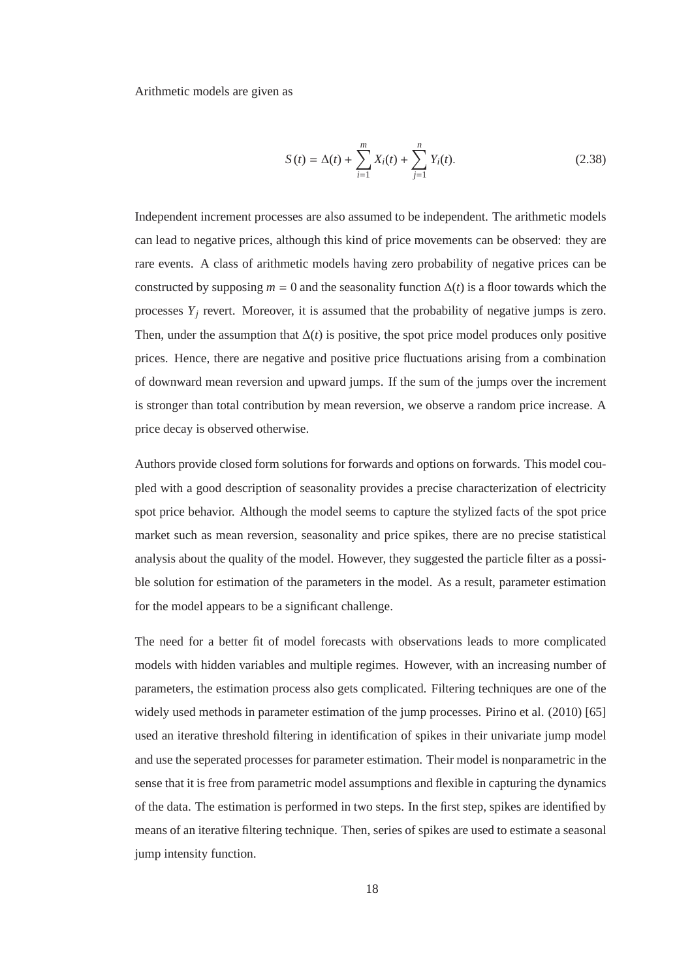Arithmetic models are given as

$$
S(t) = \Delta(t) + \sum_{i=1}^{m} X_i(t) + \sum_{j=1}^{n} Y_i(t).
$$
 (2.38)

Independent increment processes are also assumed to be independent. The arithmetic models can lead to negative prices, although this kind of price movements can be observed: they are rare events. A class of arithmetic models having zero probability of negative prices can be constructed by supposing  $m = 0$  and the seasonality function  $\Delta(t)$  is a floor towards which the processes  $Y_j$  revert. Moreover, it is assumed that the probability of negative jumps is zero. Then, under the assumption that  $\Delta(t)$  is positive, the spot price model produces only positive prices. Hence, there are negative and positive price fluctuations arising from a combination of downward mean reversion and upward jumps. If the sum of the jumps over the increment is stronger than total contribution by mean reversion, we observe a random price increase. A price decay is observed otherwise.

Authors provide closed form solutions for forwards and options on forwards. This model coupled with a good description of seasonality provides a precise characterization of electricity spot price behavior. Although the model seems to capture the stylized facts of the spot price market such as mean reversion, seasonality and price spikes, there are no precise statistical analysis about the quality of the model. However, they suggested the particle filter as a possible solution for estimation of the parameters in the model. As a result, parameter estimation for the model appears to be a significant challenge.

The need for a better fit of model forecasts with observations leads to more complicated models with hidden variables and multiple regimes. However, with an increasing number of parameters, the estimation process also gets complicated. Filtering techniques are one of the widely used methods in parameter estimation of the jump processes. Pirino et al. (2010) [65] used an iterative threshold filtering in identification of spikes in their univariate jump model and use the seperated processes for parameter estimation. Their model is nonparametric in the sense that it is free from parametric model assumptions and flexible in capturing the dynamics of the data. The estimation is performed in two steps. In the first step, spikes are identified by means of an iterative filtering technique. Then, series of spikes are used to estimate a seasonal jump intensity function.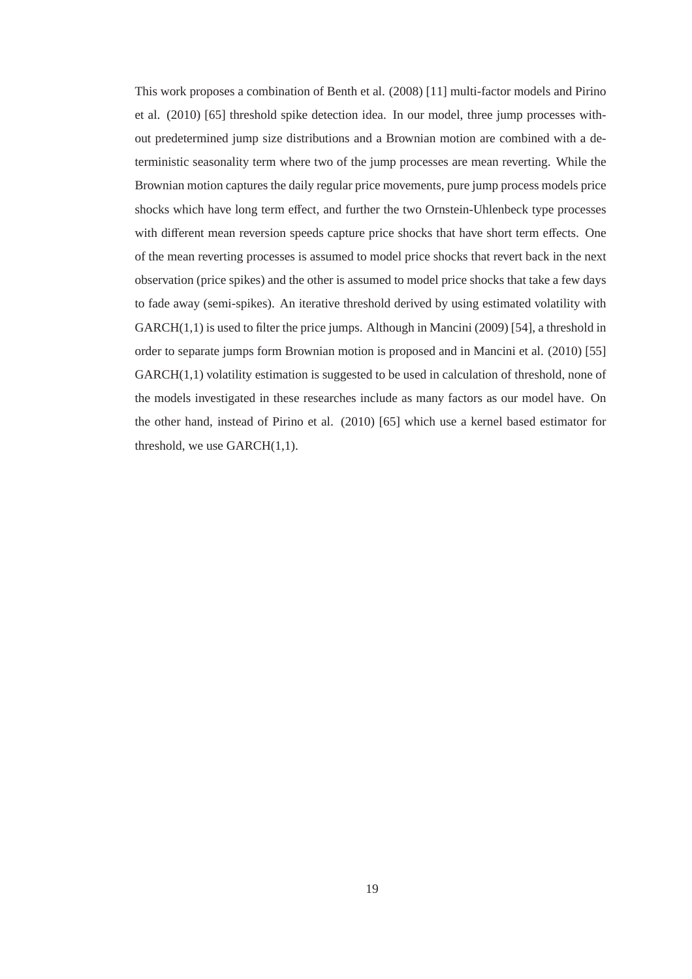This work proposes a combination of Benth et al. (2008) [11] multi-factor models and Pirino et al. (2010) [65] threshold spike detection idea. In our model, three jump processes without predetermined jump size distributions and a Brownian motion are combined with a deterministic seasonality term where two of the jump processes are mean reverting. While the Brownian motion captures the daily regular price movements, pure jump process models price shocks which have long term effect, and further the two Ornstein-Uhlenbeck type processes with different mean reversion speeds capture price shocks that have short term effects. One of the mean reverting processes is assumed to model price shocks that revert back in the next observation (price spikes) and the other is assumed to model price shocks that take a few days to fade away (semi-spikes). An iterative threshold derived by using estimated volatility with  $GARCH(1,1)$  is used to filter the price jumps. Although in Mancini (2009) [54], a threshold in order to separate jumps form Brownian motion is proposed and in Mancini et al. (2010) [55] GARCH(1,1) volatility estimation is suggested to be used in calculation of threshold, none of the models investigated in these researches include as many factors as our model have. On the other hand, instead of Pirino et al. (2010) [65] which use a kernel based estimator for threshold, we use GARCH(1,1).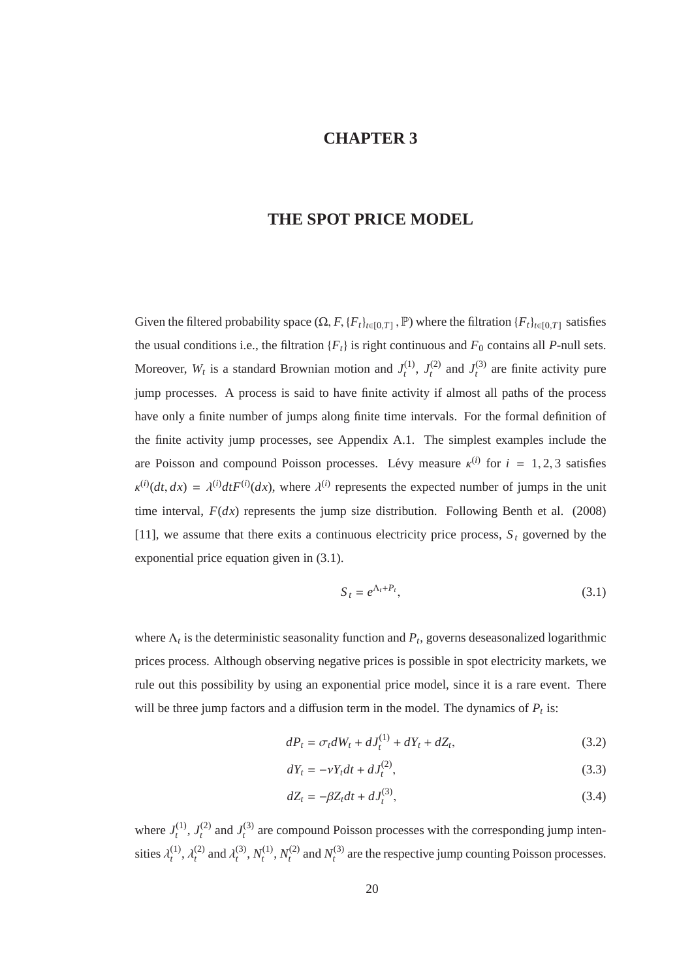# **CHAPTER 3**

## **THE SPOT PRICE MODEL**

Given the filtered probability space  $(\Omega, F, \{F_t\}_{t \in [0,T]}, \mathbb{P})$  where the filtration  $\{F_t\}_{t \in [0,T]}$  satisfies the usual conditions i.e., the filtration  ${F_t}$  is right continuous and  $F_0$  contains all *P*-null sets. Moreover,  $W_t$  is a standard Brownian motion and  $J_t^{(1)}$  $t^{(1)}$ ,  $J_t^{(2)}$  $I_t^{(2)}$  and  $J_t^{(3)}$  $t_t^{(3)}$  are finite activity pure jump processes. A process is said to have finite activity if almost all paths of the process have only a finite number of jumps along finite time intervals. For the formal definition of the finite activity jump processes, see Appendix A.1. The simplest examples include the are Poisson and compound Poisson processes. Lévy measure  $\kappa^{(i)}$  for  $i = 1, 2, 3$  satisfies  $\kappa^{(i)}(dt, dx) = \lambda^{(i)}dt F^{(i)}(dx)$ , where  $\lambda^{(i)}$  represents the expected number of jumps in the unit time interval,  $F(dx)$  represents the jump size distribution. Following Benth et al. (2008) [11], we assume that there exits a continuous electricity price process,  $S_t$  governed by the exponential price equation given in (3.1).

$$
S_t = e^{\Lambda_t + P_t},\tag{3.1}
$$

where  $\Lambda_t$  is the deterministic seasonality function and  $P_t$ , governs deseasonalized logarithmic prices process. Although observing negative prices is possible in spot electricity markets, we rule out this possibility by using an exponential price model, since it is a rare event. There will be three jump factors and a diffusion term in the model. The dynamics of  $P_t$  is:

$$
dP_t = \sigma_t dW_t + dJ_t^{(1)} + dY_t + dZ_t,
$$
\n(3.2)

$$
dY_t = -\nu Y_t dt + dJ_t^{(2)},
$$
\t(3.3)

$$
dZ_t = -\beta Z_t dt + dJ_t^{(3)},\tag{3.4}
$$

where  $J_t^{(1)}$  $J_t^{(1)}, J_t^{(2)}$  $I_t^{(2)}$  and  $J_t^{(3)}$  $t_t$ <sup>(3)</sup> are compound Poisson processes with the corresponding jump intensities  $\lambda_t^{(1)}$  $\lambda_t^{(1)}, \lambda_t^{(2)}$  $\lambda_t^{(2)}$  and  $\lambda_t^{(3)}$  $t^{(3)}$ ,  $N_t^{(1)}$  $t^{(1)}$ ,  $N_t^{(2)}$  $t_t^{(2)}$  and  $N_t^{(3)}$  $t_t^{(3)}$  are the respective jump counting Poisson processes.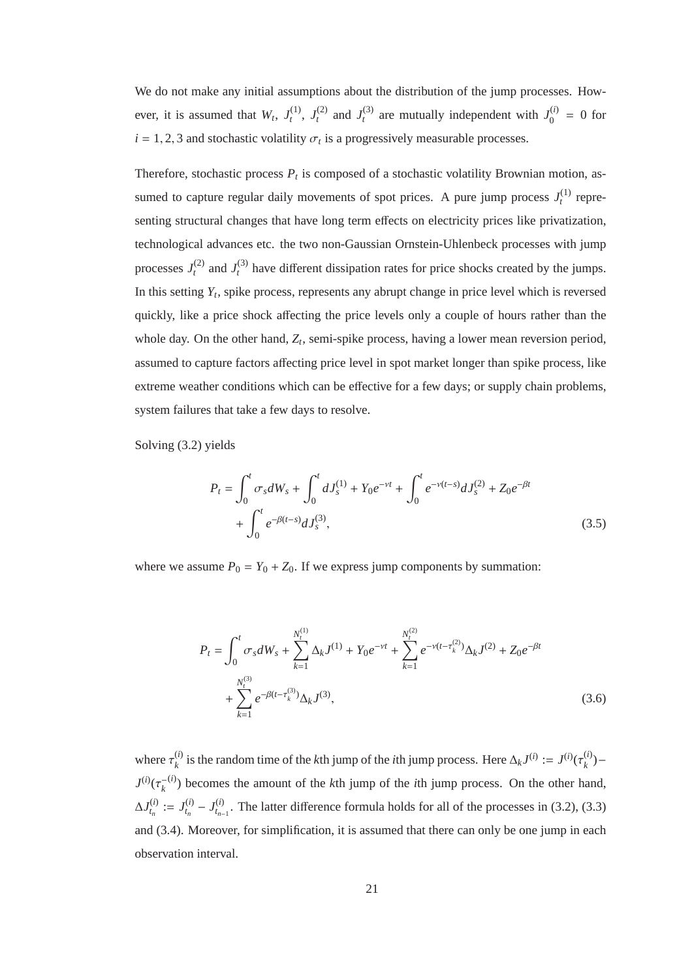We do not make any initial assumptions about the distribution of the jump processes. However, it is assumed that  $W_t$ ,  $J_t^{(1)}$  $t^{(1)},$   $J_t^{(2)}$  $I_t^{(2)}$  and  $J_t^{(3)}$  $t_t^{(3)}$  are mutually independent with  $J_0^{(i)}$  $_{0}^{(l)} = 0$  for  $i = 1, 2, 3$  and stochastic volatility  $\sigma_t$  is a progressively measurable processes.

Therefore, stochastic process  $P_t$  is composed of a stochastic volatility Brownian motion, assumed to capture regular daily movements of spot prices. A pure jump process  $J_t^{(1)}$  $t^{(1)}$  representing structural changes that have long term effects on electricity prices like privatization, technological advances etc. the two non-Gaussian Ornstein-Uhlenbeck processes with jump processes  $J_t^{(2)}$  $I_t^{(2)}$  and  $J_t^{(3)}$  $t_t^{(3)}$  have different dissipation rates for price shocks created by the jumps. In this setting *Y<sup>t</sup>* , spike process, represents any abrupt change in price level which is reversed quickly, like a price shock affecting the price levels only a couple of hours rather than the whole day. On the other hand, *Z<sup>t</sup>* , semi-spike process, having a lower mean reversion period, assumed to capture factors affecting price level in spot market longer than spike process, like extreme weather conditions which can be effective for a few days; or supply chain problems, system failures that take a few days to resolve.

Solving (3.2) yields

$$
P_t = \int_0^t \sigma_s dW_s + \int_0^t dJ_s^{(1)} + Y_0 e^{-\nu t} + \int_0^t e^{-\nu (t-s)} dJ_s^{(2)} + Z_0 e^{-\beta t} + \int_0^t e^{-\beta (t-s)} dJ_s^{(3)},
$$
\n(3.5)

where we assume  $P_0 = Y_0 + Z_0$ . If we express jump components by summation:

$$
P_{t} = \int_{0}^{t} \sigma_{s} dW_{s} + \sum_{k=1}^{N_{t}^{(1)}} \Delta_{k} J^{(1)} + Y_{0} e^{-\nu t} + \sum_{k=1}^{N_{t}^{(2)}} e^{-\nu (t - \tau_{k}^{(2)})} \Delta_{k} J^{(2)} + Z_{0} e^{-\beta t} + \sum_{k=1}^{N_{t}^{(3)}} e^{-\beta (t - \tau_{k}^{(3)})} \Delta_{k} J^{(3)},
$$
\n(3.6)

where  $\tau_{k}^{(i)}$  $k$ <sup>(*i*)</sup> is the random time of the *k*th jump of the *i*th jump process. Here  $\Delta_k J^{(i)} := J^{(i)}(\tau_k^{(i)})$ *k* )−  $J^{(i)}(\tau_{k}^{-})$ (*i*) ) becomes the amount of the *k*th jump of the *i*th jump process. On the other hand,  $\Delta J^{(i)}_{t_n}$  $t_n^{(i)} := J_{t_n}^{(i)}$  $J_{t_n}^{(i)} - J_{t_{n-1}}^{(i)}$  $t_{n-1}^{(i)}$ . The latter difference formula holds for all of the processes in (3.2), (3.3) and (3.4). Moreover, for simplification, it is assumed that there can only be one jump in each observation interval.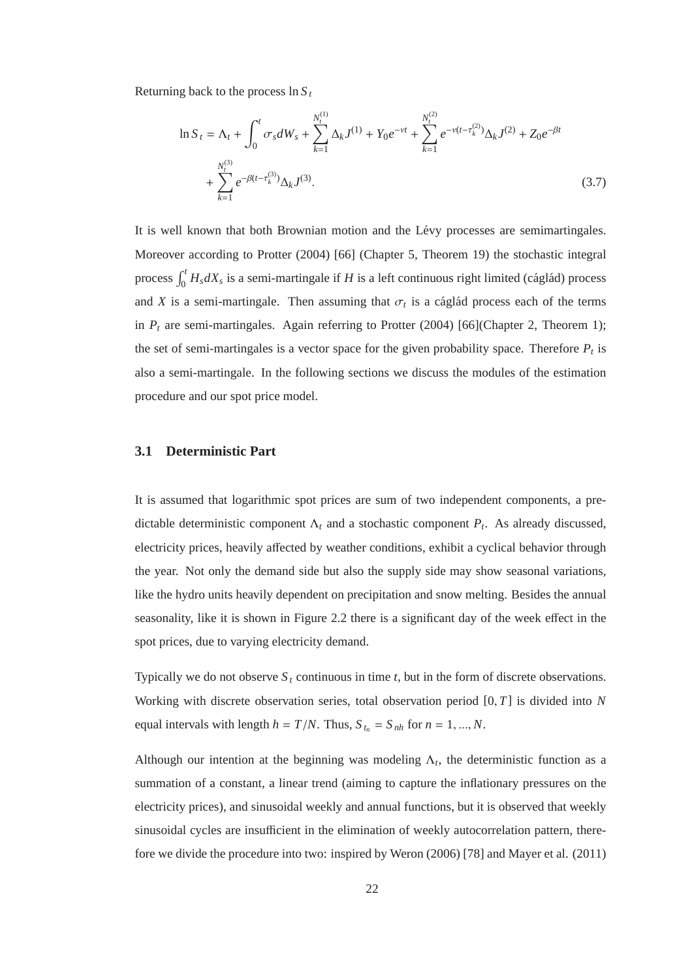Returning back to the process ln *S <sup>t</sup>*

$$
\ln S_t = \Lambda_t + \int_0^t \sigma_s dW_s + \sum_{k=1}^{N_t^{(1)}} \Delta_k J^{(1)} + Y_0 e^{-\nu t} + \sum_{k=1}^{N_t^{(2)}} e^{-\nu (t - \tau_k^{(2)})} \Delta_k J^{(2)} + Z_0 e^{-\beta t} + \sum_{k=1}^{N_t^{(3)}} e^{-\beta (t - \tau_k^{(3)})} \Delta_k J^{(3)}.
$$
\n(3.7)

It is well known that both Brownian motion and the Lévy processes are semimartingales. Moreover according to Protter (2004) [66] (Chapter 5, Theorem 19) the stochastic integral process  $\int_0^t H_s dX_s$  is a semi-martingale if *H* is a left continuous right limited (cáglád) process and *X* is a semi-martingale. Then assuming that  $\sigma_t$  is a cáglád process each of the terms in  $P_t$  are semi-martingales. Again referring to Protter (2004) [66](Chapter 2, Theorem 1); the set of semi-martingales is a vector space for the given probability space. Therefore  $P_t$  is also a semi-martingale. In the following sections we discuss the modules of the estimation procedure and our spot price model.

### **3.1 Deterministic Part**

It is assumed that logarithmic spot prices are sum of two independent components, a predictable deterministic component  $\Lambda_t$  and a stochastic component  $P_t$ . As already discussed, electricity prices, heavily affected by weather conditions, exhibit a cyclical behavior through the year. Not only the demand side but also the supply side may show seasonal variations, like the hydro units heavily dependent on precipitation and snow melting. Besides the annual seasonality, like it is shown in Figure 2.2 there is a significant day of the week effect in the spot prices, due to varying electricity demand.

Typically we do not observe  $S_t$  continuous in time  $t$ , but in the form of discrete observations. Working with discrete observation series, total observation period [0, *T*] is divided into *N* equal intervals with length  $h = T/N$ . Thus,  $S_{t_n} = S_{nh}$  for  $n = 1, ..., N$ .

Although our intention at the beginning was modeling  $\Lambda_t$ , the deterministic function as a summation of a constant, a linear trend (aiming to capture the inflationary pressures on the electricity prices), and sinusoidal weekly and annual functions, but it is observed that weekly sinusoidal cycles are insufficient in the elimination of weekly autocorrelation pattern, therefore we divide the procedure into two: inspired by Weron (2006) [78] and Mayer et al. (2011)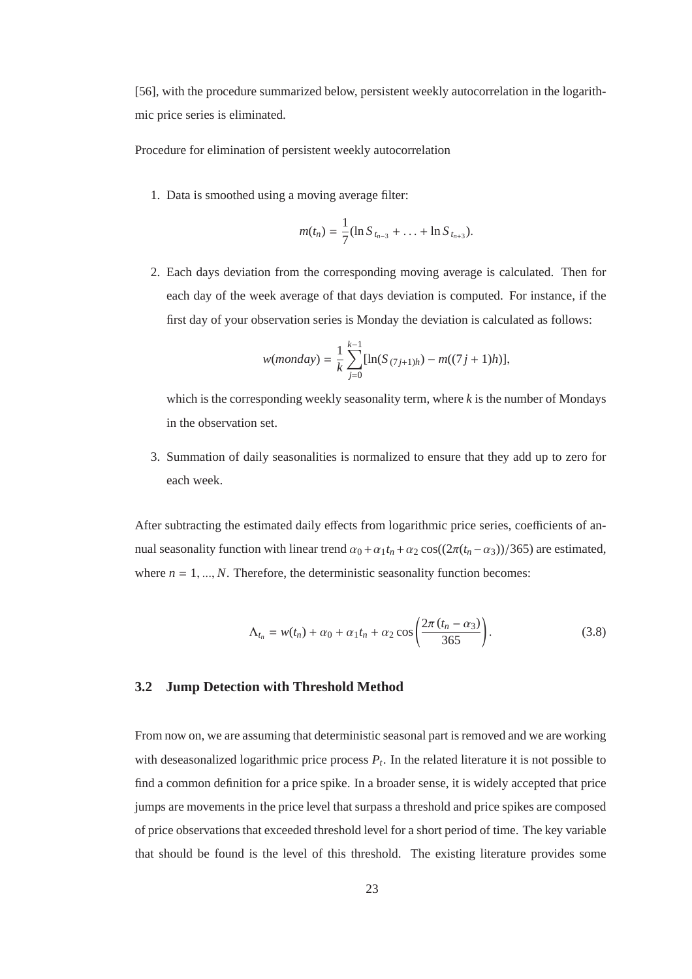[56], with the procedure summarized below, persistent weekly autocorrelation in the logarithmic price series is eliminated.

Procedure for elimination of persistent weekly autocorrelation

1. Data is smoothed using a moving average filter:

$$
m(t_n) = \frac{1}{7} (\ln S_{t_{n-3}} + \ldots + \ln S_{t_{n+3}}).
$$

2. Each days deviation from the corresponding moving average is calculated. Then for each day of the week average of that days deviation is computed. For instance, if the first day of your observation series is Monday the deviation is calculated as follows:

$$
w(monday) = \frac{1}{k} \sum_{j=0}^{k-1} [\ln(S_{(7j+1)h}) - m((7j+1)h)],
$$

which is the corresponding weekly seasonality term, where *k* is the number of Mondays in the observation set.

3. Summation of daily seasonalities is normalized to ensure that they add up to zero for each week.

After subtracting the estimated daily effects from logarithmic price series, coefficients of annual seasonality function with linear trend  $\alpha_0 + \alpha_1 t_n + \alpha_2 \cos((2\pi (t_n - \alpha_3))/365)$  are estimated, where  $n = 1, ..., N$ . Therefore, the deterministic seasonality function becomes:

$$
\Lambda_{t_n} = w(t_n) + \alpha_0 + \alpha_1 t_n + \alpha_2 \cos\left(\frac{2\pi (t_n - \alpha_3)}{365}\right). \tag{3.8}
$$

## **3.2 Jump Detection with Threshold Method**

From now on, we are assuming that deterministic seasonal part is removed and we are working with deseasonalized logarithmic price process  $P_t$ . In the related literature it is not possible to find a common definition for a price spike. In a broader sense, it is widely accepted that price jumps are movements in the price level that surpass a threshold and price spikes are composed of price observations that exceeded threshold level for a short period of time. The key variable that should be found is the level of this threshold. The existing literature provides some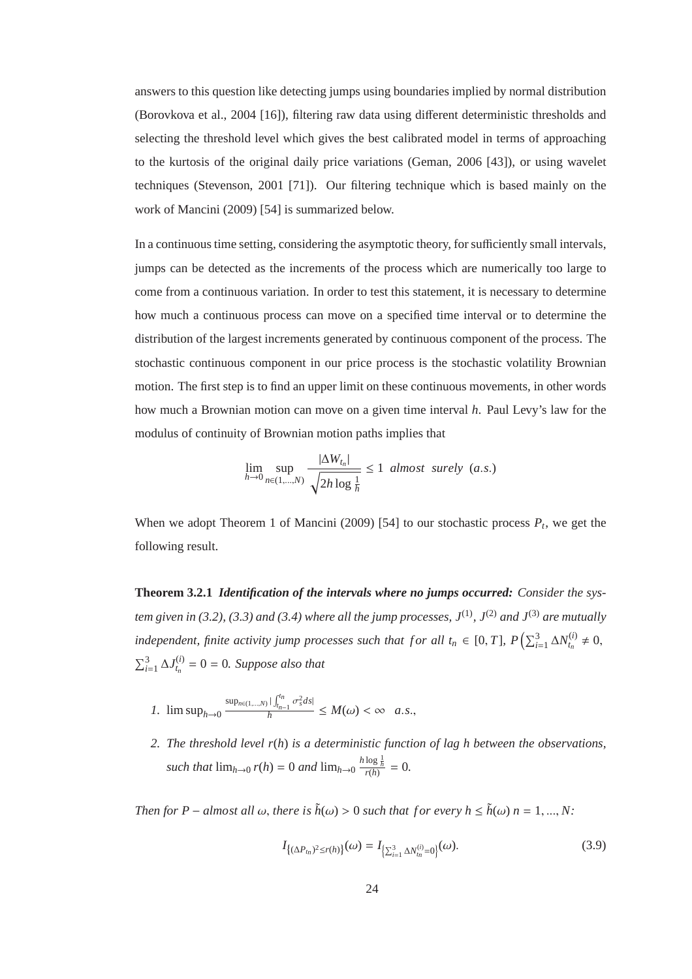answers to this question like detecting jumps using boundaries implied by normal distribution (Borovkova et al., 2004 [16]), filtering raw data using different deterministic thresholds and selecting the threshold level which gives the best calibrated model in terms of approaching to the kurtosis of the original daily price variations (Geman, 2006 [43]), or using wavelet techniques (Stevenson, 2001 [71]). Our filtering technique which is based mainly on the work of Mancini (2009) [54] is summarized below.

In a continuous time setting, considering the asymptotic theory, for sufficiently small intervals, jumps can be detected as the increments of the process which are numerically too large to come from a continuous variation. In order to test this statement, it is necessary to determine how much a continuous process can move on a specified time interval or to determine the distribution of the largest increments generated by continuous component of the process. The stochastic continuous component in our price process is the stochastic volatility Brownian motion. The first step is to find an upper limit on these continuous movements, in other words how much a Brownian motion can move on a given time interval *h*. Paul Levy's law for the modulus of continuity of Brownian motion paths implies that

$$
\lim_{h \to 0} \sup_{n \in (1, \dots, N)} \frac{|\Delta W_{t_n}|}{\sqrt{2h \log \frac{1}{h}}} \le 1 \text{ almost surely } (a.s.)
$$

When we adopt Theorem 1 of Mancini (2009) [54] to our stochastic process  $P_t$ , we get the following result.

**Theorem 3.2.1** *Identification of the intervals where no jumps occurred: Consider the system given in (3.2), (3.3) and (3.4) where all the jump processes,*  $J^{(1)}$ *,*  $J^{(2)}$  *and*  $J^{(3)}$  *are mutually independent, finite activity jump processes such that for all*  $t_n \in [0, T]$ *,*  $P\left(\sum_{i=1}^3 \Delta N_{t_n}^{(i)}\right)$  $t_n^{(i)} \neq 0,$  $\sum_{i=1}^3 \Delta J_{t_n}^{(i)}$  $t_{n}^{(t)} = 0 = 0$ . Suppose also that

- *1*.  $\limsup_{h\to 0} \frac{\sup_{n\in(1,\ldots,N)} |\int_{t_n}^{t_n}}{h}$  $\int_{t_{n-1}}^{t_n} \sigma_s^2 ds$  $\frac{d_{n-1}}{d_n} \leq M(\omega) < \infty$  *a.s.*,
- *2. The threshold level r*(*h*) *is a deterministic function of lag h between the observations, such that*  $\lim_{h\to 0} r(h) = 0$  *and*  $\lim_{h\to 0} \frac{h \log \frac{1}{h}}{r(h)} = 0$ .

*Then for P* – *almost all*  $\omega$ , *there is*  $\tilde{h}(\omega) > 0$  *such that for every h*  $\leq \tilde{h}(\omega)$  *n* = 1, ..., *N*:

$$
I_{\{(\Delta P_{t_n})^2 \le r(h)\}}(\omega) = I_{\{\sum_{i=1}^3 \Delta N_{t_n}^{(i)} = 0\}}(\omega).
$$
\n(3.9)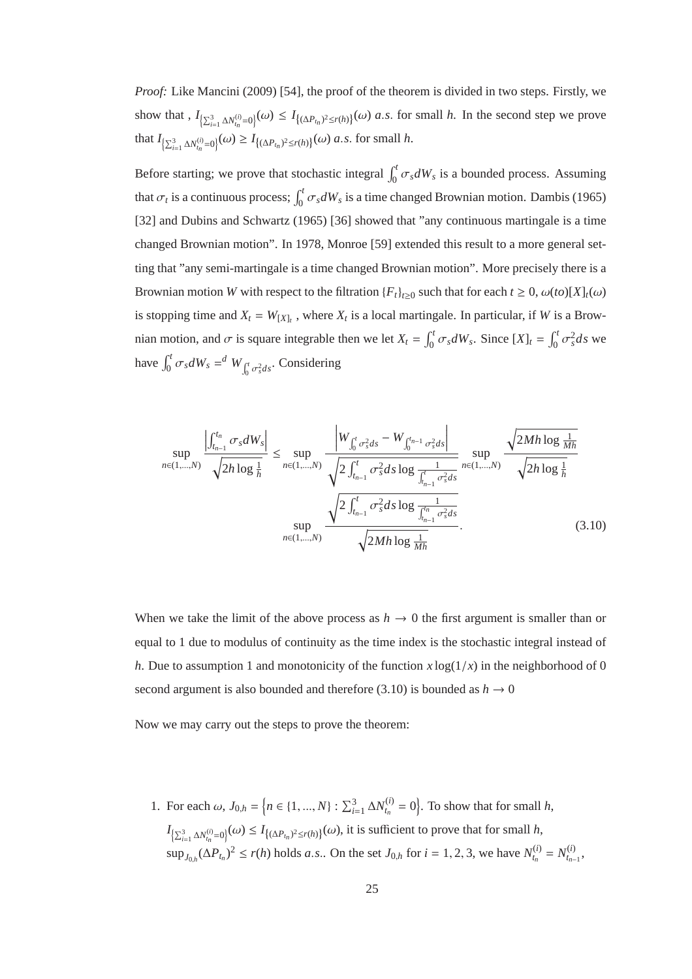*Proof:* Like Mancini (2009) [54], the proof of the theorem is divided in two steps. Firstly, we show that ,  $I_{\left\{\sum_{i=1}^{3} \Delta N_{t_n}^{(i)}=0\right\}}(\omega) \leq I_{\left\{\left(\Delta P_{t_n}\right)^2 \leq r(h)\right\}}(\omega)$  *a.s.* for small *h*. In the second step we prove that  $I_{\left\{\sum_{i=1}^{3} \Delta N_{t_{n}}^{(i)}=0\right\}}(\omega) \geq I_{\left\{\left(\Delta P_{t_{n}}\right)^{2} \leq r(h)\right\}}(\omega) \text{ a.s. for small } h.$ 

Before starting; we prove that stochastic integral  $\int_0^t \sigma_s dW_s$  is a bounded process. Assuming that  $\sigma_t$  is a continuous process;  $\int_0^t \sigma_s dW_s$  is a time changed Brownian motion. Dambis (1965) [32] and Dubins and Schwartz (1965) [36] showed that "any continuous martingale is a time changed Brownian motion". In 1978, Monroe [59] extended this result to a more general setting that "any semi-martingale is a time changed Brownian motion". More precisely there is a Brownian motion *W* with respect to the filtration  ${F_t}_{t\ge0}$  such that for each  $t \ge 0$ ,  $\omega(t_0)[X]_t(\omega)$ is stopping time and  $X_t = W_{[X]_t}$ , where  $X_t$  is a local martingale. In particular, if *W* is a Brownian motion, and  $\sigma$  is square integrable then we let  $X_t = \int_0^t \sigma_s dW_s$ . Since  $[X]_t = \int_0^t \sigma_s^2 ds$  we have  $\int_0^t \sigma_s dW_s = \int_0^t W_{\int_0^t \sigma_s^2 ds}$ . Considering

$$
\sup_{n\in(1,\ldots,N)} \frac{\left|\int_{t_{n-1}}^{t_n} \sigma_s dW_s\right|}{\sqrt{2h\log\frac{1}{h}}} \leq \sup_{n\in(1,\ldots,N)} \frac{\left|W_{\int_0^t \sigma_s^2 ds} - W_{\int_0^{t_{n-1}} \sigma_s^2 ds}\right|}{\sqrt{2\int_{t_{n-1}}^t \sigma_s^2 ds \log\frac{1}{\int_{t_{n-1}}^t \sigma_s^2 ds}}}\sup_{n\in(1,\ldots,N)} \frac{\sqrt{2Mh\log\frac{1}{Mh}}}{\sqrt{2h\log\frac{1}{h}}}
$$
\n
$$
\sup_{n\in(1,\ldots,N)} \frac{\sqrt{2\int_{t_{n-1}}^t \sigma_s^2 ds \log\frac{1}{\int_{t_{n-1}}^t \sigma_s^2 ds}}}{\sqrt{2Mh\log\frac{1}{Mh}}}.
$$
\n(3.10)

When we take the limit of the above process as  $h \to 0$  the first argument is smaller than or equal to 1 due to modulus of continuity as the time index is the stochastic integral instead of *h*. Due to assumption 1 and monotonicity of the function  $x \log(1/x)$  in the neighborhood of 0 second argument is also bounded and therefore (3.10) is bounded as  $h \to 0$ 

Now we may carry out the steps to prove the theorem:

1. For each  $\omega$ ,  $J_{0,h} = \left\{ n \in \{1, ..., N\} : \sum_{i=1}^{3} \Delta N_{t_n}^{(i)} \right\}$  $t_n^{(i)} = 0$ . To show that for small *h*,  $I_{\left\{\sum_{i=1}^{3} \Delta N_{t_n}^{(i)}=0\right\}}(\omega) \leq I_{\left\{\left(\Delta P_{t_n}\right)^2 \leq r(h)\right\}}(\omega)$ , it is sufficient to prove that for small *h*,  $\sup_{J_{0,h}} (\Delta P_{t_n})^2 \le r(h)$  holds *a.s.*. On the set  $J_{0,h}$  for  $i = 1, 2, 3$ , we have  $N_{t_n}^{(i)}$  $t_n^{(i)} = N_{t_{n-1}}^{(i)}$  $t_{n-1}$ <sup>,</sup>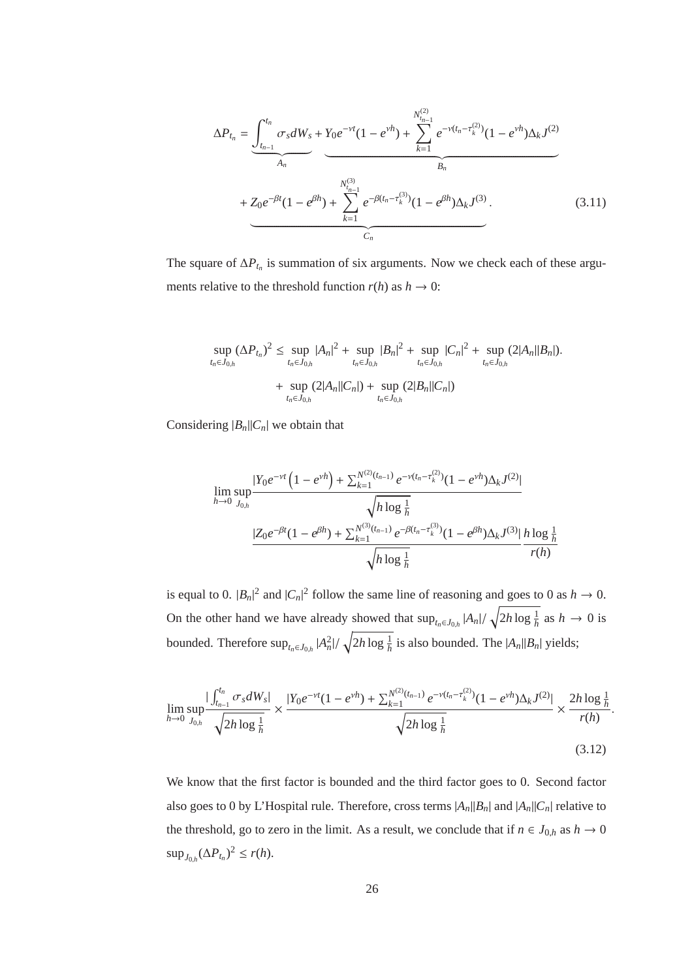$$
\Delta P_{t_n} = \underbrace{\int_{t_{n-1}}^{t_n} \sigma_s dW_s + Y_0 e^{-\nu t} (1 - e^{\nu h}) + \sum_{k=1}^{N_{t_{n-1}}^{(2)}} e^{-\nu (t_n - \tau_k^{(2)})} (1 - e^{\nu h}) \Delta_k J^{(2)}}_{A_n} + Z_0 e^{-\beta t} (1 - e^{\beta h}) + \sum_{k=1}^{N_{t_{n-1}}^{(3)}} e^{-\beta (t_n - \tau_k^{(3)})} (1 - e^{\beta h}) \Delta_k J^{(3)}.
$$
\n(3.11)

The square of  $\Delta P_{t_n}$  is summation of six arguments. Now we check each of these arguments relative to the threshold function  $r(h)$  as  $h \to 0$ :

$$
\sup_{t_n \in J_{0,h}} (\Delta P_{t_n})^2 \leq \sup_{t_n \in J_{0,h}} |A_n|^2 + \sup_{t_n \in J_{0,h}} |B_n|^2 + \sup_{t_n \in J_{0,h}} |C_n|^2 + \sup_{t_n \in J_{0,h}} (2|A_n||B_n|).
$$
  
+ 
$$
\sup_{t_n \in J_{0,h}} (2|A_n||C_n|) + \sup_{t_n \in J_{0,h}} (2|B_n||C_n|)
$$

Considering  $|B_n||C_n|$  we obtain that

$$
\lim_{h \to 0} \sup_{J_{0,h}} \frac{|Y_0 e^{-\nu t} (1 - e^{\nu h}) + \sum_{k=1}^{N^{(2)}(t_{n-1})} e^{-\nu (t_n - \tau_k^{(2)})} (1 - e^{\nu h}) \Delta_k J^{(2)}|}{\sqrt{h \log \frac{1}{h}}}
$$
\n
$$
\frac{|Z_0 e^{-\beta t} (1 - e^{\beta h}) + \sum_{k=1}^{N^{(3)}(t_{n-1})} e^{-\beta (t_n - \tau_k^{(3)})} (1 - e^{\beta h}) \Delta_k J^{(3)}|}{\sqrt{h \log \frac{1}{h}} \frac{h \log \frac{1}{h}}{r(h)}}
$$

is equal to 0.  $|B_n|^2$  and  $|C_n|^2$  follow the same line of reasoning and goes to 0 as  $h \to 0$ . On the other hand we have already showed that  $\sup_{t_n \in J_{0,h}} |A_n| / \sqrt{2h \log \frac{1}{h}}$  as  $h \to 0$  is bounded. Therefore  $\sup_{t_n \in J_{0,h}} |A_n^2| / \sqrt{2h \log \frac{1}{h}}$  is also bounded. The  $|A_n||B_n|$  yields;

$$
\lim_{h \to 0} \sup_{J_{0,h}} \frac{|\int_{t_{n-1}}^{t_n} \sigma_s dW_s|}{\sqrt{2h \log \frac{1}{h}}} \times \frac{|Y_0 e^{-\nu t} (1 - e^{\nu h}) + \sum_{k=1}^{N^{(2)}(t_{n-1})} e^{-\nu (t_n - \tau_k^{(2)})} (1 - e^{\nu h}) \Delta_k J^{(2)}|}{\sqrt{2h \log \frac{1}{h}}} \times \frac{2h \log \frac{1}{h}}{r(h)}.
$$
\n(3.12)

We know that the first factor is bounded and the third factor goes to 0. Second factor also goes to 0 by L'Hospital rule. Therefore, cross terms  $|A_n||B_n|$  and  $|A_n||C_n|$  relative to the threshold, go to zero in the limit. As a result, we conclude that if  $n \in J_{0,h}$  as  $h \to 0$ sup<sub>*J*<sub>0,*h*</sub></sub>(∆*P*<sub>*t<sub>n</sub>*</sub>)<sup>2</sup> ≤ *r*(*h*).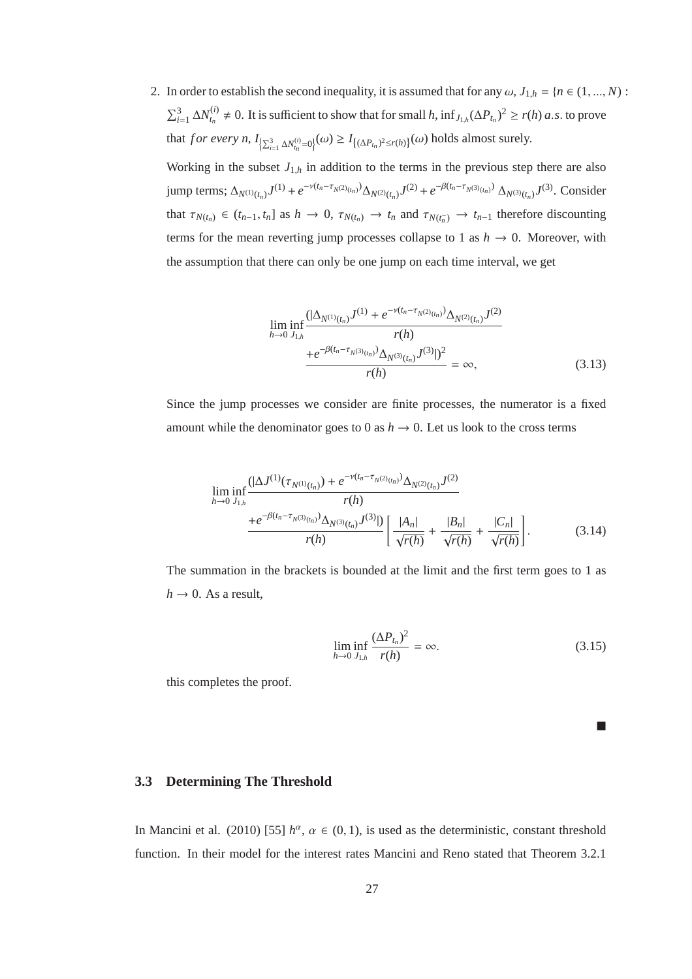2. In order to establish the second inequality, it is assumed that for any  $\omega$ ,  $J_{1,h} = \{n \in (1, ..., N)$ :  $\sum_{i=1}^{3} \Delta N_{t_n}^{(i)}$  $t_n^{(i)}$  ≠ 0. It is sufficient to show that for small *h*,  $\inf_{J_{1,h}} (\Delta P_{t_n})^2 \ge r(h)$  *a.s.* to prove that *for every n*,  $I_{\left\{\sum_{i=1}^{3} \Delta N_{t_n}^{(i)}=0\right\}}(\omega) \ge I_{\left\{\left(\Delta P_{t_n}\right)^2 \le r(h)\right\}}(\omega)$  holds almost surely.

Working in the subset  $J_{1,h}$  in addition to the terms in the previous step there are also jump terms;  $\Delta_{N^{(1)}(t_n)} J^{(1)} + e^{-\nu(t_n - \tau_{N^{(2)}(t_n)})} \Delta_{N^{(2)}(t_n)} J^{(2)} + e^{-\beta(t_n - \tau_{N^{(3)}(t_n)})} \Delta_{N^{(3)}(t_n)} J^{(3)}$ . Consider that  $\tau_{N(t_n)} \in (t_{n-1}, t_n]$  as  $h \to 0$ ,  $\tau_{N(t_n)} \to t_n$  and  $\tau_{N(t_n^-)} \to t_{n-1}$  therefore discounting terms for the mean reverting jump processes collapse to 1 as  $h \to 0$ . Moreover, with the assumption that there can only be one jump on each time interval, we get

$$
\lim_{h \to 0} \inf_{J_{1,h}} \frac{(|\Delta_{N^{(1)}(t_n)} J^{(1)} + e^{-\nu(t_n - \tau_{N^{(2)}(t_n)})} \Delta_{N^{(2)}(t_n)} J^{(2)}}{r(h)} \frac{+e^{-\beta(t_n - \tau_{N^{(3)}(t_n)})} \Delta_{N^{(3)}(t_n)} J^{(3)}|^2}{r(h)} = \infty, \tag{3.13}
$$

Since the jump processes we consider are finite processes, the numerator is a fixed amount while the denominator goes to 0 as  $h \to 0$ . Let us look to the cross terms

$$
\liminf_{h \to 0} \frac{(|\Delta J^{(1)}(\tau_{N^{(1)}(t_n)}) + e^{-\nu(t_n - \tau_{N^{(2)}(t_n)})} \Delta_{N^{(2)}(t_n)} J^{(2)}}{r(h)} \frac{+e^{-\beta(t_n - \tau_{N^{(3)}(t_n)})} \Delta_{N^{(3)}(t_n)} J^{(3)}|)}{r(h)} \left[ \frac{|A_n|}{\sqrt{r(h)}} + \frac{|B_n|}{\sqrt{r(h)}} + \frac{|C_n|}{\sqrt{r(h)}} \right].
$$
\n(3.14)

The summation in the brackets is bounded at the limit and the first term goes to 1 as  $h \rightarrow 0$ . As a result,

$$
\liminf_{h \to 0} \frac{(\Delta P_{t_n})^2}{r(h)} = \infty.
$$
\n(3.15)

this completes the proof.

 $\mathcal{L}_{\mathcal{A}}$ 

## **3.3 Determining The Threshold**

In Mancini et al. (2010) [55]  $h^{\alpha}$ ,  $\alpha \in (0, 1)$ , is used as the deterministic, constant threshold function. In their model for the interest rates Mancini and Reno stated that Theorem 3.2.1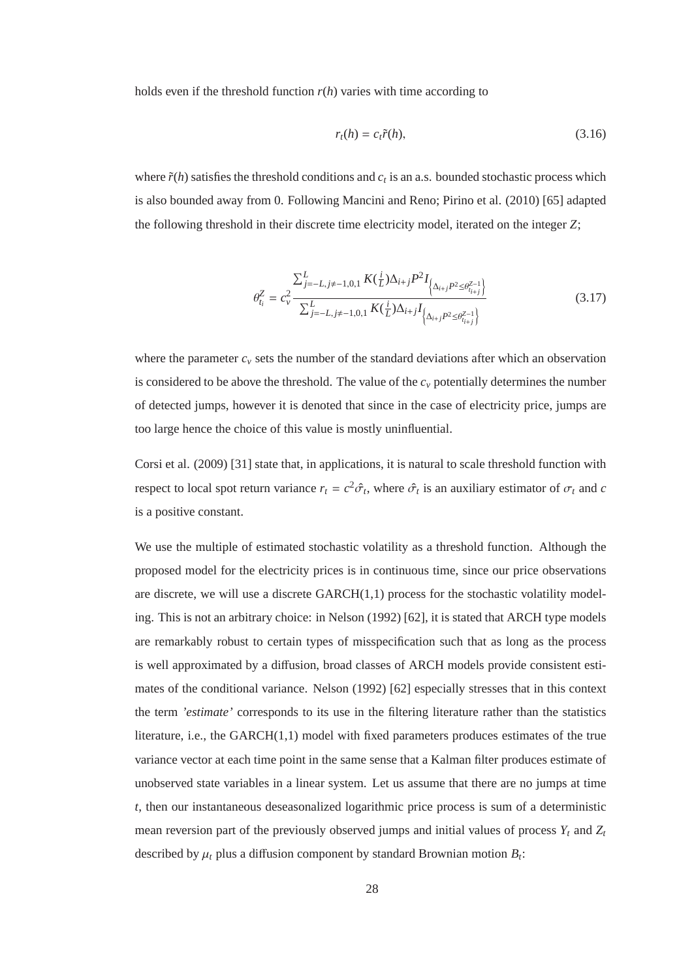holds even if the threshold function  $r(h)$  varies with time according to

$$
r_t(h) = c_t \tilde{r}(h),\tag{3.16}
$$

where  $\tilde{r}(h)$  satisfies the threshold conditions and  $c_t$  is an a.s. bounded stochastic process which is also bounded away from 0. Following Mancini and Reno; Pirino et al. (2010) [65] adapted the following threshold in their discrete time electricity model, iterated on the integer *Z*;

$$
\theta_{t_i}^Z = c_\nu^2 \frac{\sum_{j=-L, j\neq-1, 0, 1}^L K(\frac{i}{L}) \Delta_{i+j} P^2 I_{\left\{\Delta_{i+j} P^2 \leq \theta_{t_{i+j}}^{Z-1}\right\}}}{\sum_{j=-L, j\neq-1, 0, 1}^L K(\frac{i}{L}) \Delta_{i+j} I_{\left\{\Delta_{i+j} P^2 \leq \theta_{t_{i+j}}^{Z-1}\right\}}}
$$
(3.17)

where the parameter  $c<sub>v</sub>$  sets the number of the standard deviations after which an observation is considered to be above the threshold. The value of the  $c<sub>v</sub>$  potentially determines the number of detected jumps, however it is denoted that since in the case of electricity price, jumps are too large hence the choice of this value is mostly uninfluential.

Corsi et al. (2009) [31] state that, in applications, it is natural to scale threshold function with respect to local spot return variance  $r_t = c^2 \hat{\sigma}_t$ , where  $\hat{\sigma}_t$  is an auxiliary estimator of  $\sigma_t$  and *c* is a positive constant.

We use the multiple of estimated stochastic volatility as a threshold function. Although the proposed model for the electricity prices is in continuous time, since our price observations are discrete, we will use a discrete GARCH(1,1) process for the stochastic volatility modeling. This is not an arbitrary choice: in Nelson (1992) [62], it is stated that ARCH type models are remarkably robust to certain types of misspecification such that as long as the process is well approximated by a diffusion, broad classes of ARCH models provide consistent estimates of the conditional variance. Nelson (1992) [62] especially stresses that in this context the term *'estimate'* corresponds to its use in the filtering literature rather than the statistics literature, i.e., the GARCH(1,1) model with fixed parameters produces estimates of the true variance vector at each time point in the same sense that a Kalman filter produces estimate of unobserved state variables in a linear system. Let us assume that there are no jumps at time *t*, then our instantaneous deseasonalized logarithmic price process is sum of a deterministic mean reversion part of the previously observed jumps and initial values of process *Y<sup>t</sup>* and *Z<sup>t</sup>* described by  $\mu_t$  plus a diffusion component by standard Brownian motion  $B_t$ :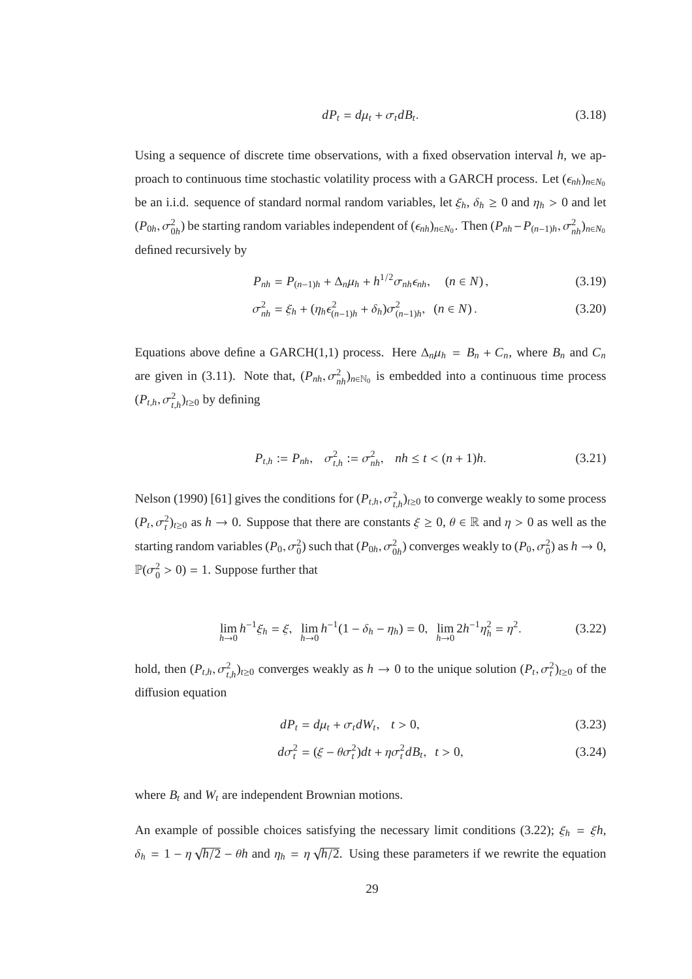$$
dP_t = d\mu_t + \sigma_t dB_t. \tag{3.18}
$$

Using a sequence of discrete time observations, with a fixed observation interval *h*, we approach to continuous time stochastic volatility process with a GARCH process. Let  $(\epsilon_{nh})_{n \in N_0}$ be an i.i.d. sequence of standard normal random variables, let  $\xi_h$ ,  $\delta_h \ge 0$  and  $\eta_h > 0$  and let  $(P_{0h}, \sigma_{0h}^2)$  be starting random variables independent of  $(\epsilon_{nh})_{n \in N_0}$ . Then  $(P_{nh}-P_{(n-1)h}, \sigma_{nh}^2)_{n \in N_0}$ defined recursively by

$$
P_{nh} = P_{(n-1)h} + \Delta_n \mu_h + h^{1/2} \sigma_{nh} \epsilon_{nh}, \quad (n \in N), \tag{3.19}
$$

$$
\sigma_{nh}^2 = \xi_h + (\eta_h \epsilon_{(n-1)h}^2 + \delta_h) \sigma_{(n-1)h}^2, \quad (n \in N).
$$
 (3.20)

Equations above define a GARCH(1,1) process. Here  $\Delta_n \mu_h = B_n + C_n$ , where  $B_n$  and  $C_n$ are given in (3.11). Note that,  $(P_{nh}, \sigma_{nh}^2)_{n \in \mathbb{N}_0}$  is embedded into a continuous time process  $(P_{t,h}, \sigma_{t,h}^2)_{t \geq 0}$  by defining

$$
P_{t,h} := P_{nh}, \quad \sigma_{t,h}^2 := \sigma_{nh}^2, \quad nh \le t < (n+1)h. \tag{3.21}
$$

Nelson (1990) [61] gives the conditions for  $(P_{t,h}, \sigma_{t,h}^2)_{t\geq0}$  to converge weakly to some process  $(P_t, \sigma_t^2)_{t\geq0}$  as  $h \to 0$ . Suppose that there are constants  $\xi \geq 0$ ,  $\theta \in \mathbb{R}$  and  $\eta > 0$  as well as the starting random variables  $(P_0, \sigma_0^2)$  such that  $(P_{0h}, \sigma_{0h}^2)$  converges weakly to  $(P_0, \sigma_0^2)$  as  $h \to 0$ ,  $\mathbb{P}(\sigma_0^2 > 0) = 1$ . Suppose further that

$$
\lim_{h \to 0} h^{-1} \xi_h = \xi, \quad \lim_{h \to 0} h^{-1} (1 - \delta_h - \eta_h) = 0, \quad \lim_{h \to 0} 2h^{-1} \eta_h^2 = \eta^2. \tag{3.22}
$$

hold, then  $(P_{t,h}, \sigma_{t,h}^2)_{t\geq 0}$  converges weakly as  $h \to 0$  to the unique solution  $(P_t, \sigma_t^2)_{t\geq 0}$  of the diffusion equation

$$
dP_t = d\mu_t + \sigma_t dW_t, \quad t > 0,
$$
\n(3.23)

$$
d\sigma_t^2 = (\xi - \theta \sigma_t^2)dt + \eta \sigma_t^2 dB_t, \quad t > 0,
$$
\n(3.24)

where  $B_t$  and  $W_t$  are independent Brownian motions.

An example of possible choices satisfying the necessary limit conditions (3.22);  $\xi_h = \xi h$ ,  $\delta_h = 1 - \eta \sqrt{h/2} - \theta h$  and  $\eta_h = \eta \sqrt{h/2}$ . Using these parameters if we rewrite the equation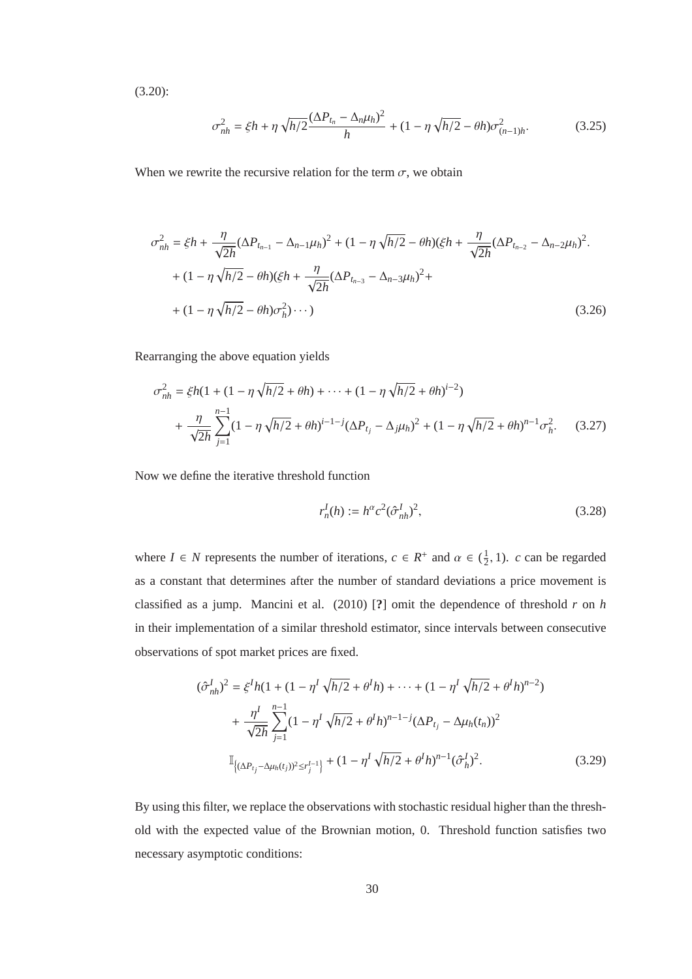(3.20):

$$
\sigma_{nh}^2 = \xi h + \eta \sqrt{h/2} \frac{(\Delta P_{t_n} - \Delta_n \mu_h)^2}{h} + (1 - \eta \sqrt{h/2} - \theta h) \sigma_{(n-1)h}^2.
$$
 (3.25)

When we rewrite the recursive relation for the term  $\sigma$ , we obtain

$$
\sigma_{nh}^{2} = \xi h + \frac{\eta}{\sqrt{2h}} (\Delta P_{t_{n-1}} - \Delta_{n-1} \mu_{h})^{2} + (1 - \eta \sqrt{h/2} - \theta h)(\xi h + \frac{\eta}{\sqrt{2h}} (\Delta P_{t_{n-2}} - \Delta_{n-2} \mu_{h})^{2}.
$$
  
+  $(1 - \eta \sqrt{h/2} - \theta h)(\xi h + \frac{\eta}{\sqrt{2h}} (\Delta P_{t_{n-3}} - \Delta_{n-3} \mu_{h})^{2} + (1 - \eta \sqrt{h/2} - \theta h) \sigma_{h}^{2}) \cdots)$  (3.26)

Rearranging the above equation yields

$$
\sigma_{nh}^2 = \xi h (1 + (1 - \eta \sqrt{h/2} + \theta h) + \dots + (1 - \eta \sqrt{h/2} + \theta h)^{i-2})
$$
  
+ 
$$
\frac{\eta}{\sqrt{2h}} \sum_{j=1}^{n-1} (1 - \eta \sqrt{h/2} + \theta h)^{i-1-j} (\Delta P_{t_j} - \Delta_j \mu_h)^2 + (1 - \eta \sqrt{h/2} + \theta h)^{n-1} \sigma_h^2.
$$
 (3.27)

Now we define the iterative threshold function

$$
r_n^I(h) := h^{\alpha} c^2 (\hat{\sigma}_{nh}^I)^2,
$$
\n(3.28)

where  $I \in N$  represents the number of iterations,  $c \in R^+$  and  $\alpha \in (\frac{1}{2})$  $\frac{1}{2}$ , 1). *c* can be regarded as a constant that determines after the number of standard deviations a price movement is classified as a jump. Mancini et al. (2010) [**?**] omit the dependence of threshold *r* on *h* in their implementation of a similar threshold estimator, since intervals between consecutive observations of spot market prices are fixed.

$$
(\hat{\sigma}_{nh}^{I})^{2} = \xi^{I} h (1 + (1 - \eta^{I} \sqrt{h/2} + \theta^{I} h) + \dots + (1 - \eta^{I} \sqrt{h/2} + \theta^{I} h)^{n-2})
$$
  
+ 
$$
\frac{\eta^{I}}{\sqrt{2h}} \sum_{j=1}^{n-1} (1 - \eta^{I} \sqrt{h/2} + \theta^{I} h)^{n-1-j} (\Delta P_{t_{j}} - \Delta \mu_{h}(t_{n}))^{2}
$$
  

$$
\mathbb{I}_{\{(\Delta P_{t_{j}} - \Delta \mu_{h}(t_{j}))^{2} \le r_{j}^{I-1}\}} + (1 - \eta^{I} \sqrt{h/2} + \theta^{I} h)^{n-1} (\hat{\sigma}_{h}^{I})^{2}.
$$
 (3.29)

By using this filter, we replace the observations with stochastic residual higher than the threshold with the expected value of the Brownian motion, 0. Threshold function satisfies two necessary asymptotic conditions: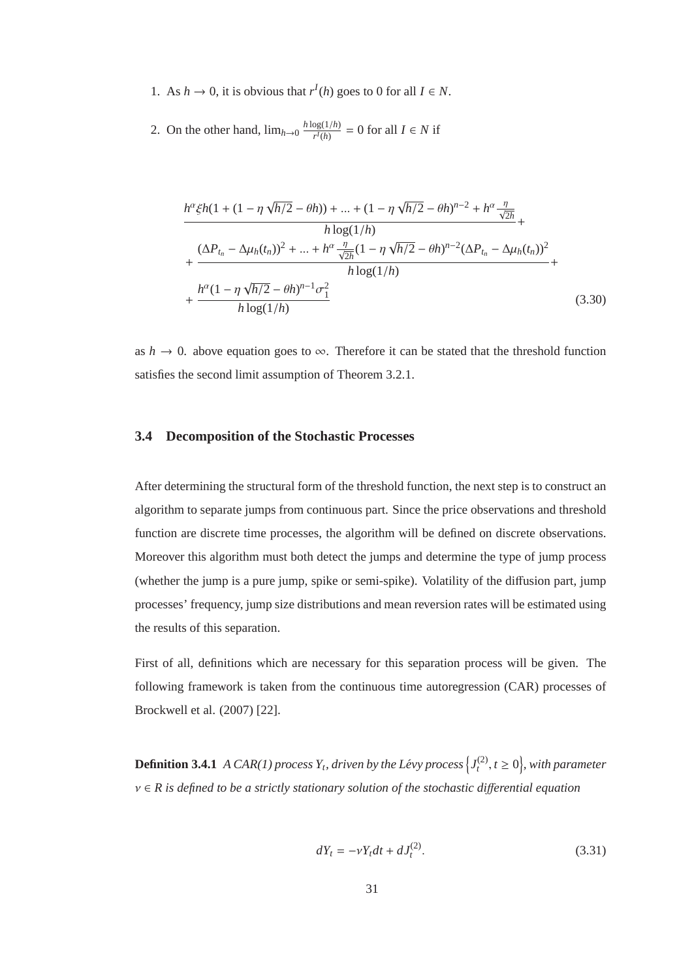1. As  $h \to 0$ , it is obvious that  $r^I(h)$  goes to 0 for all  $I \in N$ .

2. On the other hand,  $\lim_{h\to 0} \frac{h \log(1/h)}{r^l(h)}$  $\frac{\log(1/n)}{r^I(h)} = 0$  for all  $I \in N$  if

$$
\frac{h^{\alpha}\xi h(1 + (1 - \eta \sqrt{h/2} - \theta h)) + \dots + (1 - \eta \sqrt{h/2} - \theta h)^{n-2} + h^{\alpha} \frac{\eta}{\sqrt{2h}}}{h \log(1/h)} + \frac{(\Delta P_{t_n} - \Delta \mu_h(t_n))^2 + \dots + h^{\alpha} \frac{\eta}{\sqrt{2h}} (1 - \eta \sqrt{h/2} - \theta h)^{n-2} (\Delta P_{t_n} - \Delta \mu_h(t_n))^2}{h \log(1/h)} + \frac{h^{\alpha} (1 - \eta \sqrt{h/2} - \theta h)^{n-1} \sigma_1^2}{h \log(1/h)}
$$
(3.30)

as  $h \to 0$ . above equation goes to  $\infty$ . Therefore it can be stated that the threshold function satisfies the second limit assumption of Theorem 3.2.1.

#### **3.4 Decomposition of the Stochastic Processes**

After determining the structural form of the threshold function, the next step is to construct an algorithm to separate jumps from continuous part. Since the price observations and threshold function are discrete time processes, the algorithm will be defined on discrete observations. Moreover this algorithm must both detect the jumps and determine the type of jump process (whether the jump is a pure jump, spike or semi-spike). Volatility of the diffusion part, jump processes' frequency, jump size distributions and mean reversion rates will be estimated using the results of this separation.

First of all, definitions which are necessary for this separation process will be given. The following framework is taken from the continuous time autoregression (CAR) processes of Brockwell et al. (2007) [22].

**Definition 3.4.1** *A CAR(1) process*  $Y_t$ , driven by the Lévy process  $\left\{J_t^{(2)}\right\}$  $t^{(2)}$ ,  $t \geq 0$ , with parameter ν ∈ *R is defined to be a strictly stationary solution of the stochastic di*ff*erential equation*

$$
dY_t = -\nu Y_t dt + dJ_t^{(2)}.
$$
\n(3.31)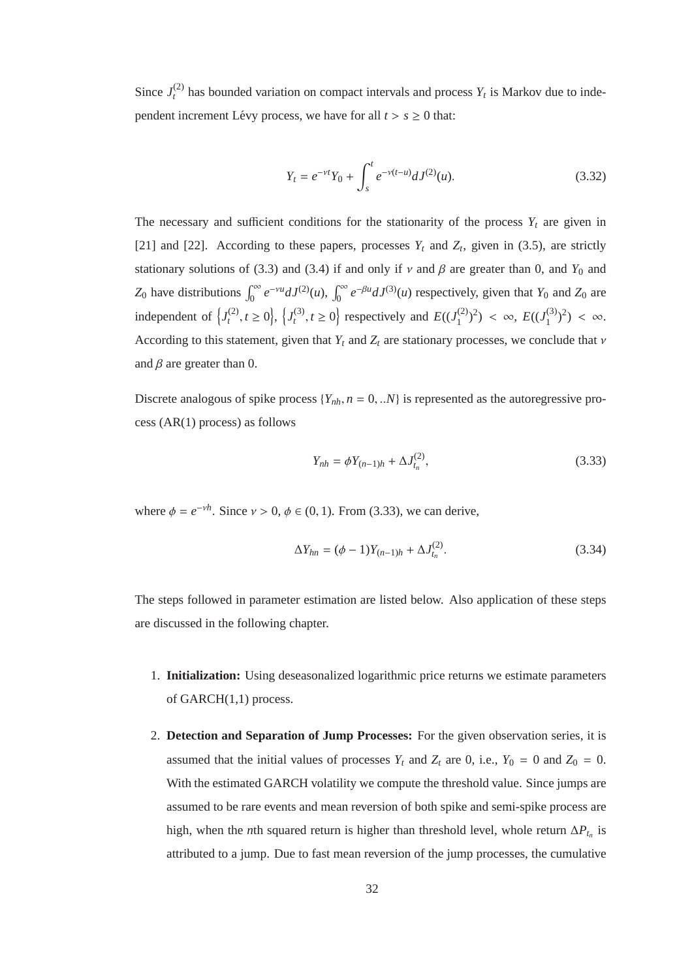Since  $J_t^{(2)}$  $t_t^{(2)}$  has bounded variation on compact intervals and process  $Y_t$  is Markov due to independent increment Lévy process, we have for all  $t > s \ge 0$  that:

$$
Y_t = e^{-\nu t} Y_0 + \int_s^t e^{-\nu(t-u)} dJ^{(2)}(u).
$$
 (3.32)

The necessary and sufficient conditions for the stationarity of the process  $Y_t$  are given in [21] and [22]. According to these papers, processes  $Y_t$  and  $Z_t$ , given in (3.5), are strictly stationary solutions of (3.3) and (3.4) if and only if  $\nu$  and  $\beta$  are greater than 0, and  $Y_0$  and *Z*<sub>0</sub> have distributions  $\int_0^\infty e^{-\gamma u} dJ^{(2)}(u)$ ,  $\int_0^\infty e^{-\beta u} dJ^{(3)}(u)$  respectively, given that *Y*<sub>0</sub> and *Z*<sub>0</sub> are independent of  $\left\{J^{(2)}_t\right\}$  $\{t^{(2)}, t \ge 0\}, \{J_t^{(3)}\}$  $t_t^{(3)}$ ,  $t \ge 0$  respectively and  $E((J_1^{(2)})$  $E((J_1^{(3)})^2) < \infty$ ,  $E((J_1^{(3)})^2$  $\binom{(3)}{1}^2$  <  $\infty$ . According to this statement, given that  $Y_t$  and  $Z_t$  are stationary processes, we conclude that  $\nu$ and  $\beta$  are greater than 0.

Discrete analogous of spike process  $\{Y_{nh}, n = 0, \ldots N\}$  is represented as the autoregressive process (AR(1) process) as follows

$$
Y_{nh} = \phi Y_{(n-1)h} + \Delta J_{t_n}^{(2)},
$$
\n(3.33)

where  $\phi = e^{-\nu h}$ . Since  $\nu > 0$ ,  $\phi \in (0, 1)$ . From (3.33), we can derive,

$$
\Delta Y_{hn} = (\phi - 1)Y_{(n-1)h} + \Delta J_{t_n}^{(2)}.
$$
\n(3.34)

The steps followed in parameter estimation are listed below. Also application of these steps are discussed in the following chapter.

- 1. **Initialization:** Using deseasonalized logarithmic price returns we estimate parameters of GARCH(1,1) process.
- 2. **Detection and Separation of Jump Processes:** For the given observation series, it is assumed that the initial values of processes  $Y_t$  and  $Z_t$  are 0, i.e.,  $Y_0 = 0$  and  $Z_0 = 0$ . With the estimated GARCH volatility we compute the threshold value. Since jumps are assumed to be rare events and mean reversion of both spike and semi-spike process are high, when the *n*th squared return is higher than threshold level, whole return  $\Delta P_{t_n}$  is attributed to a jump. Due to fast mean reversion of the jump processes, the cumulative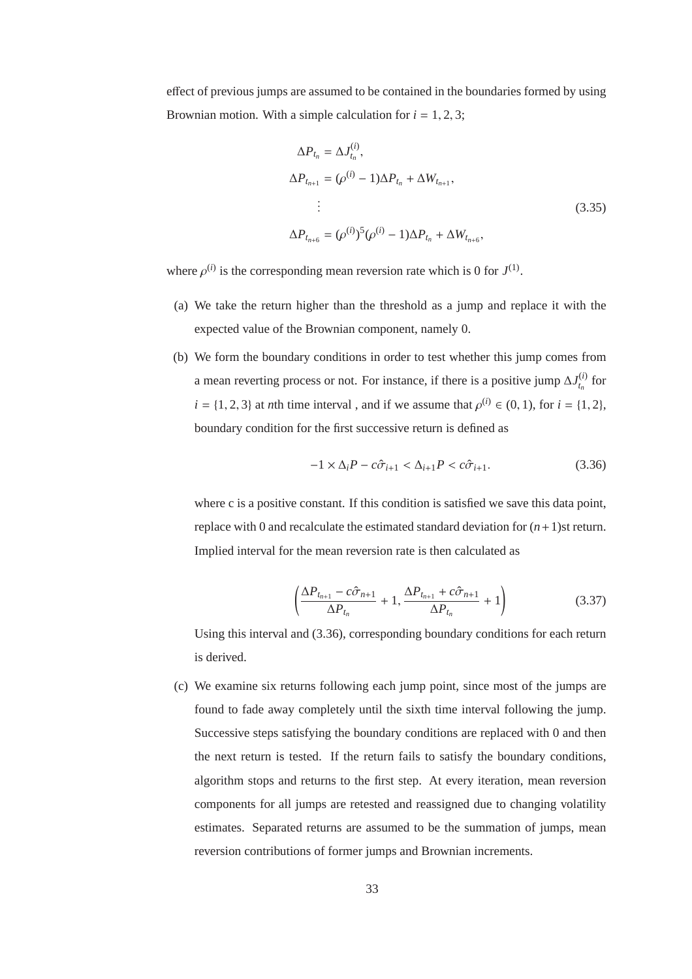effect of previous jumps are assumed to be contained in the boundaries formed by using Brownian motion. With a simple calculation for  $i = 1, 2, 3$ ;

$$
\Delta P_{t_n} = \Delta J_{t_n}^{(i)},
$$
  
\n
$$
\Delta P_{t_{n+1}} = (\rho^{(i)} - 1)\Delta P_{t_n} + \Delta W_{t_{n+1}},
$$
  
\n
$$
\vdots
$$
  
\n
$$
\Delta P_{t_{n+6}} = (\rho^{(i)})^5 (\rho^{(i)} - 1)\Delta P_{t_n} + \Delta W_{t_{n+6}},
$$
\n(3.35)

where  $\rho^{(i)}$  is the corresponding mean reversion rate which is 0 for  $J^{(1)}$ .

- (a) We take the return higher than the threshold as a jump and replace it with the expected value of the Brownian component, namely 0.
- (b) We form the boundary conditions in order to test whether this jump comes from a mean reverting process or not. For instance, if there is a positive jump  $\Delta J_t^{(i)}$  $t_n^{(l)}$  for  $i = \{1, 2, 3\}$  at *n*th time interval, and if we assume that  $\rho^{(i)} \in (0, 1)$ , for  $i = \{1, 2\}$ , boundary condition for the first successive return is defined as

$$
-1 \times \Delta_i P - c\hat{\sigma}_{i+1} < \Delta_{i+1} P < c\hat{\sigma}_{i+1}.\tag{3.36}
$$

where c is a positive constant. If this condition is satisfied we save this data point, replace with 0 and recalculate the estimated standard deviation for (*n*+1)st return. Implied interval for the mean reversion rate is then calculated as

$$
\left(\frac{\Delta P_{t_{n+1}} - c\hat{\sigma}_{n+1}}{\Delta P_{t_n}} + 1, \frac{\Delta P_{t_{n+1}} + c\hat{\sigma}_{n+1}}{\Delta P_{t_n}} + 1\right) \tag{3.37}
$$

Using this interval and (3.36), corresponding boundary conditions for each return is derived.

(c) We examine six returns following each jump point, since most of the jumps are found to fade away completely until the sixth time interval following the jump. Successive steps satisfying the boundary conditions are replaced with 0 and then the next return is tested. If the return fails to satisfy the boundary conditions, algorithm stops and returns to the first step. At every iteration, mean reversion components for all jumps are retested and reassigned due to changing volatility estimates. Separated returns are assumed to be the summation of jumps, mean reversion contributions of former jumps and Brownian increments.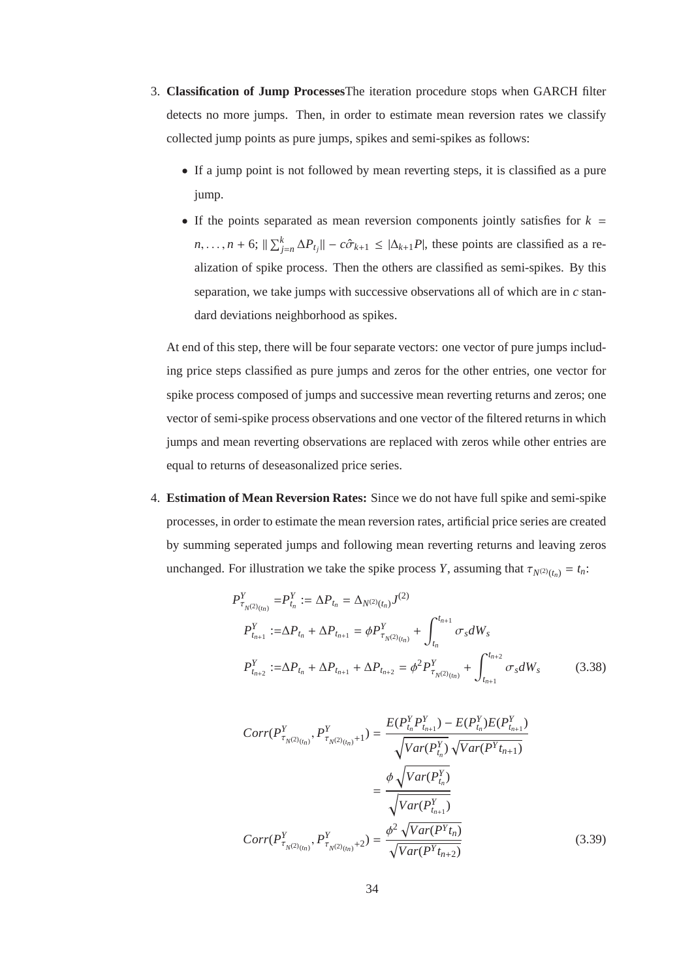- 3. **Classification of Jump Processes**The iteration procedure stops when GARCH filter detects no more jumps. Then, in order to estimate mean reversion rates we classify collected jump points as pure jumps, spikes and semi-spikes as follows:
	- If a jump point is not followed by mean reverting steps, it is classified as a pure jump.
	- If the points separated as mean reversion components jointly satisfies for  $k =$  $n, \ldots, n + 6$ ;  $\|\sum_{j=n}^{k} \Delta P_{t_j}\| - c\hat{\sigma}_{k+1} \le |\Delta_{k+1}P|$ , these points are classified as a realization of spike process. Then the others are classified as semi-spikes. By this separation, we take jumps with successive observations all of which are in *c* standard deviations neighborhood as spikes.

At end of this step, there will be four separate vectors: one vector of pure jumps including price steps classified as pure jumps and zeros for the other entries, one vector for spike process composed of jumps and successive mean reverting returns and zeros; one vector of semi-spike process observations and one vector of the filtered returns in which jumps and mean reverting observations are replaced with zeros while other entries are equal to returns of deseasonalized price series.

4. **Estimation of Mean Reversion Rates:** Since we do not have full spike and semi-spike processes, in order to estimate the mean reversion rates, artificial price series are created by summing seperated jumps and following mean reverting returns and leaving zeros unchanged. For illustration we take the spike process *Y*, assuming that  $\tau_{N^{(2)}(t_n)} = t_n$ .

$$
P_{\tau_{N(2)}_{(t_n)}}^Y = P_{t_n}^Y := \Delta P_{t_n} = \Delta_{N^{(2)}(t_n)} J^{(2)}
$$
  
\n
$$
P_{t_{n+1}}^Y := \Delta P_{t_n} + \Delta P_{t_{n+1}} = \phi P_{\tau_{N^{(2)}(t_n)}}^Y + \int_{t_n}^{t_{n+1}} \sigma_s dW_s
$$
  
\n
$$
P_{t_{n+2}}^Y := \Delta P_{t_n} + \Delta P_{t_{n+1}} + \Delta P_{t_{n+2}} = \phi^2 P_{\tau_{N^{(2)}(t_n)}}^Y + \int_{t_{n+1}}^{t_{n+2}} \sigma_s dW_s
$$
 (3.38)

$$
Corr(P_{\tau_{N^{(2)}(t_n)}}^Y, P_{\tau_{N^{(2)}(t_n)}+1}^Y) = \frac{E(P_{t_n}^Y P_{t_{n+1}}^Y) - E(P_{t_n}^Y) E(P_{t_{n+1}}^Y)}{\sqrt{Var(P_{t_n}^Y)} \sqrt{Var(P_{t_{n+1}}^Y)}}
$$

$$
= \frac{\phi \sqrt{Var(P_{t_n}^Y)}}{\sqrt{Var(P_{t_{n+1}}^Y)}}
$$

$$
Corr(P_{\tau_{N^{(2)}(t_n)}}^Y, P_{\tau_{N^{(2)}(t_n)}+2}^Y) = \frac{\phi^2 \sqrt{Var(P_{t_{n+2}}^Y)}}{\sqrt{Var(P_{t_{n+2}}^Y)}} \tag{3.39}
$$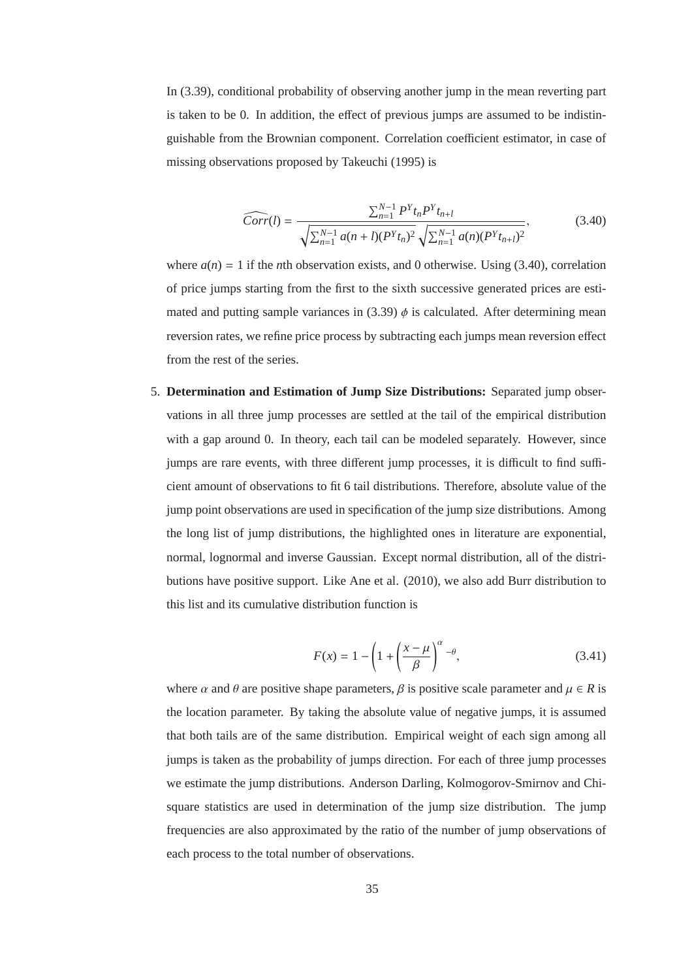In (3.39), conditional probability of observing another jump in the mean reverting part is taken to be 0. In addition, the effect of previous jumps are assumed to be indistinguishable from the Brownian component. Correlation coefficient estimator, in case of missing observations proposed by Takeuchi (1995) is

$$
\widehat{Corr}(l) = \frac{\sum_{n=1}^{N-1} P^{Y} t_n P^{Y} t_{n+l}}{\sqrt{\sum_{n=1}^{N-1} a(n+l)(P^{Y} t_n)^2} \sqrt{\sum_{n=1}^{N-1} a(n)(P^{Y} t_{n+l})^2}},
$$
(3.40)

where  $a(n) = 1$  if the *n*th observation exists, and 0 otherwise. Using (3.40), correlation of price jumps starting from the first to the sixth successive generated prices are estimated and putting sample variances in  $(3.39)$   $\phi$  is calculated. After determining mean reversion rates, we refine price process by subtracting each jumps mean reversion effect from the rest of the series.

5. **Determination and Estimation of Jump Size Distributions:** Separated jump observations in all three jump processes are settled at the tail of the empirical distribution with a gap around 0. In theory, each tail can be modeled separately. However, since jumps are rare events, with three different jump processes, it is difficult to find sufficient amount of observations to fit 6 tail distributions. Therefore, absolute value of the jump point observations are used in specification of the jump size distributions. Among the long list of jump distributions, the highlighted ones in literature are exponential, normal, lognormal and inverse Gaussian. Except normal distribution, all of the distributions have positive support. Like Ane et al. (2010), we also add Burr distribution to this list and its cumulative distribution function is

$$
F(x) = 1 - \left(1 + \left(\frac{x - \mu}{\beta}\right)^{\alpha} - \theta,\tag{3.41}
$$

where  $\alpha$  and  $\theta$  are positive shape parameters,  $\beta$  is positive scale parameter and  $\mu \in R$  is the location parameter. By taking the absolute value of negative jumps, it is assumed that both tails are of the same distribution. Empirical weight of each sign among all jumps is taken as the probability of jumps direction. For each of three jump processes we estimate the jump distributions. Anderson Darling, Kolmogorov-Smirnov and Chisquare statistics are used in determination of the jump size distribution. The jump frequencies are also approximated by the ratio of the number of jump observations of each process to the total number of observations.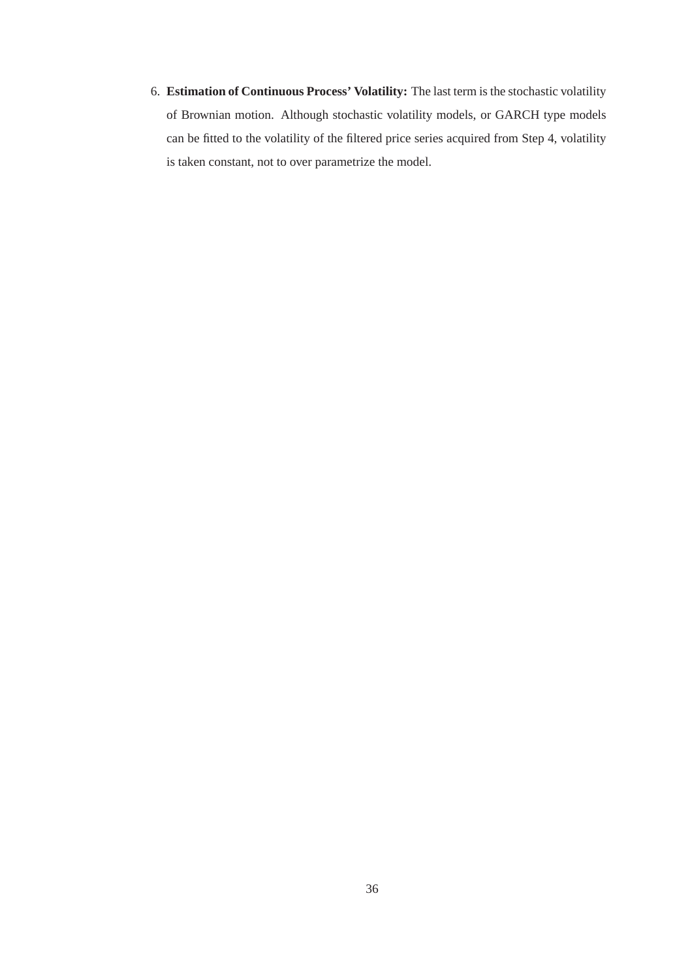6. **Estimation of Continuous Process' Volatility:** The last term is the stochastic volatility of Brownian motion. Although stochastic volatility models, or GARCH type models can be fitted to the volatility of the filtered price series acquired from Step 4, volatility is taken constant, not to over parametrize the model.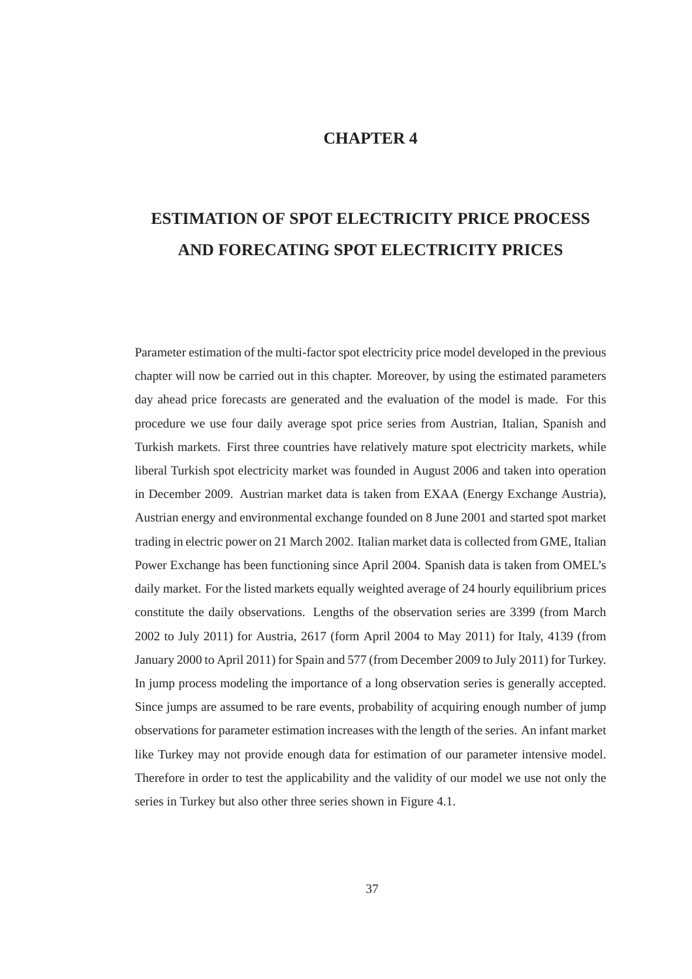# **CHAPTER 4**

# **ESTIMATION OF SPOT ELECTRICITY PRICE PROCESS AND FORECATING SPOT ELECTRICITY PRICES**

Parameter estimation of the multi-factor spot electricity price model developed in the previous chapter will now be carried out in this chapter. Moreover, by using the estimated parameters day ahead price forecasts are generated and the evaluation of the model is made. For this procedure we use four daily average spot price series from Austrian, Italian, Spanish and Turkish markets. First three countries have relatively mature spot electricity markets, while liberal Turkish spot electricity market was founded in August 2006 and taken into operation in December 2009. Austrian market data is taken from EXAA (Energy Exchange Austria), Austrian energy and environmental exchange founded on 8 June 2001 and started spot market trading in electric power on 21 March 2002. Italian market data is collected from GME, Italian Power Exchange has been functioning since April 2004. Spanish data is taken from OMEL's daily market. For the listed markets equally weighted average of 24 hourly equilibrium prices constitute the daily observations. Lengths of the observation series are 3399 (from March 2002 to July 2011) for Austria, 2617 (form April 2004 to May 2011) for Italy, 4139 (from January 2000 to April 2011) for Spain and 577 (from December 2009 to July 2011) for Turkey. In jump process modeling the importance of a long observation series is generally accepted. Since jumps are assumed to be rare events, probability of acquiring enough number of jump observations for parameter estimation increases with the length of the series. An infant market like Turkey may not provide enough data for estimation of our parameter intensive model. Therefore in order to test the applicability and the validity of our model we use not only the series in Turkey but also other three series shown in Figure 4.1.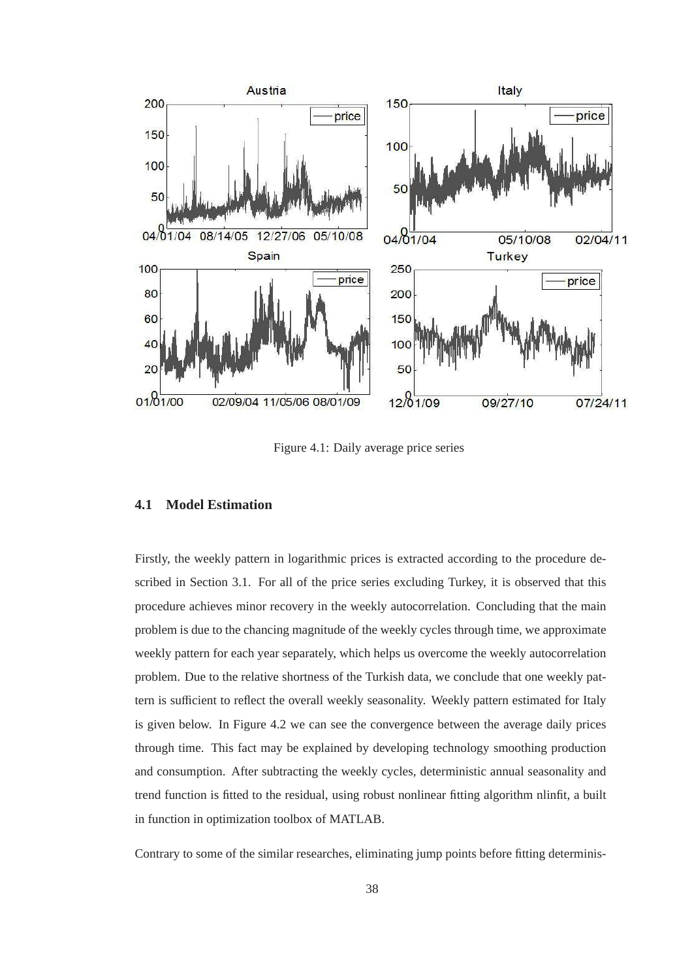

Figure 4.1: Daily average price series

## **4.1 Model Estimation**

Firstly, the weekly pattern in logarithmic prices is extracted according to the procedure described in Section 3.1. For all of the price series excluding Turkey, it is observed that this procedure achieves minor recovery in the weekly autocorrelation. Concluding that the main problem is due to the chancing magnitude of the weekly cycles through time, we approximate weekly pattern for each year separately, which helps us overcome the weekly autocorrelation problem. Due to the relative shortness of the Turkish data, we conclude that one weekly pattern is sufficient to reflect the overall weekly seasonality. Weekly pattern estimated for Italy is given below. In Figure 4.2 we can see the convergence between the average daily prices through time. This fact may be explained by developing technology smoothing production and consumption. After subtracting the weekly cycles, deterministic annual seasonality and trend function is fitted to the residual, using robust nonlinear fitting algorithm nlinfit, a built in function in optimization toolbox of MATLAB.

Contrary to some of the similar researches, eliminating jump points before fitting determinis-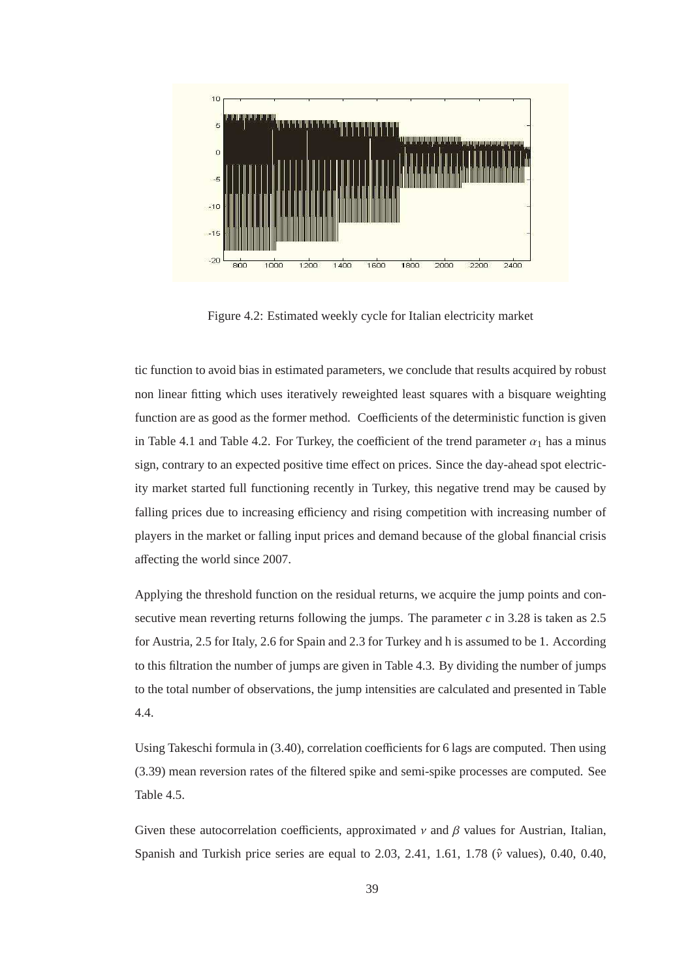

Figure 4.2: Estimated weekly cycle for Italian electricity market

tic function to avoid bias in estimated parameters, we conclude that results acquired by robust non linear fitting which uses iteratively reweighted least squares with a bisquare weighting function are as good as the former method. Coefficients of the deterministic function is given in Table 4.1 and Table 4.2. For Turkey, the coefficient of the trend parameter  $\alpha_1$  has a minus sign, contrary to an expected positive time effect on prices. Since the day-ahead spot electricity market started full functioning recently in Turkey, this negative trend may be caused by falling prices due to increasing efficiency and rising competition with increasing number of players in the market or falling input prices and demand because of the global financial crisis affecting the world since 2007.

Applying the threshold function on the residual returns, we acquire the jump points and consecutive mean reverting returns following the jumps. The parameter  $c$  in 3.28 is taken as 2.5 for Austria, 2.5 for Italy, 2.6 for Spain and 2.3 for Turkey and h is assumed to be 1. According to this filtration the number of jumps are given in Table 4.3. By dividing the number of jumps to the total number of observations, the jump intensities are calculated and presented in Table 4.4.

Using Takeschi formula in (3.40), correlation coefficients for 6 lags are computed. Then using (3.39) mean reversion rates of the filtered spike and semi-spike processes are computed. See Table 4.5.

Given these autocorrelation coefficients, approximated  $\nu$  and  $\beta$  values for Austrian, Italian, Spanish and Turkish price series are equal to 2.03, 2.41, 1.61, 1.78 ( $\hat{v}$  values), 0.40, 0.40,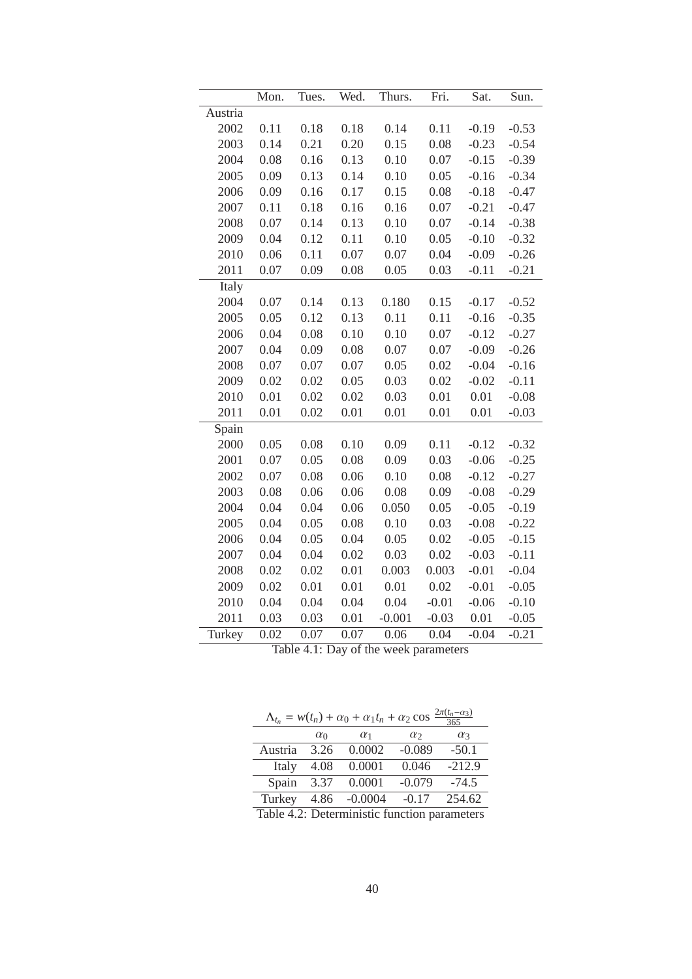| Austria |      |      |      |          |         |         | Sun.    |
|---------|------|------|------|----------|---------|---------|---------|
|         |      |      |      |          |         |         |         |
| 2002    | 0.11 | 0.18 | 0.18 | 0.14     | 0.11    | $-0.19$ | $-0.53$ |
| 2003    | 0.14 | 0.21 | 0.20 | 0.15     | 0.08    | $-0.23$ | $-0.54$ |
| 2004    | 0.08 | 0.16 | 0.13 | 0.10     | 0.07    | $-0.15$ | $-0.39$ |
| 2005    | 0.09 | 0.13 | 0.14 | 0.10     | 0.05    | $-0.16$ | $-0.34$ |
| 2006    | 0.09 | 0.16 | 0.17 | 0.15     | 0.08    | $-0.18$ | $-0.47$ |
| 2007    | 0.11 | 0.18 | 0.16 | 0.16     | 0.07    | $-0.21$ | $-0.47$ |
| 2008    | 0.07 | 0.14 | 0.13 | 0.10     | 0.07    | $-0.14$ | $-0.38$ |
| 2009    | 0.04 | 0.12 | 0.11 | 0.10     | 0.05    | $-0.10$ | $-0.32$ |
| 2010    | 0.06 | 0.11 | 0.07 | 0.07     | 0.04    | $-0.09$ | $-0.26$ |
| 2011    | 0.07 | 0.09 | 0.08 | 0.05     | 0.03    | $-0.11$ | $-0.21$ |
| Italy   |      |      |      |          |         |         |         |
| 2004    | 0.07 | 0.14 | 0.13 | 0.180    | 0.15    | $-0.17$ | $-0.52$ |
| 2005    | 0.05 | 0.12 | 0.13 | 0.11     | 0.11    | $-0.16$ | $-0.35$ |
| 2006    | 0.04 | 0.08 | 0.10 | 0.10     | 0.07    | $-0.12$ | $-0.27$ |
| 2007    | 0.04 | 0.09 | 0.08 | 0.07     | 0.07    | $-0.09$ | $-0.26$ |
| 2008    | 0.07 | 0.07 | 0.07 | 0.05     | 0.02    | $-0.04$ | $-0.16$ |
| 2009    | 0.02 | 0.02 | 0.05 | 0.03     | 0.02    | $-0.02$ | $-0.11$ |
| 2010    | 0.01 | 0.02 | 0.02 | 0.03     | 0.01    | 0.01    | $-0.08$ |
| 2011    | 0.01 | 0.02 | 0.01 | 0.01     | 0.01    | 0.01    | $-0.03$ |
| Spain   |      |      |      |          |         |         |         |
| 2000    | 0.05 | 0.08 | 0.10 | 0.09     | 0.11    | $-0.12$ | $-0.32$ |
| 2001    | 0.07 | 0.05 | 0.08 | 0.09     | 0.03    | $-0.06$ | $-0.25$ |
| 2002    | 0.07 | 0.08 | 0.06 | 0.10     | 0.08    | $-0.12$ | $-0.27$ |
| 2003    | 0.08 | 0.06 | 0.06 | 0.08     | 0.09    | $-0.08$ | $-0.29$ |
| 2004    | 0.04 | 0.04 | 0.06 | 0.050    | 0.05    | $-0.05$ | $-0.19$ |
| 2005    | 0.04 | 0.05 | 0.08 | 0.10     | 0.03    | $-0.08$ | $-0.22$ |
| 2006    | 0.04 | 0.05 | 0.04 | 0.05     | 0.02    | $-0.05$ | $-0.15$ |
| 2007    | 0.04 | 0.04 | 0.02 | 0.03     | 0.02    | $-0.03$ | $-0.11$ |
| 2008    | 0.02 | 0.02 | 0.01 | 0.003    | 0.003   | $-0.01$ | $-0.04$ |
| 2009    | 0.02 | 0.01 | 0.01 | 0.01     | 0.02    | $-0.01$ | $-0.05$ |
| 2010    | 0.04 | 0.04 | 0.04 | 0.04     | $-0.01$ | $-0.06$ | $-0.10$ |
| 2011    | 0.03 | 0.03 | 0.01 | $-0.001$ | $-0.03$ | 0.01    | $-0.05$ |
| Turkey  | 0.02 | 0.07 | 0.07 | 0.06     | 0.04    | $-0.04$ | $-0.21$ |

|  |  |  |  | Table 4.1: Day of the week parameters |
|--|--|--|--|---------------------------------------|
|--|--|--|--|---------------------------------------|

| $\frac{2\pi(t_n-\alpha_3)}{365}$<br>$\Lambda_{t_n} = w(t_n) + \alpha_0 + \alpha_1 t_n + \alpha_2 \cos$ |            |            |          |            |  |  |
|--------------------------------------------------------------------------------------------------------|------------|------------|----------|------------|--|--|
|                                                                                                        | $\alpha_0$ | $\alpha_1$ | $\alpha$ | $\alpha_3$ |  |  |
| Austria                                                                                                | 3.26       | 0.0002     | $-0.089$ | $-50.1$    |  |  |
| Italy                                                                                                  | 4.08       | 0.0001     | 0.046    | $-212.9$   |  |  |
| Spain                                                                                                  | 3.37       | 0.0001     | $-0.079$ | $-74.5$    |  |  |
| Turkey                                                                                                 | 4.86       | $-0.0004$  | $-0.17$  | 254.62     |  |  |
| Table 4.2: Deterministic function parameters                                                           |            |            |          |            |  |  |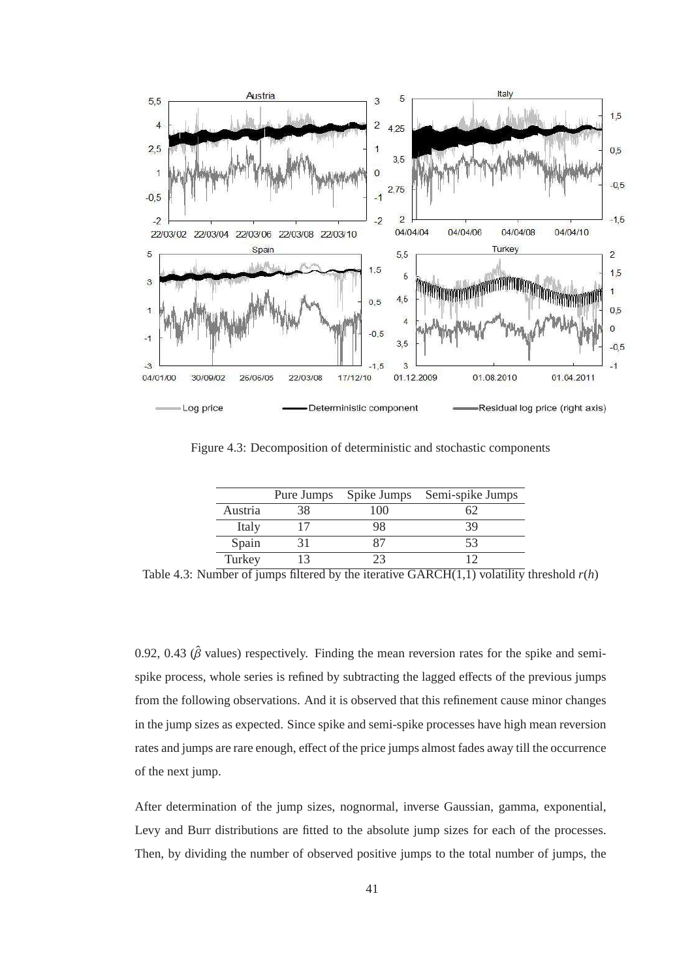

Figure 4.3: Decomposition of deterministic and stochastic components

|         | Pure Jumps | Spike Jumps | Semi-spike Jumps |
|---------|------------|-------------|------------------|
| Austria |            | 100         |                  |
| Italy   |            | 98          | 39               |
| Spain   |            |             | 53               |
| Turkey  |            |             |                  |

Table 4.3: Number of jumps filtered by the iterative  $GARCH(1,1)$  volatility threshold  $r(h)$ 

0.92, 0.43 ( $\hat{\beta}$  values) respectively. Finding the mean reversion rates for the spike and semispike process, whole series is refined by subtracting the lagged effects of the previous jumps from the following observations. And it is observed that this refinement cause minor changes in the jump sizes as expected. Since spike and semi-spike processes have high mean reversion rates and jumps are rare enough, effect of the price jumps almost fades away till the occurrence of the next jump.

After determination of the jump sizes, nognormal, inverse Gaussian, gamma, exponential, Levy and Burr distributions are fitted to the absolute jump sizes for each of the processes. Then, by dividing the number of observed positive jumps to the total number of jumps, the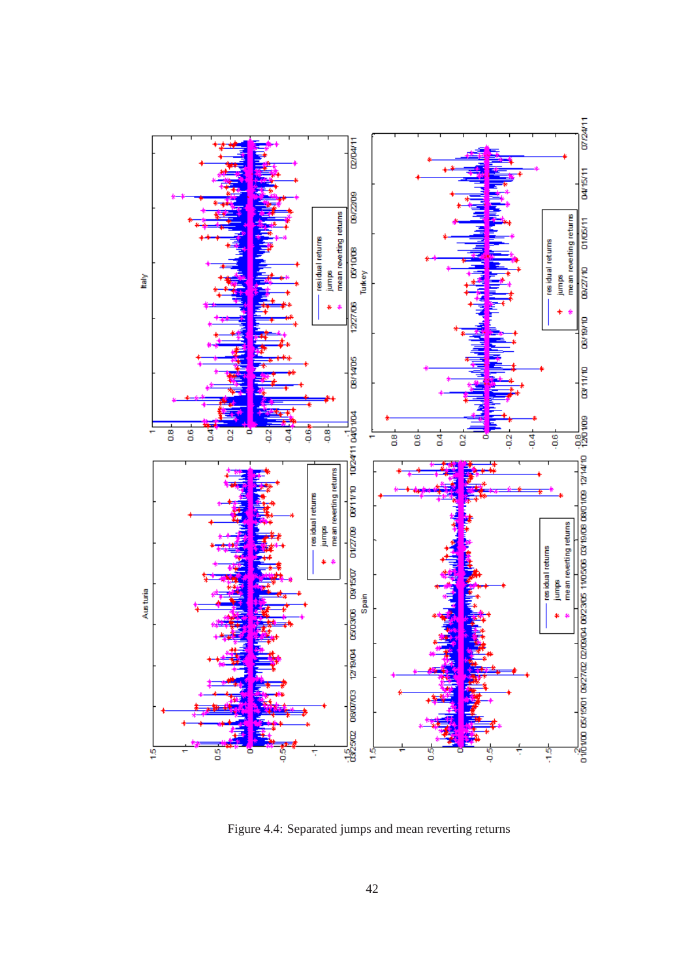

Figure 4.4: Separated jumps and mean reverting returns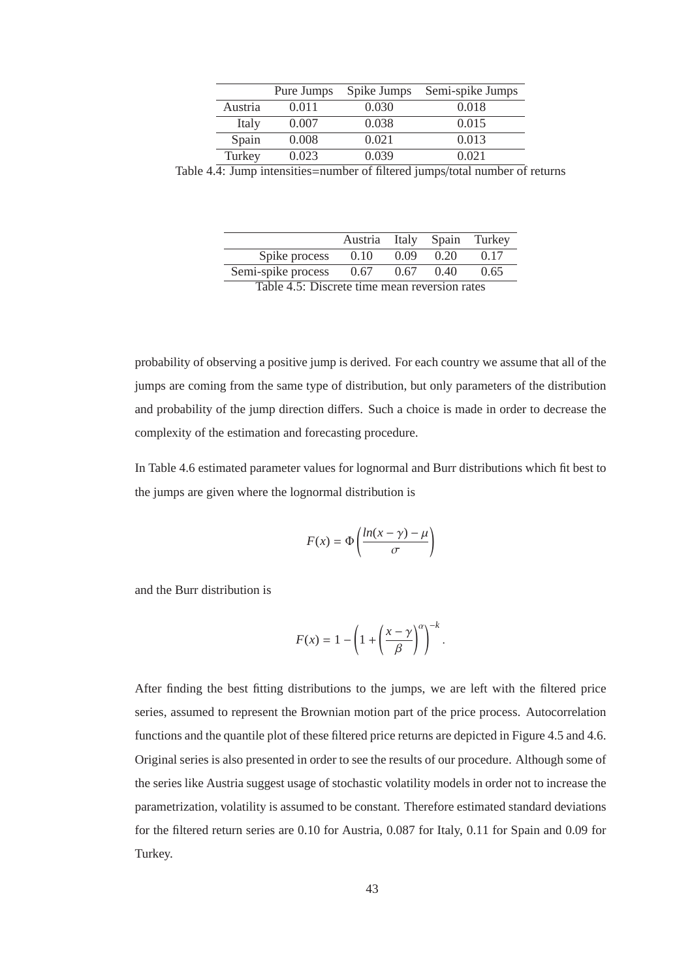|         | Pure Jumps | Spike Jumps | Semi-spike Jumps |
|---------|------------|-------------|------------------|
| Austria | 0.011      | 0.030       | 0.018            |
| Italy   | 0.007      | 0.038       | 0.015            |
| Spain   | 0.008      | 0.021       | 0.013            |
| Turkey  | 0.023      | 0.039       | 0.021            |

Table 4.4: Jump intensities=number of filtered jumps/total number of returns

|                                               | Austria | Italy | Spain | Turkey |  |
|-----------------------------------------------|---------|-------|-------|--------|--|
| Spike process                                 | 0.10    | 0.09  | 0.20  | 0.17   |  |
| Semi-spike process                            | 0.67    | 0.67  | 0.40  | 0.65   |  |
| Table 4.5: Discrete time mean reversion rates |         |       |       |        |  |

probability of observing a positive jump is derived. For each country we assume that all of the jumps are coming from the same type of distribution, but only parameters of the distribution and probability of the jump direction differs. Such a choice is made in order to decrease the complexity of the estimation and forecasting procedure.

In Table 4.6 estimated parameter values for lognormal and Burr distributions which fit best to the jumps are given where the lognormal distribution is

$$
F(x) = \Phi\left(\frac{\ln(x - \gamma) - \mu}{\sigma}\right)
$$

and the Burr distribution is

$$
F(x) = 1 - \left(1 + \left(\frac{x - \gamma}{\beta}\right)^{\alpha}\right)^{-k}.
$$

After finding the best fitting distributions to the jumps, we are left with the filtered price series, assumed to represent the Brownian motion part of the price process. Autocorrelation functions and the quantile plot of these filtered price returns are depicted in Figure 4.5 and 4.6. Original series is also presented in order to see the results of our procedure. Although some of the series like Austria suggest usage of stochastic volatility models in order not to increase the parametrization, volatility is assumed to be constant. Therefore estimated standard deviations for the filtered return series are 0.10 for Austria, 0.087 for Italy, 0.11 for Spain and 0.09 for Turkey.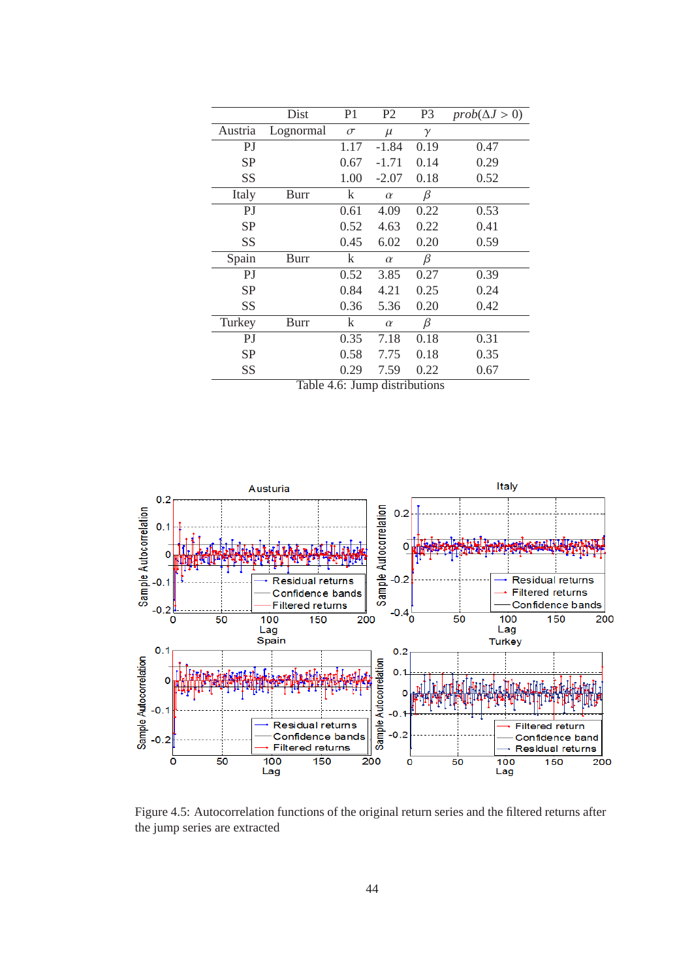|           | Dist        | P1        | P <sub>2</sub>         | P <sub>3</sub> | $prob(\Delta J > 0)$ |
|-----------|-------------|-----------|------------------------|----------------|----------------------|
| Austria   | Lognormal   | $\sigma$  | $\mu$                  | $\gamma$       |                      |
| PJ        |             | 1.17      | $-1.84$                | 0.19           | 0.47                 |
| <b>SP</b> |             | 0.67      | $-1.71$                | 0.14           | 0.29                 |
| SS        |             | 1.00      | $-2.07$                | 0.18           | 0.52                 |
| Italy     | Burr        | $\bf k$   | $\alpha$               | $\beta$        |                      |
| PJ        |             | 0.61      | 4.09                   | 0.22           | 0.53                 |
| <b>SP</b> |             | 0.52      | 4.63                   | 0.22           | 0.41                 |
| SS        |             | 0.45      | 6.02                   | 0.20           | 0.59                 |
| Spain     | Burr        | $\bf k$   | $\alpha$               | β              |                      |
| PJ        |             | 0.52      | 3.85                   | 0.27           | 0.39                 |
| <b>SP</b> |             | 0.84      | 4.21                   | 0.25           | 0.24                 |
| SS        |             | 0.36      | 5.36                   | 0.20           | 0.42                 |
| Turkey    | <b>Burr</b> | $\bf k$   | $\alpha$               | β              |                      |
| PJ        |             | 0.35      | 7.18                   | 0.18           | 0.31                 |
| <b>SP</b> |             | 0.58      | 7.75                   | 0.18           | 0.35                 |
| SS        | $T = 1.1$   | 0.29<br>т | 7.59<br>$\cdot$<br>1.1 | 0.22           | 0.67                 |

Table 4.6: Jump distributions



Figure 4.5: Autocorrelation functions of the original return series and the filtered returns after the jump series are extracted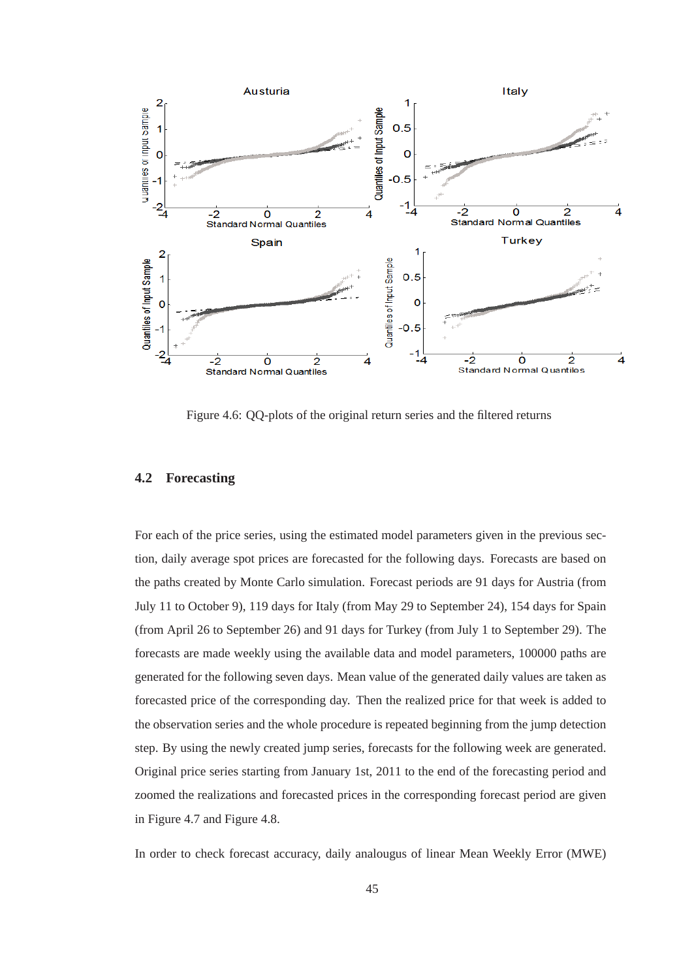

Figure 4.6: QQ-plots of the original return series and the filtered returns

## **4.2 Forecasting**

For each of the price series, using the estimated model parameters given in the previous section, daily average spot prices are forecasted for the following days. Forecasts are based on the paths created by Monte Carlo simulation. Forecast periods are 91 days for Austria (from July 11 to October 9), 119 days for Italy (from May 29 to September 24), 154 days for Spain (from April 26 to September 26) and 91 days for Turkey (from July 1 to September 29). The forecasts are made weekly using the available data and model parameters, 100000 paths are generated for the following seven days. Mean value of the generated daily values are taken as forecasted price of the corresponding day. Then the realized price for that week is added to the observation series and the whole procedure is repeated beginning from the jump detection step. By using the newly created jump series, forecasts for the following week are generated. Original price series starting from January 1st, 2011 to the end of the forecasting period and zoomed the realizations and forecasted prices in the corresponding forecast period are given in Figure 4.7 and Figure 4.8.

In order to check forecast accuracy, daily analougus of linear Mean Weekly Error (MWE)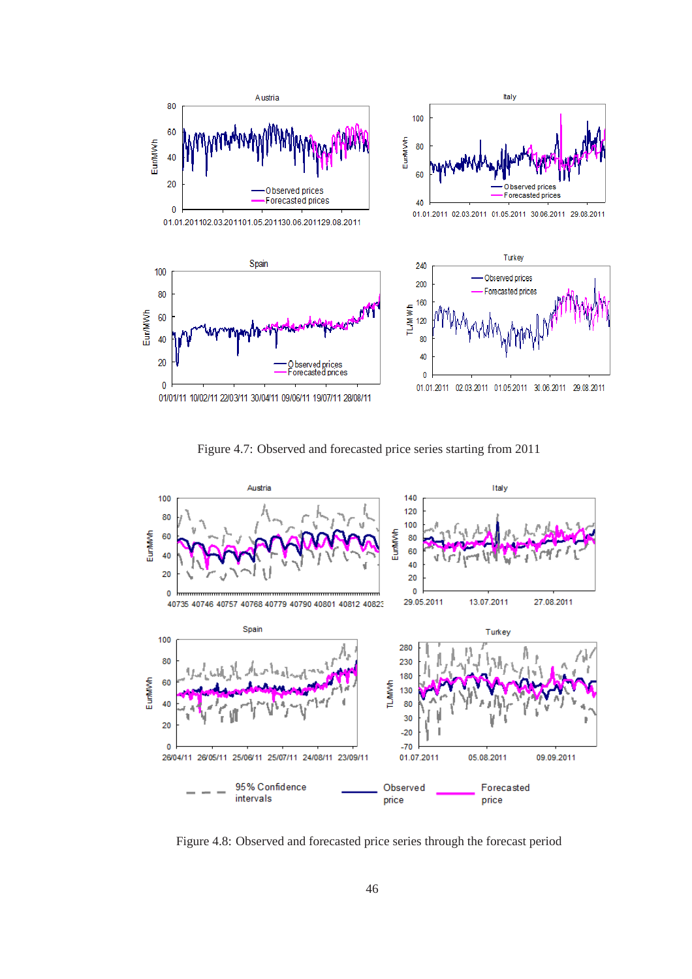

Figure 4.7: Observed and forecasted price series starting from 2011



Figure 4.8: Observed and forecasted price series through the forecast period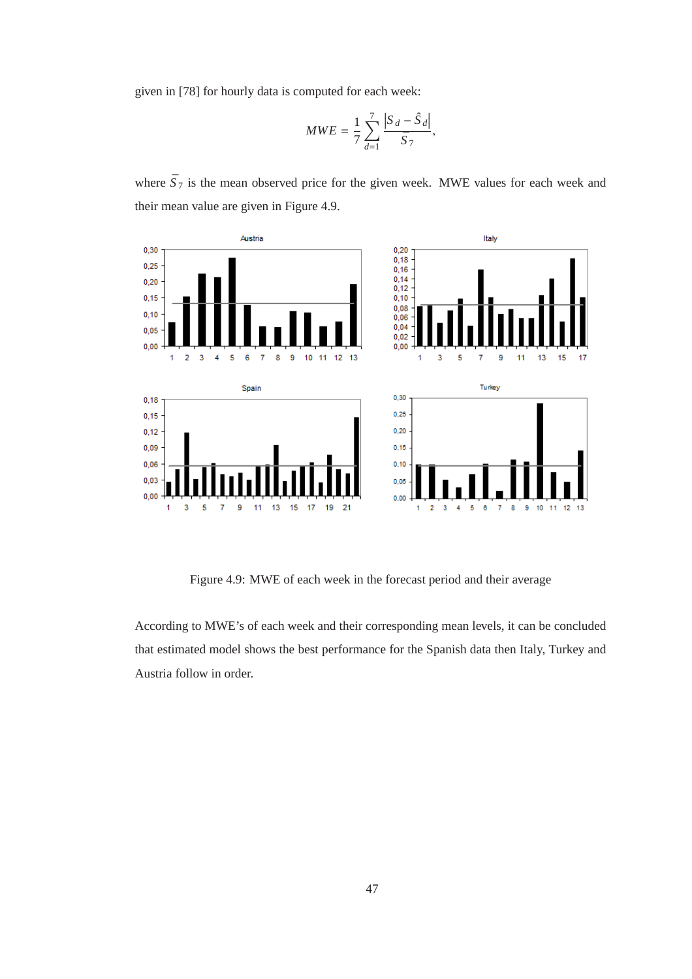given in [78] for hourly data is computed for each week:

$$
MWE = \frac{1}{7} \sum_{d=1}^{7} \frac{|S_d - \hat{S}_d|}{\bar{S}_7},
$$

where  $\bar{S}_7$  is the mean observed price for the given week. MWE values for each week and their mean value are given in Figure 4.9.



Figure 4.9: MWE of each week in the forecast period and their average

According to MWE's of each week and their corresponding mean levels, it can be concluded that estimated model shows the best performance for the Spanish data then Italy, Turkey and Austria follow in order.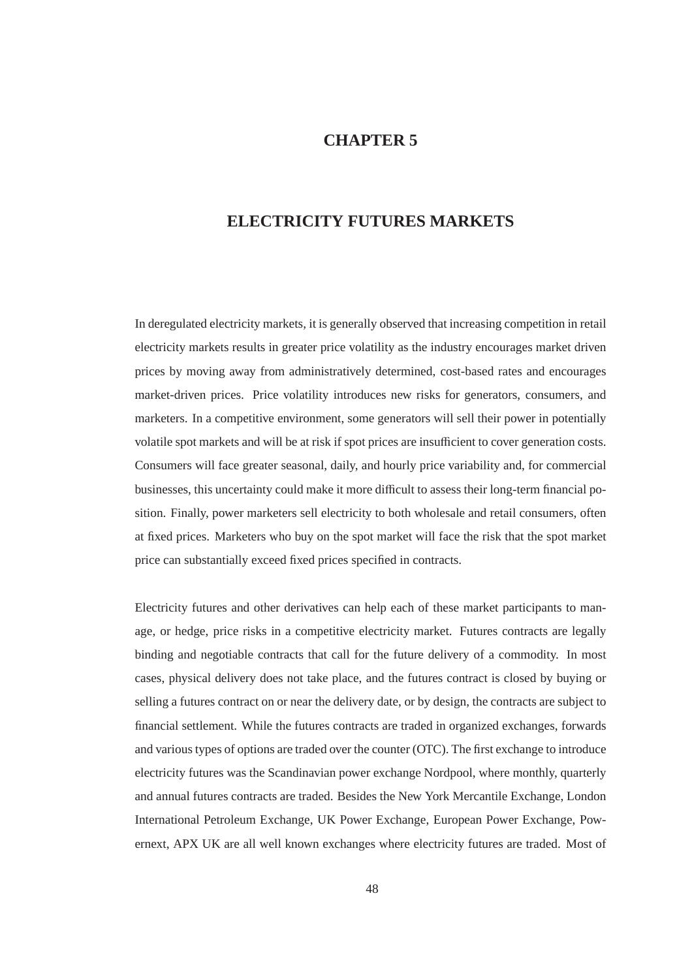# **CHAPTER 5**

# **ELECTRICITY FUTURES MARKETS**

In deregulated electricity markets, it is generally observed that increasing competition in retail electricity markets results in greater price volatility as the industry encourages market driven prices by moving away from administratively determined, cost-based rates and encourages market-driven prices. Price volatility introduces new risks for generators, consumers, and marketers. In a competitive environment, some generators will sell their power in potentially volatile spot markets and will be at risk if spot prices are insufficient to cover generation costs. Consumers will face greater seasonal, daily, and hourly price variability and, for commercial businesses, this uncertainty could make it more difficult to assess their long-term financial position. Finally, power marketers sell electricity to both wholesale and retail consumers, often at fixed prices. Marketers who buy on the spot market will face the risk that the spot market price can substantially exceed fixed prices specified in contracts.

Electricity futures and other derivatives can help each of these market participants to manage, or hedge, price risks in a competitive electricity market. Futures contracts are legally binding and negotiable contracts that call for the future delivery of a commodity. In most cases, physical delivery does not take place, and the futures contract is closed by buying or selling a futures contract on or near the delivery date, or by design, the contracts are subject to financial settlement. While the futures contracts are traded in organized exchanges, forwards and various types of options are traded over the counter (OTC). The first exchange to introduce electricity futures was the Scandinavian power exchange Nordpool, where monthly, quarterly and annual futures contracts are traded. Besides the New York Mercantile Exchange, London International Petroleum Exchange, UK Power Exchange, European Power Exchange, Powernext, APX UK are all well known exchanges where electricity futures are traded. Most of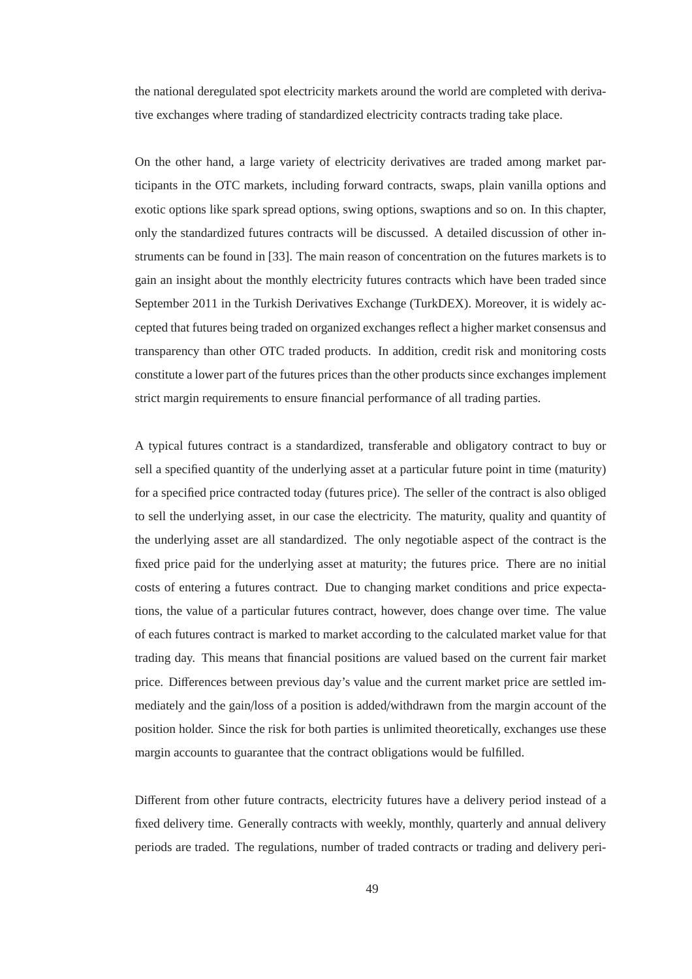the national deregulated spot electricity markets around the world are completed with derivative exchanges where trading of standardized electricity contracts trading take place.

On the other hand, a large variety of electricity derivatives are traded among market participants in the OTC markets, including forward contracts, swaps, plain vanilla options and exotic options like spark spread options, swing options, swaptions and so on. In this chapter, only the standardized futures contracts will be discussed. A detailed discussion of other instruments can be found in [33]. The main reason of concentration on the futures markets is to gain an insight about the monthly electricity futures contracts which have been traded since September 2011 in the Turkish Derivatives Exchange (TurkDEX). Moreover, it is widely accepted that futures being traded on organized exchanges reflect a higher market consensus and transparency than other OTC traded products. In addition, credit risk and monitoring costs constitute a lower part of the futures prices than the other products since exchanges implement strict margin requirements to ensure financial performance of all trading parties.

A typical futures contract is a standardized, transferable and obligatory contract to buy or sell a specified quantity of the underlying asset at a particular future point in time (maturity) for a specified price contracted today (futures price). The seller of the contract is also obliged to sell the underlying asset, in our case the electricity. The maturity, quality and quantity of the underlying asset are all standardized. The only negotiable aspect of the contract is the fixed price paid for the underlying asset at maturity; the futures price. There are no initial costs of entering a futures contract. Due to changing market conditions and price expectations, the value of a particular futures contract, however, does change over time. The value of each futures contract is marked to market according to the calculated market value for that trading day. This means that financial positions are valued based on the current fair market price. Differences between previous day's value and the current market price are settled immediately and the gain/loss of a position is added/withdrawn from the margin account of the position holder. Since the risk for both parties is unlimited theoretically, exchanges use these margin accounts to guarantee that the contract obligations would be fulfilled.

Different from other future contracts, electricity futures have a delivery period instead of a fixed delivery time. Generally contracts with weekly, monthly, quarterly and annual delivery periods are traded. The regulations, number of traded contracts or trading and delivery peri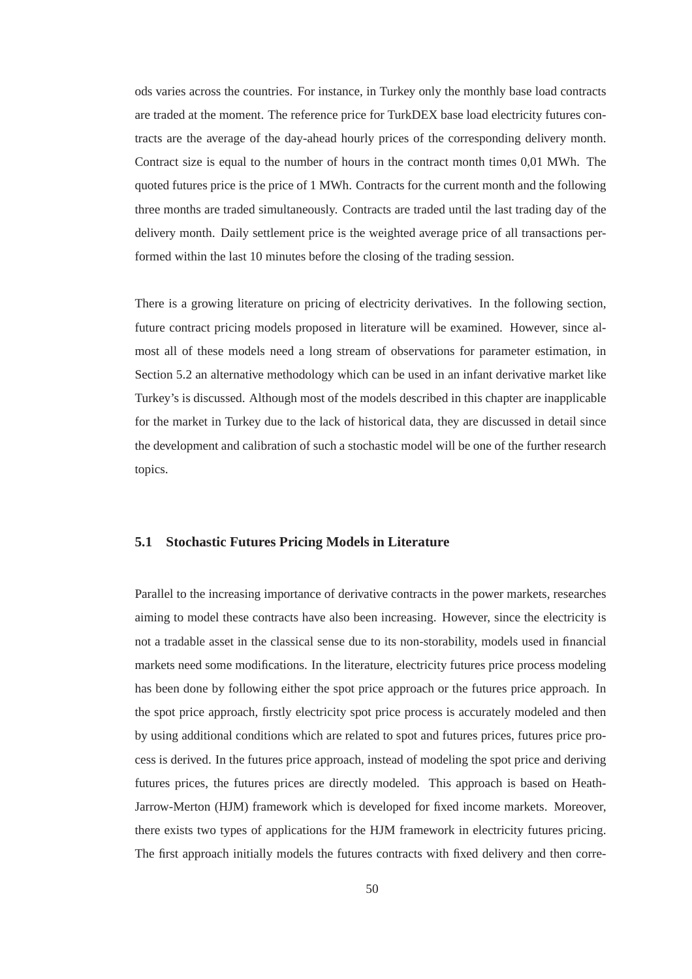ods varies across the countries. For instance, in Turkey only the monthly base load contracts are traded at the moment. The reference price for TurkDEX base load electricity futures contracts are the average of the day-ahead hourly prices of the corresponding delivery month. Contract size is equal to the number of hours in the contract month times 0,01 MWh. The quoted futures price is the price of 1 MWh. Contracts for the current month and the following three months are traded simultaneously. Contracts are traded until the last trading day of the delivery month. Daily settlement price is the weighted average price of all transactions performed within the last 10 minutes before the closing of the trading session.

There is a growing literature on pricing of electricity derivatives. In the following section, future contract pricing models proposed in literature will be examined. However, since almost all of these models need a long stream of observations for parameter estimation, in Section 5.2 an alternative methodology which can be used in an infant derivative market like Turkey's is discussed. Although most of the models described in this chapter are inapplicable for the market in Turkey due to the lack of historical data, they are discussed in detail since the development and calibration of such a stochastic model will be one of the further research topics.

## **5.1 Stochastic Futures Pricing Models in Literature**

Parallel to the increasing importance of derivative contracts in the power markets, researches aiming to model these contracts have also been increasing. However, since the electricity is not a tradable asset in the classical sense due to its non-storability, models used in financial markets need some modifications. In the literature, electricity futures price process modeling has been done by following either the spot price approach or the futures price approach. In the spot price approach, firstly electricity spot price process is accurately modeled and then by using additional conditions which are related to spot and futures prices, futures price process is derived. In the futures price approach, instead of modeling the spot price and deriving futures prices, the futures prices are directly modeled. This approach is based on Heath-Jarrow-Merton (HJM) framework which is developed for fixed income markets. Moreover, there exists two types of applications for the HJM framework in electricity futures pricing. The first approach initially models the futures contracts with fixed delivery and then corre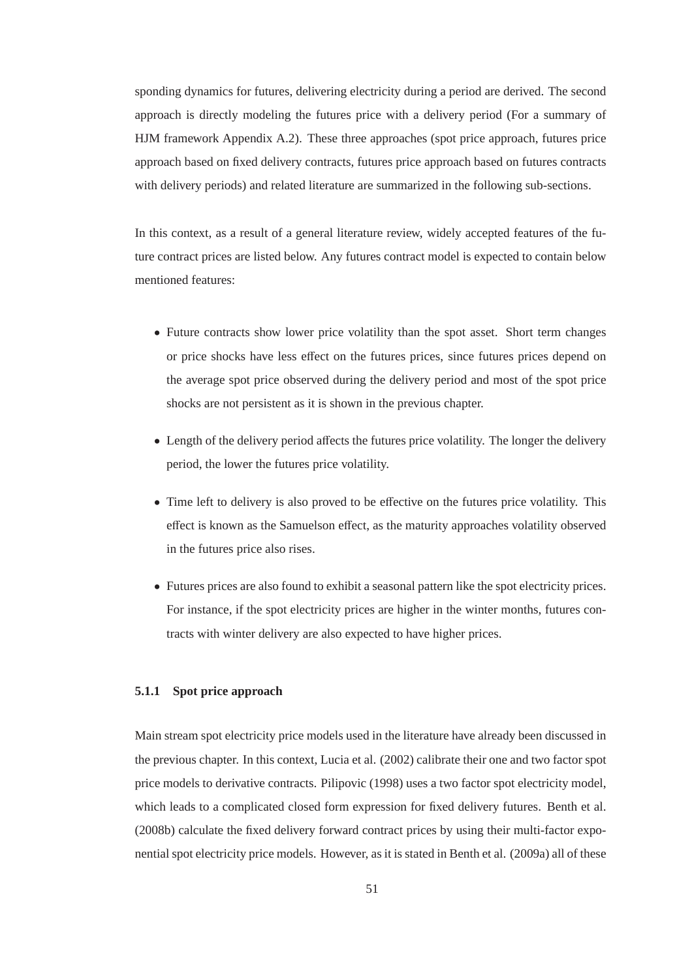sponding dynamics for futures, delivering electricity during a period are derived. The second approach is directly modeling the futures price with a delivery period (For a summary of HJM framework Appendix A.2). These three approaches (spot price approach, futures price approach based on fixed delivery contracts, futures price approach based on futures contracts with delivery periods) and related literature are summarized in the following sub-sections.

In this context, as a result of a general literature review, widely accepted features of the future contract prices are listed below. Any futures contract model is expected to contain below mentioned features:

- Future contracts show lower price volatility than the spot asset. Short term changes or price shocks have less effect on the futures prices, since futures prices depend on the average spot price observed during the delivery period and most of the spot price shocks are not persistent as it is shown in the previous chapter.
- Length of the delivery period affects the futures price volatility. The longer the delivery period, the lower the futures price volatility.
- Time left to delivery is also proved to be effective on the futures price volatility. This effect is known as the Samuelson effect, as the maturity approaches volatility observed in the futures price also rises.
- Futures prices are also found to exhibit a seasonal pattern like the spot electricity prices. For instance, if the spot electricity prices are higher in the winter months, futures contracts with winter delivery are also expected to have higher prices.

## **5.1.1 Spot price approach**

Main stream spot electricity price models used in the literature have already been discussed in the previous chapter. In this context, Lucia et al. (2002) calibrate their one and two factor spot price models to derivative contracts. Pilipovic (1998) uses a two factor spot electricity model, which leads to a complicated closed form expression for fixed delivery futures. Benth et al. (2008b) calculate the fixed delivery forward contract prices by using their multi-factor exponential spot electricity price models. However, as it is stated in Benth et al. (2009a) all of these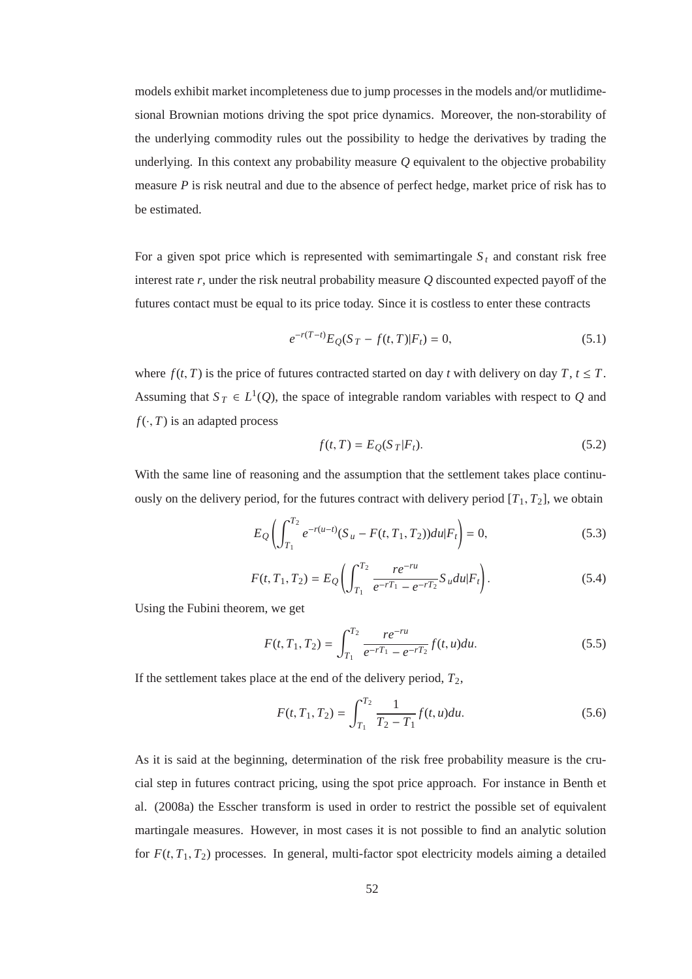models exhibit market incompleteness due to jump processes in the models and/or mutlidimesional Brownian motions driving the spot price dynamics. Moreover, the non-storability of the underlying commodity rules out the possibility to hedge the derivatives by trading the underlying. In this context any probability measure *Q* equivalent to the objective probability measure *P* is risk neutral and due to the absence of perfect hedge, market price of risk has to be estimated.

For a given spot price which is represented with semimartingale  $S_t$  and constant risk free interest rate *r*, under the risk neutral probability measure *Q* discounted expected payoff of the futures contact must be equal to its price today. Since it is costless to enter these contracts

$$
e^{-r(T-t)}E_Q(S_T - f(t,T)|F_t) = 0,
$$
\n(5.1)

where  $f(t, T)$  is the price of futures contracted started on day *t* with delivery on day  $T, t \leq T$ . Assuming that  $S_T \in L^1(Q)$ , the space of integrable random variables with respect to *Q* and  $f(\cdot, T)$  is an adapted process

$$
f(t,T) = E_Q(S_T|F_t). \tag{5.2}
$$

With the same line of reasoning and the assumption that the settlement takes place continuously on the delivery period, for the futures contract with delivery period  $[T_1, T_2]$ , we obtain

$$
E_Q\left(\int_{T_1}^{T_2} e^{-r(u-t)} (S_u - F(t, T_1, T_2)) du |F_t\right) = 0,
$$
\n(5.3)

$$
F(t, T_1, T_2) = E_Q \left( \int_{T_1}^{T_2} \frac{re^{-ru}}{e^{-rT_1} - e^{-rT_2}} S_u du | F_t \right). \tag{5.4}
$$

Using the Fubini theorem, we get

$$
F(t, T_1, T_2) = \int_{T_1}^{T_2} \frac{re^{-ru}}{e^{-rT_1} - e^{-rT_2}} f(t, u) du.
$$
 (5.5)

If the settlement takes place at the end of the delivery period,  $T_2$ ,

$$
F(t, T_1, T_2) = \int_{T_1}^{T_2} \frac{1}{T_2 - T_1} f(t, u) du.
$$
 (5.6)

As it is said at the beginning, determination of the risk free probability measure is the crucial step in futures contract pricing, using the spot price approach. For instance in Benth et al. (2008a) the Esscher transform is used in order to restrict the possible set of equivalent martingale measures. However, in most cases it is not possible to find an analytic solution for  $F(t, T_1, T_2)$  processes. In general, multi-factor spot electricity models aiming a detailed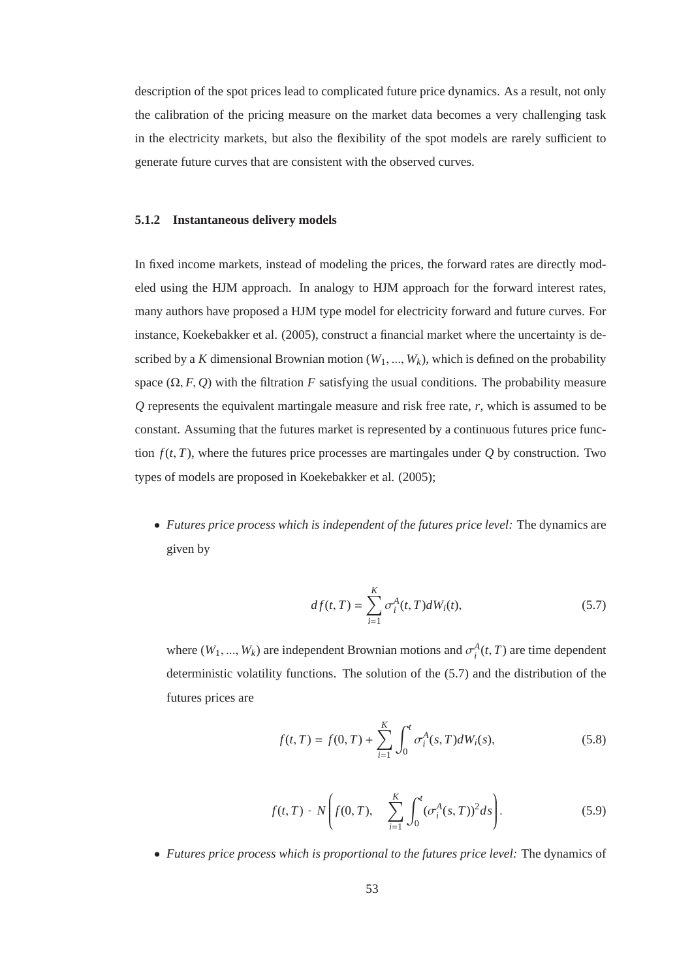description of the spot prices lead to complicated future price dynamics. As a result, not only the calibration of the pricing measure on the market data becomes a very challenging task in the electricity markets, but also the flexibility of the spot models are rarely sufficient to generate future curves that are consistent with the observed curves.

#### **5.1.2 Instantaneous delivery models**

In fixed income markets, instead of modeling the prices, the forward rates are directly modeled using the HJM approach. In analogy to HJM approach for the forward interest rates, many authors have proposed a HJM type model for electricity forward and future curves. For instance, Koekebakker et al. (2005), construct a financial market where the uncertainty is described by a *K* dimensional Brownian motion  $(W_1, ..., W_k)$ , which is defined on the probability space  $(\Omega, F, Q)$  with the filtration *F* satisfying the usual conditions. The probability measure *Q* represents the equivalent martingale measure and risk free rate, *r*, which is assumed to be constant. Assuming that the futures market is represented by a continuous futures price function  $f(t, T)$ , where the futures price processes are martingales under *Q* by construction. Two types of models are proposed in Koekebakker et al. (2005);

• *Futures price process which is independent of the futures price level:* The dynamics are given by

$$
df(t,T) = \sum_{i=1}^{K} \sigma_i^A(t,T)dW_i(t),
$$
\n(5.7)

where  $(W_1, ..., W_k)$  are independent Brownian motions and  $\sigma_i^A(t, T)$  are time dependent deterministic volatility functions. The solution of the (5.7) and the distribution of the futures prices are

$$
f(t,T) = f(0,T) + \sum_{i=1}^{K} \int_0^t \sigma_i^A(s,T)dW_i(s),
$$
\n(5.8)

$$
f(t,T) \sim N\bigg(f(0,T), \sum_{i=1}^{K} \int_0^t (\sigma_i^A(s,T))^2 ds\bigg). \tag{5.9}
$$

• *Futures price process which is proportional to the futures price level:* The dynamics of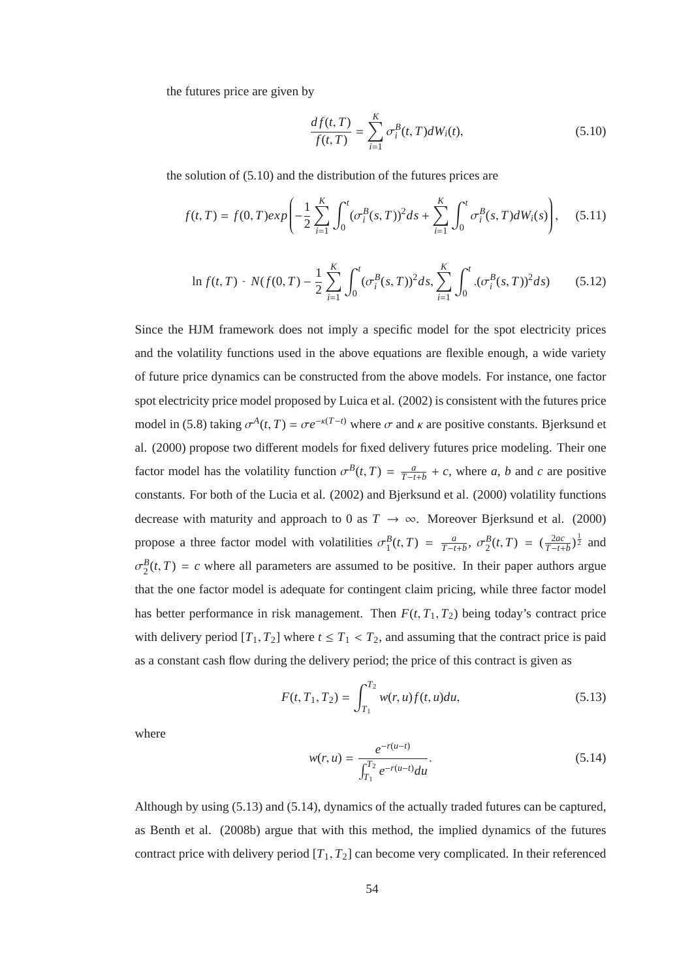the futures price are given by

$$
\frac{df(t,T)}{f(t,T)} = \sum_{i=1}^{K} \sigma_i^B(t,T)dW_i(t),
$$
\n(5.10)

the solution of (5.10) and the distribution of the futures prices are

$$
f(t,T) = f(0,T)exp\left(-\frac{1}{2}\sum_{i=1}^{K} \int_{0}^{t} (\sigma_i^{B}(s,T))^{2} ds + \sum_{i=1}^{K} \int_{0}^{t} \sigma_i^{B}(s,T) dW_i(s)\right), \quad (5.11)
$$

$$
\ln f(t,T) \sim N(f(0,T) - \frac{1}{2} \sum_{i=1}^{K} \int_{0}^{t} (\sigma_i^B(s,T))^2 ds, \sum_{i=1}^{K} \int_{0}^{t} .(\sigma_i^B(s,T))^2 ds \tag{5.12}
$$

Since the HJM framework does not imply a specific model for the spot electricity prices and the volatility functions used in the above equations are flexible enough, a wide variety of future price dynamics can be constructed from the above models. For instance, one factor spot electricity price model proposed by Luica et al. (2002) is consistent with the futures price model in (5.8) taking  $\sigma^A(t, T) = \sigma e^{-\kappa (T-t)}$  where  $\sigma$  and  $\kappa$  are positive constants. Bjerksund et al. (2000) propose two different models for fixed delivery futures price modeling. Their one factor model has the volatility function  $\sigma^B(t, T) = \frac{a}{T-t+b} + c$ , where *a*, *b* and *c* are positive constants. For both of the Lucia et al. (2002) and Bjerksund et al. (2000) volatility functions decrease with maturity and approach to 0 as  $T \to \infty$ . Moreover Bjerksund et al. (2000) propose a three factor model with volatilities  $\sigma_1^B(t, T) = \frac{a}{T-t+b}$ ,  $\sigma_2^B(t, T) = (\frac{2ac}{T-t+b})^{\frac{1}{2}}$  and  $\sigma_2^B(t, T) = c$  where all parameters are assumed to be positive. In their paper authors argue that the one factor model is adequate for contingent claim pricing, while three factor model has better performance in risk management. Then  $F(t, T_1, T_2)$  being today's contract price with delivery period  $[T_1, T_2]$  where  $t \leq T_1 < T_2$ , and assuming that the contract price is paid as a constant cash flow during the delivery period; the price of this contract is given as

$$
F(t, T_1, T_2) = \int_{T_1}^{T_2} w(r, u) f(t, u) du,
$$
\n(5.13)

where

$$
w(r, u) = \frac{e^{-r(u-t)}}{\int_{T_1}^{T_2} e^{-r(u-t)} du}.
$$
\n(5.14)

Although by using (5.13) and (5.14), dynamics of the actually traded futures can be captured, as Benth et al. (2008b) argue that with this method, the implied dynamics of the futures contract price with delivery period  $[T_1, T_2]$  can become very complicated. In their referenced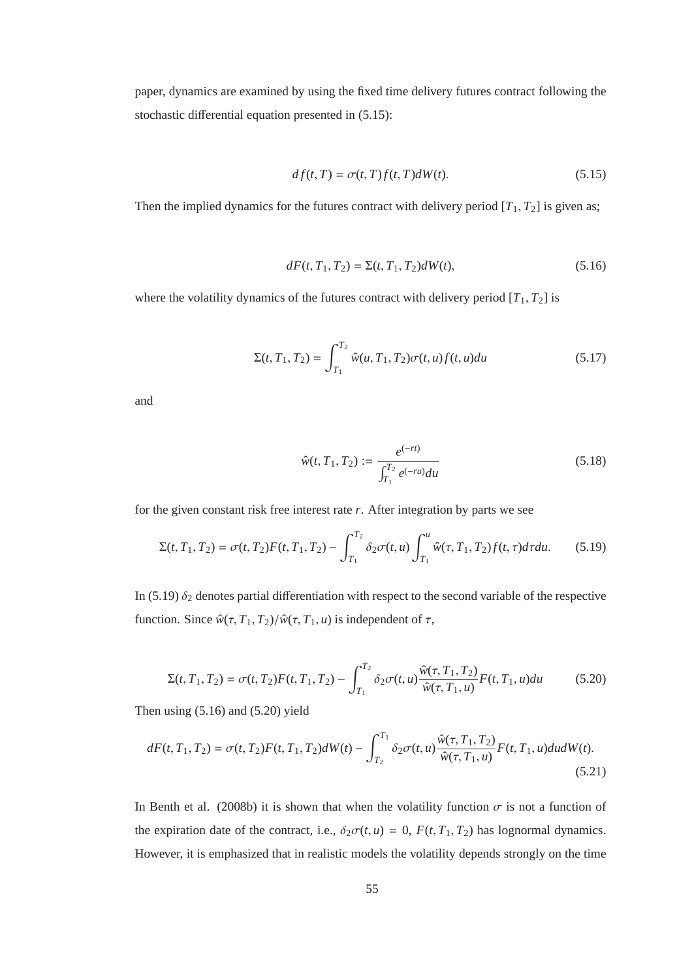paper, dynamics are examined by using the fixed time delivery futures contract following the stochastic differential equation presented in (5.15):

$$
df(t,T) = \sigma(t,T)f(t,T)dW(t).
$$
\n(5.15)

Then the implied dynamics for the futures contract with delivery period  $[T_1, T_2]$  is given as;

$$
dF(t, T_1, T_2) = \Sigma(t, T_1, T_2)dW(t),
$$
\n(5.16)

where the volatility dynamics of the futures contract with delivery period  $[T_1, T_2]$  is

$$
\Sigma(t, T_1, T_2) = \int_{T_1}^{T_2} \hat{w}(u, T_1, T_2) \sigma(t, u) f(t, u) du \qquad (5.17)
$$

and

$$
\hat{w}(t, T_1, T_2) := \frac{e^{(-rt)}}{\int_{T_1}^{T_2} e^{(-ru)} du}
$$
\n(5.18)

for the given constant risk free interest rate *r*. After integration by parts we see

$$
\Sigma(t, T_1, T_2) = \sigma(t, T_2) F(t, T_1, T_2) - \int_{T_1}^{T_2} \delta_2 \sigma(t, u) \int_{T_1}^{u} \hat{w}(\tau, T_1, T_2) f(t, \tau) d\tau du.
$$
 (5.19)

In (5.19)  $\delta_2$  denotes partial differentiation with respect to the second variable of the respective function. Since  $\hat{w}(\tau, T_1, T_2)/\hat{w}(\tau, T_1, u)$  is independent of  $\tau$ ,

$$
\Sigma(t, T_1, T_2) = \sigma(t, T_2)F(t, T_1, T_2) - \int_{T_1}^{T_2} \delta_2 \sigma(t, u) \frac{\hat{w}(\tau, T_1, T_2)}{\hat{w}(\tau, T_1, u)} F(t, T_1, u) du \tag{5.20}
$$

Then using (5.16) and (5.20) yield

$$
dF(t, T_1, T_2) = \sigma(t, T_2)F(t, T_1, T_2)dW(t) - \int_{T_2}^{T_1} \delta_2 \sigma(t, u) \frac{\hat{w}(\tau, T_1, T_2)}{\hat{w}(\tau, T_1, u)} F(t, T_1, u) du dW(t).
$$
\n(5.21)

In Benth et al. (2008b) it is shown that when the volatility function  $\sigma$  is not a function of the expiration date of the contract, i.e.,  $\delta_2 \sigma(t, u) = 0$ ,  $F(t, T_1, T_2)$  has lognormal dynamics. However, it is emphasized that in realistic models the volatility depends strongly on the time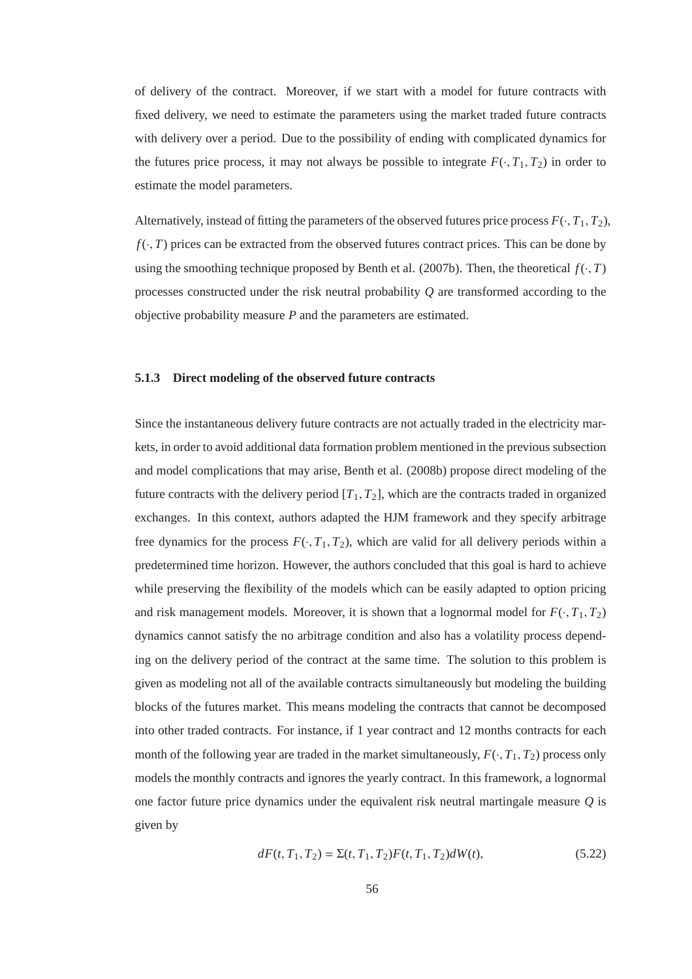of delivery of the contract. Moreover, if we start with a model for future contracts with fixed delivery, we need to estimate the parameters using the market traded future contracts with delivery over a period. Due to the possibility of ending with complicated dynamics for the futures price process, it may not always be possible to integrate  $F(\cdot, T_1, T_2)$  in order to estimate the model parameters.

Alternatively, instead of fitting the parameters of the observed futures price process  $F(\cdot, T_1, T_2)$ ,  $f(\cdot, T)$  prices can be extracted from the observed futures contract prices. This can be done by using the smoothing technique proposed by Benth et al. (2007b). Then, the theoretical  $f(\cdot, T)$ processes constructed under the risk neutral probability *Q* are transformed according to the objective probability measure *P* and the parameters are estimated.

### **5.1.3 Direct modeling of the observed future contracts**

Since the instantaneous delivery future contracts are not actually traded in the electricity markets, in order to avoid additional data formation problem mentioned in the previous subsection and model complications that may arise, Benth et al. (2008b) propose direct modeling of the future contracts with the delivery period  $[T_1, T_2]$ , which are the contracts traded in organized exchanges. In this context, authors adapted the HJM framework and they specify arbitrage free dynamics for the process  $F(\cdot, T_1, T_2)$ , which are valid for all delivery periods within a predetermined time horizon. However, the authors concluded that this goal is hard to achieve while preserving the flexibility of the models which can be easily adapted to option pricing and risk management models. Moreover, it is shown that a lognormal model for  $F(\cdot, T_1, T_2)$ dynamics cannot satisfy the no arbitrage condition and also has a volatility process depending on the delivery period of the contract at the same time. The solution to this problem is given as modeling not all of the available contracts simultaneously but modeling the building blocks of the futures market. This means modeling the contracts that cannot be decomposed into other traded contracts. For instance, if 1 year contract and 12 months contracts for each month of the following year are traded in the market simultaneously,  $F(\cdot, T_1, T_2)$  process only models the monthly contracts and ignores the yearly contract. In this framework, a lognormal one factor future price dynamics under the equivalent risk neutral martingale measure *Q* is given by

$$
dF(t, T_1, T_2) = \Sigma(t, T_1, T_2)F(t, T_1, T_2)dW(t),
$$
\n(5.22)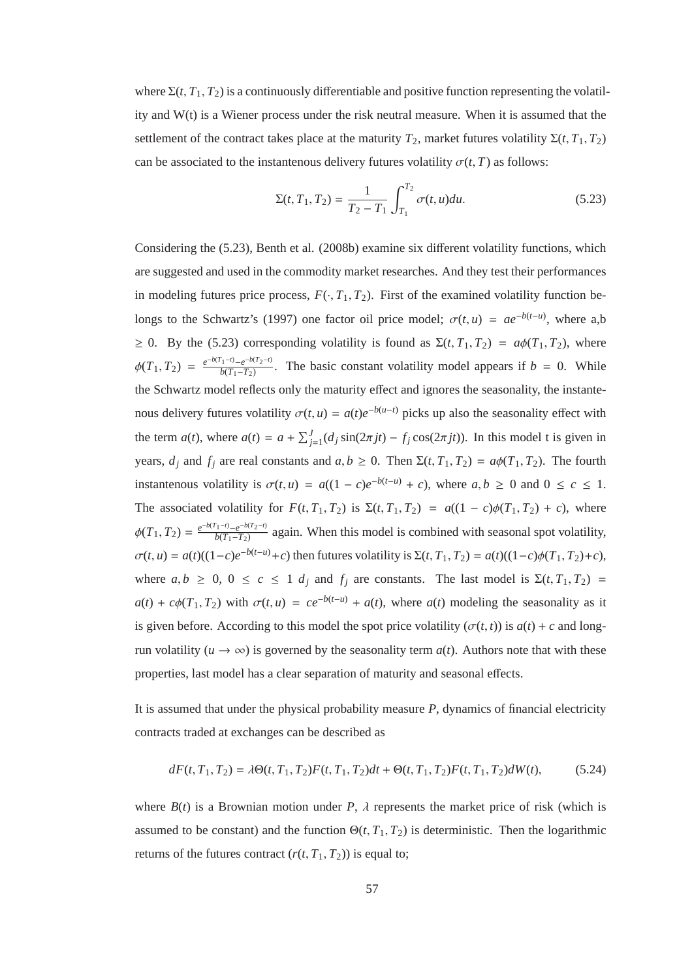where  $\Sigma(t, T_1, T_2)$  is a continuously differentiable and positive function representing the volatility and W(t) is a Wiener process under the risk neutral measure. When it is assumed that the settlement of the contract takes place at the maturity  $T_2$ , market futures volatility  $\Sigma(t, T_1, T_2)$ can be associated to the instantenous delivery futures volatility  $\sigma(t, T)$  as follows:

$$
\Sigma(t, T_1, T_2) = \frac{1}{T_2 - T_1} \int_{T_1}^{T_2} \sigma(t, u) du.
$$
 (5.23)

Considering the (5.23), Benth et al. (2008b) examine six different volatility functions, which are suggested and used in the commodity market researches. And they test their performances in modeling futures price process,  $F(\cdot, T_1, T_2)$ . First of the examined volatility function belongs to the Schwartz's (1997) one factor oil price model;  $\sigma(t, u) = ae^{-b(t-u)}$ , where a,b  $\geq$  0. By the (5.23) corresponding volatility is found as  $\Sigma(t, T_1, T_2) = a\phi(T_1, T_2)$ , where  $\phi(T_1, T_2) = \frac{e^{-b(T_1 - t)} - e^{-b(T_2 - t)}}{b(T_1 - T_2)}$  $\frac{1^{-1/2} - e^{-\omega(2)} - 1}{b(T_1 - T_2)}$ . The basic constant volatility model appears if *b* = 0. While the Schwartz model reflects only the maturity effect and ignores the seasonality, the instantenous delivery futures volatility  $\sigma(t, u) = a(t)e^{-b(u-t)}$  picks up also the seasonality effect with the term *a*(*t*), where  $a(t) = a + \sum_{j=1}^{J} (d_j \sin(2\pi j t) - f_j \cos(2\pi j t))$ . In this model t is given in years,  $d_j$  and  $f_j$  are real constants and  $a, b \ge 0$ . Then  $\Sigma(t, T_1, T_2) = a\phi(T_1, T_2)$ . The fourth instantenous volatility is  $\sigma(t, u) = a((1 - c)e^{-b(t - u)} + c)$ , where  $a, b \ge 0$  and  $0 \le c \le 1$ . The associated volatility for  $F(t, T_1, T_2)$  is  $\Sigma(t, T_1, T_2) = a((1 - c)\phi(T_1, T_2) + c)$ , where  $\phi(T_1, T_2) = \frac{e^{-b(T_1 - t)} - e^{-b(T_2 - t)}}{b(T_1 - T_2)}$  $\frac{f^{(1)}(T)-f^{(2)}(T)-f^{(1)}(T)-f^{(2)}(T)-f^{(1)}(T)-f^{(2)}(T)-f^{(1)}(T)-f^{(2)}(T)-f^{(1)}(T)-f^{(1)}(T)-f^{(1)}(T)-f^{(1)}(T)-f^{(1)}(T)-f^{(1)}(T)-f^{(1)}(T)-f^{(1)}(T)-f^{(1)}(T)-f^{(1)}(T)-f^{(1)}(T)-f^{(1)}(T)-f^{(1)}(T)-f^{(1)}(T)-f^{(1)}(T)-f^{(1)}(T)-f^{(1)}(T)-f^{(1)}(T)-f^{(1)}(T)-f$  $\sigma(t, u) = a(t)((1-c)e^{-b(t-u)} + c)$  then futures volatility is  $\Sigma(t, T_1, T_2) = a(t)((1-c)\phi(T_1, T_2) + c)$ , where  $a, b \geq 0, 0 \leq c \leq 1$  *d<sub>j</sub>* and  $f_j$  are constants. The last model is  $\Sigma(t, T_1, T_2)$  =  $a(t) + c\phi(T_1, T_2)$  with  $\sigma(t, u) = ce^{-b(t-u)} + a(t)$ , where  $a(t)$  modeling the seasonality as it is given before. According to this model the spot price volatility  $(\sigma(t, t))$  is  $a(t) + c$  and longrun volatility ( $u \rightarrow \infty$ ) is governed by the seasonality term  $a(t)$ . Authors note that with these properties, last model has a clear separation of maturity and seasonal effects.

It is assumed that under the physical probability measure *P*, dynamics of financial electricity contracts traded at exchanges can be described as

$$
dF(t, T_1, T_2) = \lambda \Theta(t, T_1, T_2) F(t, T_1, T_2) dt + \Theta(t, T_1, T_2) F(t, T_1, T_2) dW(t),
$$
(5.24)

where  $B(t)$  is a Brownian motion under *P*,  $\lambda$  represents the market price of risk (which is assumed to be constant) and the function  $\Theta(t, T_1, T_2)$  is deterministic. Then the logarithmic returns of the futures contract  $(r(t, T_1, T_2))$  is equal to;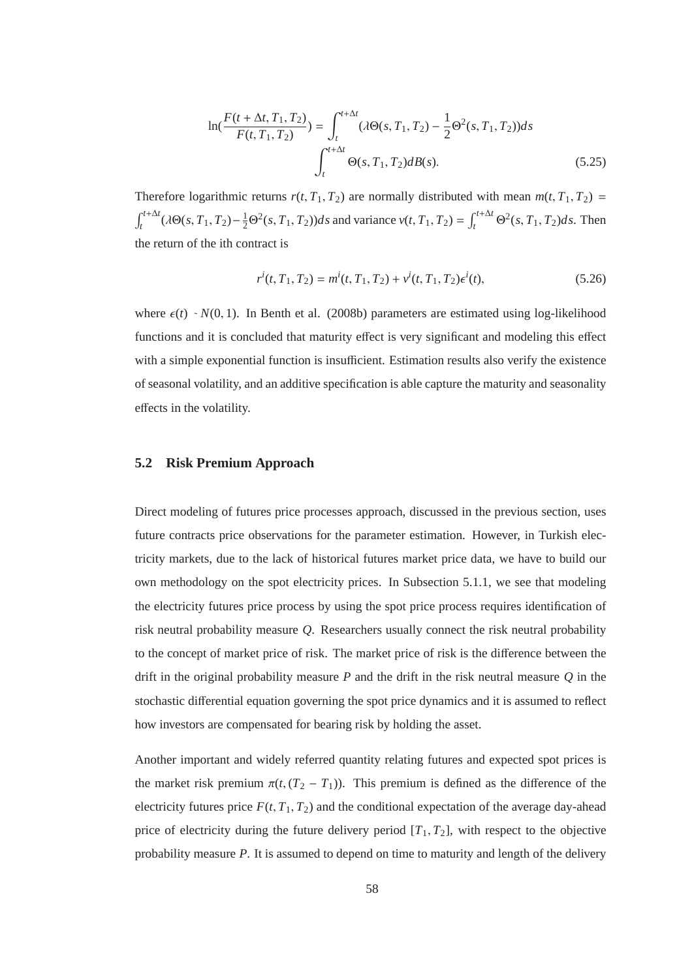$$
\ln(\frac{F(t + \Delta t, T_1, T_2)}{F(t, T_1, T_2)}) = \int_{t}^{t + \Delta t} (\lambda \Theta(s, T_1, T_2) - \frac{1}{2} \Theta^2(s, T_1, T_2)) ds
$$
  

$$
\int_{t}^{t + \Delta t} \Theta(s, T_1, T_2) dB(s).
$$
 (5.25)

Therefore logarithmic returns  $r(t, T_1, T_2)$  are normally distributed with mean  $m(t, T_1, T_2)$  =  $\int_{t}^{t+\Delta t} (\lambda \Theta(s, T_1, T_2) - \frac{1}{2} \Theta^2(s, T_1, T_2)) ds$  and variance  $v(t, T_1, T_2) = \int_{t}^{t+\Delta t} \Theta^2(s, T_1, T_2) ds$ . Then the return of the ith contract is

$$
r^{i}(t, T_{1}, T_{2}) = m^{i}(t, T_{1}, T_{2}) + v^{i}(t, T_{1}, T_{2})\epsilon^{i}(t),
$$
\n(5.26)

where  $\epsilon(t) \sim N(0, 1)$ . In Benth et al. (2008b) parameters are estimated using log-likelihood functions and it is concluded that maturity effect is very significant and modeling this effect with a simple exponential function is insufficient. Estimation results also verify the existence of seasonal volatility, and an additive specification is able capture the maturity and seasonality effects in the volatility.

#### **5.2 Risk Premium Approach**

Direct modeling of futures price processes approach, discussed in the previous section, uses future contracts price observations for the parameter estimation. However, in Turkish electricity markets, due to the lack of historical futures market price data, we have to build our own methodology on the spot electricity prices. In Subsection 5.1.1, we see that modeling the electricity futures price process by using the spot price process requires identification of risk neutral probability measure *Q*. Researchers usually connect the risk neutral probability to the concept of market price of risk. The market price of risk is the difference between the drift in the original probability measure *P* and the drift in the risk neutral measure *Q* in the stochastic differential equation governing the spot price dynamics and it is assumed to reflect how investors are compensated for bearing risk by holding the asset.

Another important and widely referred quantity relating futures and expected spot prices is the market risk premium  $\pi(t, (T_2 - T_1))$ . This premium is defined as the difference of the electricity futures price  $F(t, T_1, T_2)$  and the conditional expectation of the average day-ahead price of electricity during the future delivery period  $[T_1, T_2]$ , with respect to the objective probability measure *P*. It is assumed to depend on time to maturity and length of the delivery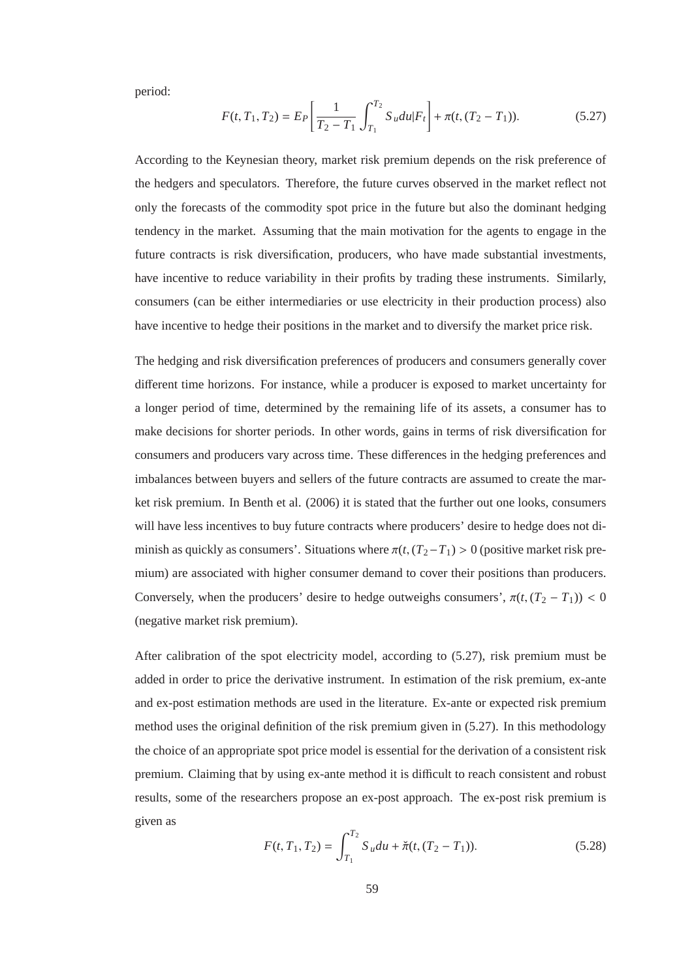period:

$$
F(t, T_1, T_2) = E_P \left[ \frac{1}{T_2 - T_1} \int_{T_1}^{T_2} S_u du | F_t \right] + \pi(t, (T_2 - T_1)).
$$
 (5.27)

According to the Keynesian theory, market risk premium depends on the risk preference of the hedgers and speculators. Therefore, the future curves observed in the market reflect not only the forecasts of the commodity spot price in the future but also the dominant hedging tendency in the market. Assuming that the main motivation for the agents to engage in the future contracts is risk diversification, producers, who have made substantial investments, have incentive to reduce variability in their profits by trading these instruments. Similarly, consumers (can be either intermediaries or use electricity in their production process) also have incentive to hedge their positions in the market and to diversify the market price risk.

The hedging and risk diversification preferences of producers and consumers generally cover different time horizons. For instance, while a producer is exposed to market uncertainty for a longer period of time, determined by the remaining life of its assets, a consumer has to make decisions for shorter periods. In other words, gains in terms of risk diversification for consumers and producers vary across time. These differences in the hedging preferences and imbalances between buyers and sellers of the future contracts are assumed to create the market risk premium. In Benth et al. (2006) it is stated that the further out one looks, consumers will have less incentives to buy future contracts where producers' desire to hedge does not diminish as quickly as consumers'. Situations where  $\pi(t, (T_2 - T_1) > 0$  (positive market risk premium) are associated with higher consumer demand to cover their positions than producers. Conversely, when the producers' desire to hedge outweighs consumers',  $\pi(t, (T_2 - T_1))$  < 0 (negative market risk premium).

After calibration of the spot electricity model, according to (5.27), risk premium must be added in order to price the derivative instrument. In estimation of the risk premium, ex-ante and ex-post estimation methods are used in the literature. Ex-ante or expected risk premium method uses the original definition of the risk premium given in (5.27). In this methodology the choice of an appropriate spot price model is essential for the derivation of a consistent risk premium. Claiming that by using ex-ante method it is difficult to reach consistent and robust results, some of the researchers propose an ex-post approach. The ex-post risk premium is given as

$$
F(t, T_1, T_2) = \int_{T_1}^{T_2} S_u du + \breve{\pi}(t, (T_2 - T_1)).
$$
\n(5.28)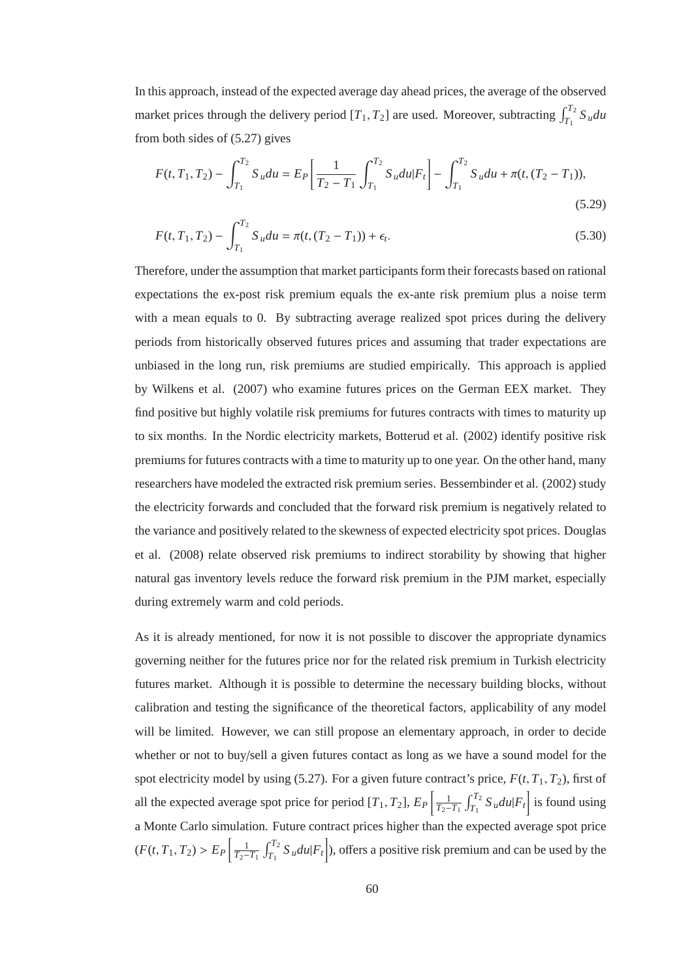In this approach, instead of the expected average day ahead prices, the average of the observed market prices through the delivery period  $[T_1, T_2]$  are used. Moreover, subtracting  $\int_{T_1}^{T_2} S_u du$ from both sides of (5.27) gives

$$
F(t, T_1, T_2) - \int_{T_1}^{T_2} S_u du = E_P \left[ \frac{1}{T_2 - T_1} \int_{T_1}^{T_2} S_u du | F_t \right] - \int_{T_1}^{T_2} S_u du + \pi(t, (T_2 - T_1)),
$$
\n(5.29)

$$
F(t, T_1, T_2) - \int_{T_1}^{T_2} S_u du = \pi(t, (T_2 - T_1)) + \epsilon_t.
$$
\n(5.30)

Therefore, under the assumption that market participants form their forecasts based on rational expectations the ex-post risk premium equals the ex-ante risk premium plus a noise term with a mean equals to 0. By subtracting average realized spot prices during the delivery periods from historically observed futures prices and assuming that trader expectations are unbiased in the long run, risk premiums are studied empirically. This approach is applied by Wilkens et al. (2007) who examine futures prices on the German EEX market. They find positive but highly volatile risk premiums for futures contracts with times to maturity up to six months. In the Nordic electricity markets, Botterud et al. (2002) identify positive risk premiums for futures contracts with a time to maturity up to one year. On the other hand, many researchers have modeled the extracted risk premium series. Bessembinder et al. (2002) study the electricity forwards and concluded that the forward risk premium is negatively related to the variance and positively related to the skewness of expected electricity spot prices. Douglas et al. (2008) relate observed risk premiums to indirect storability by showing that higher natural gas inventory levels reduce the forward risk premium in the PJM market, especially during extremely warm and cold periods.

As it is already mentioned, for now it is not possible to discover the appropriate dynamics governing neither for the futures price nor for the related risk premium in Turkish electricity futures market. Although it is possible to determine the necessary building blocks, without calibration and testing the significance of the theoretical factors, applicability of any model will be limited. However, we can still propose an elementary approach, in order to decide whether or not to buy/sell a given futures contact as long as we have a sound model for the spot electricity model by using (5.27). For a given future contract's price,  $F(t, T_1, T_2)$ , first of all the expected average spot price for period  $[T_1, T_2]$ ,  $E_P\left[\frac{1}{T_2 - 1}\right]$ *T*2−*T*<sup>1</sup>  $\int_0$ <sup>T<sub>2</sub></sup>  $T_1^{T_2} S_u du |F_t$  is found using a Monte Carlo simulation. Future contract prices higher than the expected average spot price  $(F(t, T_1, T_2) > E_P \left[ \frac{1}{T_2 - 1} \right]$ *T*2−*T*<sup>1</sup>  $\int_0$ <sup>T<sub>2</sub></sup>  $T_1^{T_2} S_u du |F_t|$ ), offers a positive risk premium and can be used by the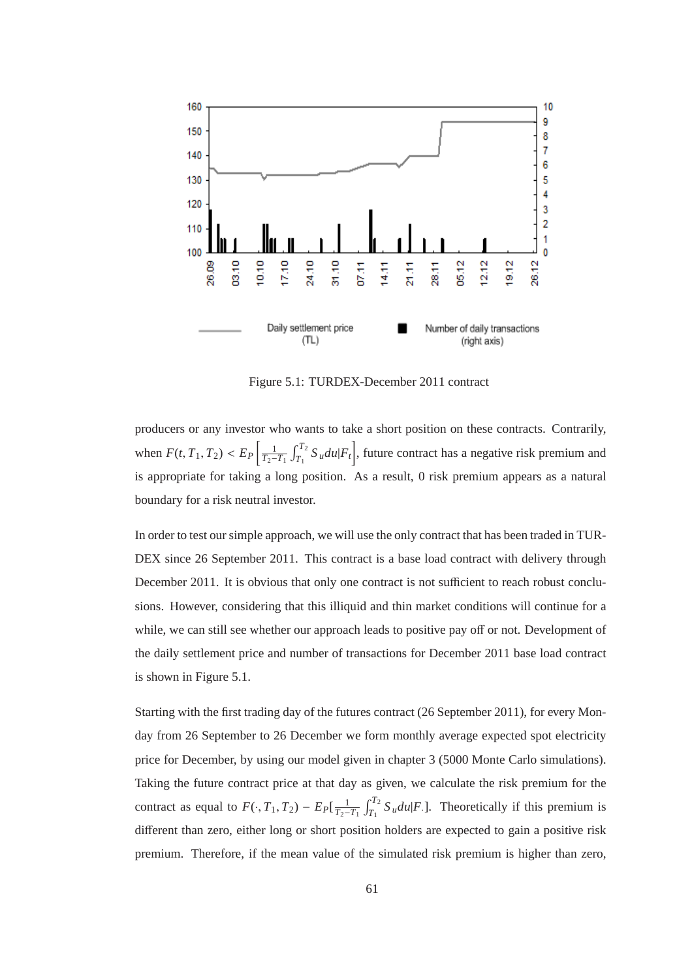

Figure 5.1: TURDEX-December 2011 contract

producers or any investor who wants to take a short position on these contracts. Contrarily, when  $F(t, T_1, T_2) < E_P \left[ \frac{1}{T_2 - 1} \right]$ *T*2−*T*<sup>1</sup>  $\int_0$ <sup>T<sub>2</sub></sup>  $T_1^{T_2} S_u du |F_t|$ , future contract has a negative risk premium and is appropriate for taking a long position. As a result, 0 risk premium appears as a natural boundary for a risk neutral investor.

In order to test our simple approach, we will use the only contract that has been traded in TUR-DEX since 26 September 2011. This contract is a base load contract with delivery through December 2011. It is obvious that only one contract is not sufficient to reach robust conclusions. However, considering that this illiquid and thin market conditions will continue for a while, we can still see whether our approach leads to positive pay off or not. Development of the daily settlement price and number of transactions for December 2011 base load contract is shown in Figure 5.1.

Starting with the first trading day of the futures contract (26 September 2011), for every Monday from 26 September to 26 December we form monthly average expected spot electricity price for December, by using our model given in chapter 3 (5000 Monte Carlo simulations). Taking the future contract price at that day as given, we calculate the risk premium for the contract as equal to  $F(\cdot, T_1, T_2) - E_P[\frac{1}{T_2-1}]$ *T*2−*T*<sup>1</sup>  $\int_0$ <sup>T<sub>2</sub></sup>  $T_1^{12} S_u du$  *F*.]. Theoretically if this premium is different than zero, either long or short position holders are expected to gain a positive risk premium. Therefore, if the mean value of the simulated risk premium is higher than zero,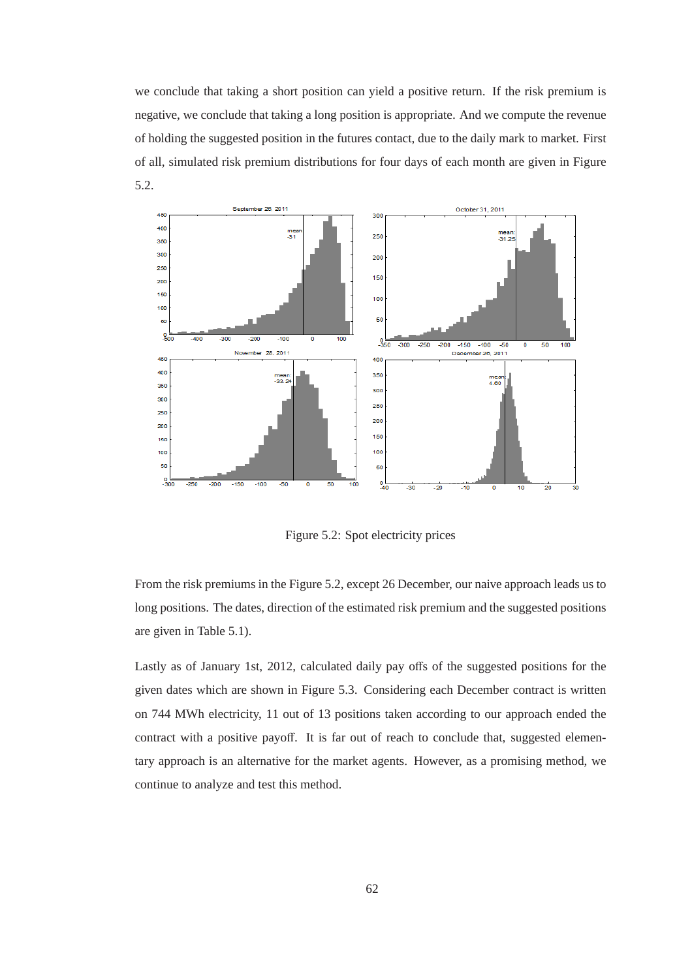we conclude that taking a short position can yield a positive return. If the risk premium is negative, we conclude that taking a long position is appropriate. And we compute the revenue of holding the suggested position in the futures contact, due to the daily mark to market. First of all, simulated risk premium distributions for four days of each month are given in Figure 5.2.



Figure 5.2: Spot electricity prices

From the risk premiums in the Figure 5.2, except 26 December, our naive approach leads us to long positions. The dates, direction of the estimated risk premium and the suggested positions are given in Table 5.1).

Lastly as of January 1st, 2012, calculated daily pay offs of the suggested positions for the given dates which are shown in Figure 5.3. Considering each December contract is written on 744 MWh electricity, 11 out of 13 positions taken according to our approach ended the contract with a positive payoff. It is far out of reach to conclude that, suggested elementary approach is an alternative for the market agents. However, as a promising method, we continue to analyze and test this method.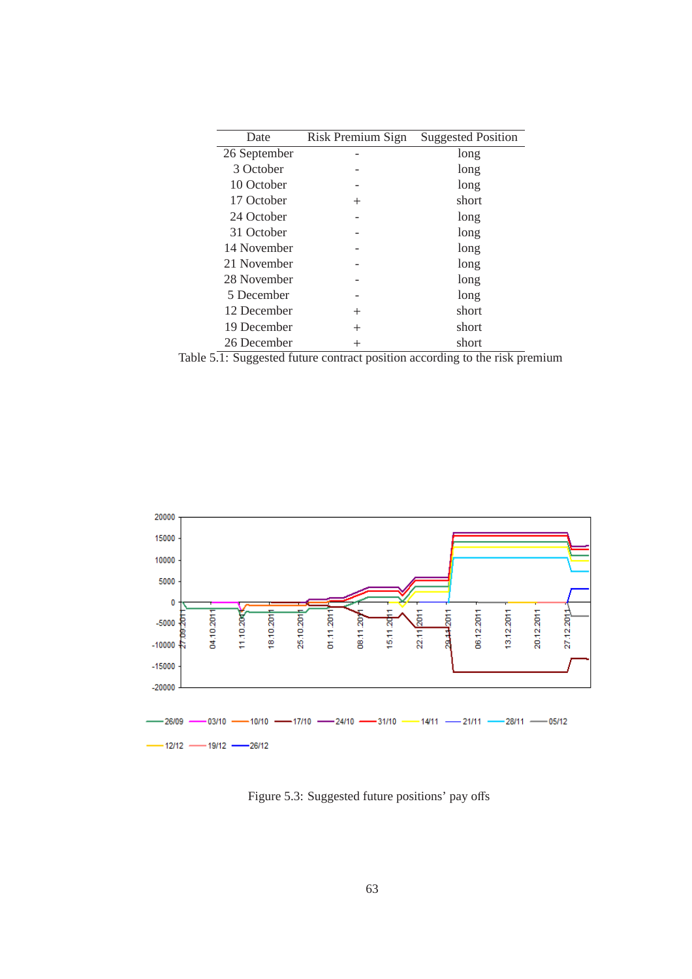| Date         | Risk Premium Sign | <b>Suggested Position</b> |
|--------------|-------------------|---------------------------|
| 26 September |                   | long                      |
| 3 October    |                   | long                      |
| 10 October   |                   | long                      |
| 17 October   | $^+$              | short                     |
| 24 October   |                   | long                      |
| 31 October   |                   | long                      |
| 14 November  |                   | long                      |
| 21 November  |                   | long                      |
| 28 November  |                   | long                      |
| 5 December   |                   | long                      |
| 12 December  | $^+$              | short                     |
| 19 December  | $^+$              | short                     |
| 26 December  | $^+$              | short                     |

Table 5.1: Suggested future contract position according to the risk premium



Figure 5.3: Suggested future positions' pay offs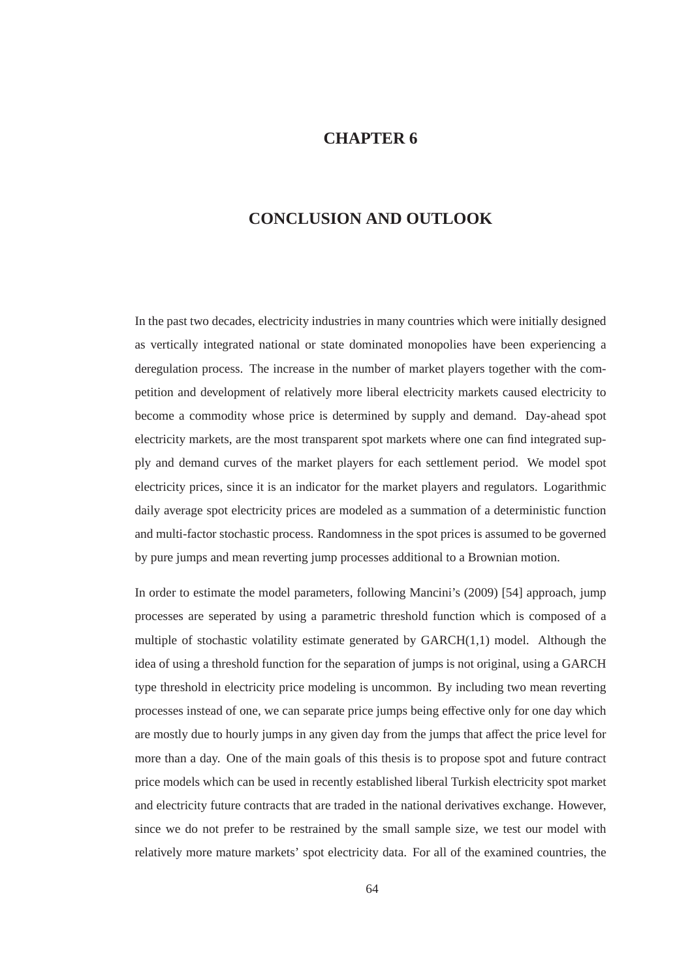## **CHAPTER 6**

## **CONCLUSION AND OUTLOOK**

In the past two decades, electricity industries in many countries which were initially designed as vertically integrated national or state dominated monopolies have been experiencing a deregulation process. The increase in the number of market players together with the competition and development of relatively more liberal electricity markets caused electricity to become a commodity whose price is determined by supply and demand. Day-ahead spot electricity markets, are the most transparent spot markets where one can find integrated supply and demand curves of the market players for each settlement period. We model spot electricity prices, since it is an indicator for the market players and regulators. Logarithmic daily average spot electricity prices are modeled as a summation of a deterministic function and multi-factor stochastic process. Randomness in the spot prices is assumed to be governed by pure jumps and mean reverting jump processes additional to a Brownian motion.

In order to estimate the model parameters, following Mancini's (2009) [54] approach, jump processes are seperated by using a parametric threshold function which is composed of a multiple of stochastic volatility estimate generated by  $GARCH(1,1)$  model. Although the idea of using a threshold function for the separation of jumps is not original, using a GARCH type threshold in electricity price modeling is uncommon. By including two mean reverting processes instead of one, we can separate price jumps being effective only for one day which are mostly due to hourly jumps in any given day from the jumps that affect the price level for more than a day. One of the main goals of this thesis is to propose spot and future contract price models which can be used in recently established liberal Turkish electricity spot market and electricity future contracts that are traded in the national derivatives exchange. However, since we do not prefer to be restrained by the small sample size, we test our model with relatively more mature markets' spot electricity data. For all of the examined countries, the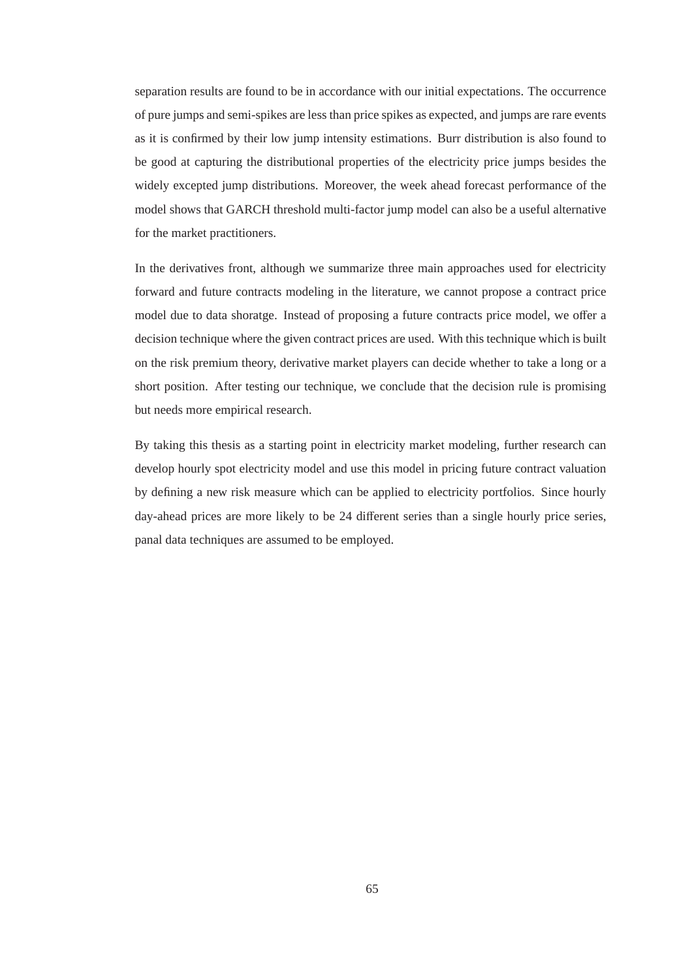separation results are found to be in accordance with our initial expectations. The occurrence of pure jumps and semi-spikes are less than price spikes as expected, and jumps are rare events as it is confirmed by their low jump intensity estimations. Burr distribution is also found to be good at capturing the distributional properties of the electricity price jumps besides the widely excepted jump distributions. Moreover, the week ahead forecast performance of the model shows that GARCH threshold multi-factor jump model can also be a useful alternative for the market practitioners.

In the derivatives front, although we summarize three main approaches used for electricity forward and future contracts modeling in the literature, we cannot propose a contract price model due to data shoratge. Instead of proposing a future contracts price model, we offer a decision technique where the given contract prices are used. With this technique which is built on the risk premium theory, derivative market players can decide whether to take a long or a short position. After testing our technique, we conclude that the decision rule is promising but needs more empirical research.

By taking this thesis as a starting point in electricity market modeling, further research can develop hourly spot electricity model and use this model in pricing future contract valuation by defining a new risk measure which can be applied to electricity portfolios. Since hourly day-ahead prices are more likely to be 24 different series than a single hourly price series, panal data techniques are assumed to be employed.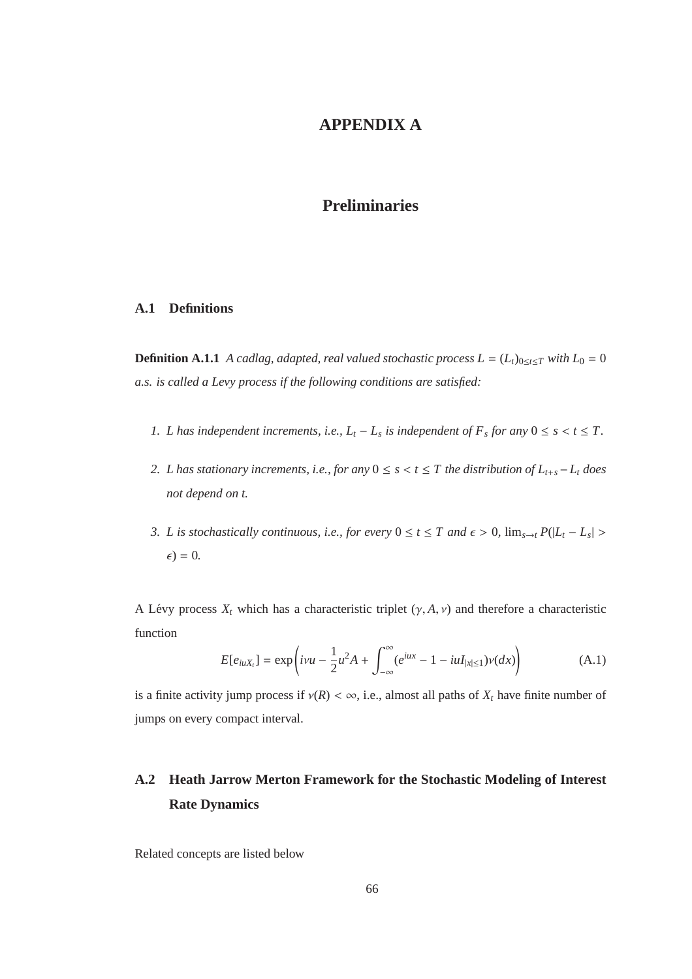## **APPENDIX A**

## **Preliminaries**

#### **A.1 Definitions**

**Definition A.1.1** *A cadlag, adapted, real valued stochastic process*  $L = (L_t)_{0 \le t \le T}$  *with*  $L_0 = 0$ *a.s. is called a Levy process if the following conditions are satisfied:*

- *1. L* has independent increments, i.e.,  $L_t L_s$  is independent of  $F_s$  for any  $0 \le s < t \le T$ .
- *2. L has stationary increments, i.e., for any*  $0 \leq s < t \leq T$  *the distribution of*  $L_{t+s} L_t$  *does not depend on t.*
- *3. L is stochastically continuous, i.e., for every*  $0 \le t \le T$  and  $\epsilon > 0$ ,  $\lim_{s \to t} P(|L_t L_s| >$  $\epsilon$ ) = 0.

A Lévy process  $X_t$  which has a characteristic triplet  $(\gamma, A, \nu)$  and therefore a characteristic function

$$
E[e_{iuX_t}] = \exp\left(i\nu u - \frac{1}{2}u^2 A + \int_{-\infty}^{\infty} (e^{iux} - 1 - iuI_{|x| \le 1})\nu(dx)\right)
$$
(A.1)

is a finite activity jump process if  $v(R) < \infty$ , i.e., almost all paths of  $X_t$  have finite number of jumps on every compact interval.

# **A.2 Heath Jarrow Merton Framework for the Stochastic Modeling of Interest Rate Dynamics**

Related concepts are listed below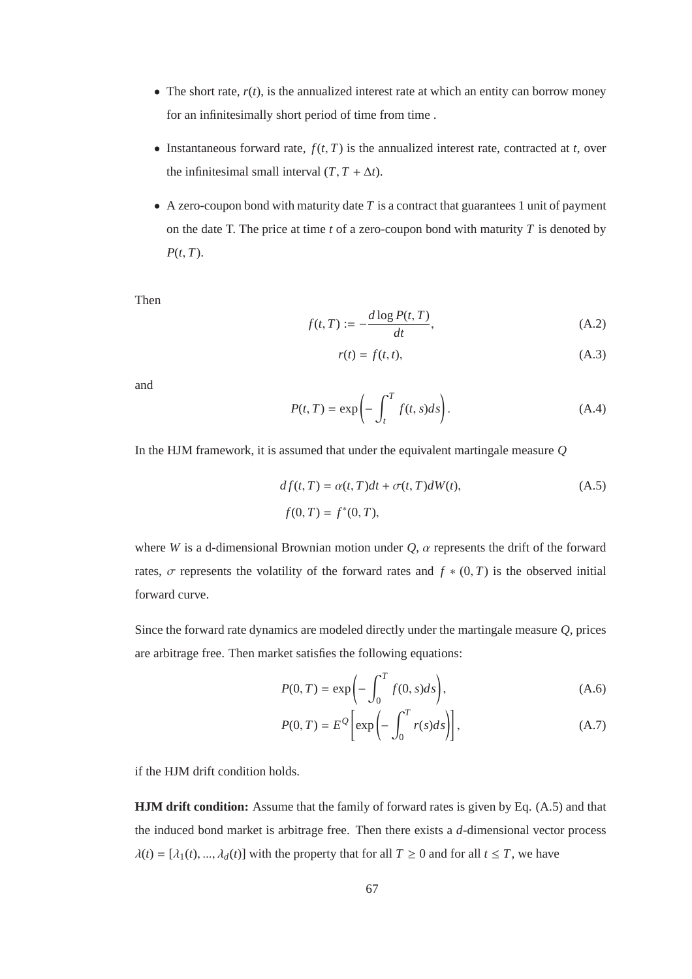- The short rate,  $r(t)$ , is the annualized interest rate at which an entity can borrow money for an infinitesimally short period of time from time .
- Instantaneous forward rate,  $f(t, T)$  is the annualized interest rate, contracted at *t*, over the infinitesimal small interval  $(T, T + \Delta t)$ .
- A zero-coupon bond with maturity date  $T$  is a contract that guarantees 1 unit of payment on the date T. The price at time *t* of a zero-coupon bond with maturity *T* is denoted by *P*(*t*, *T*).

Then

$$
f(t,T) := -\frac{d \log P(t,T)}{dt},\tag{A.2}
$$

$$
r(t) = f(t, t), \tag{A.3}
$$

and

$$
P(t,T) = \exp\left(-\int_{t}^{T} f(t,s)ds\right).
$$
 (A.4)

In the HJM framework, it is assumed that under the equivalent martingale measure *Q*

$$
df(t, T) = \alpha(t, T)dt + \sigma(t, T)dW(t),
$$
\n
$$
f(0, T) = f^*(0, T),
$$
\n(A.5)

where *W* is a d-dimensional Brownian motion under  $Q$ ,  $\alpha$  represents the drift of the forward rates,  $\sigma$  represents the volatility of the forward rates and  $f * (0, T)$  is the observed initial forward curve.

Since the forward rate dynamics are modeled directly under the martingale measure *Q*, prices are arbitrage free. Then market satisfies the following equations:

$$
P(0,T) = \exp\left(-\int_0^T f(0,s)ds\right),\tag{A.6}
$$

$$
P(0,T) = E^{\mathcal{Q}} \left[ \exp \left( - \int_0^T r(s) ds \right) \right], \tag{A.7}
$$

if the HJM drift condition holds.

**HJM drift condition:** Assume that the family of forward rates is given by Eq. (A.5) and that the induced bond market is arbitrage free. Then there exists a *d*-dimensional vector process  $\lambda(t) = [\lambda_1(t), ..., \lambda_d(t)]$  with the property that for all  $T \ge 0$  and for all  $t \le T$ , we have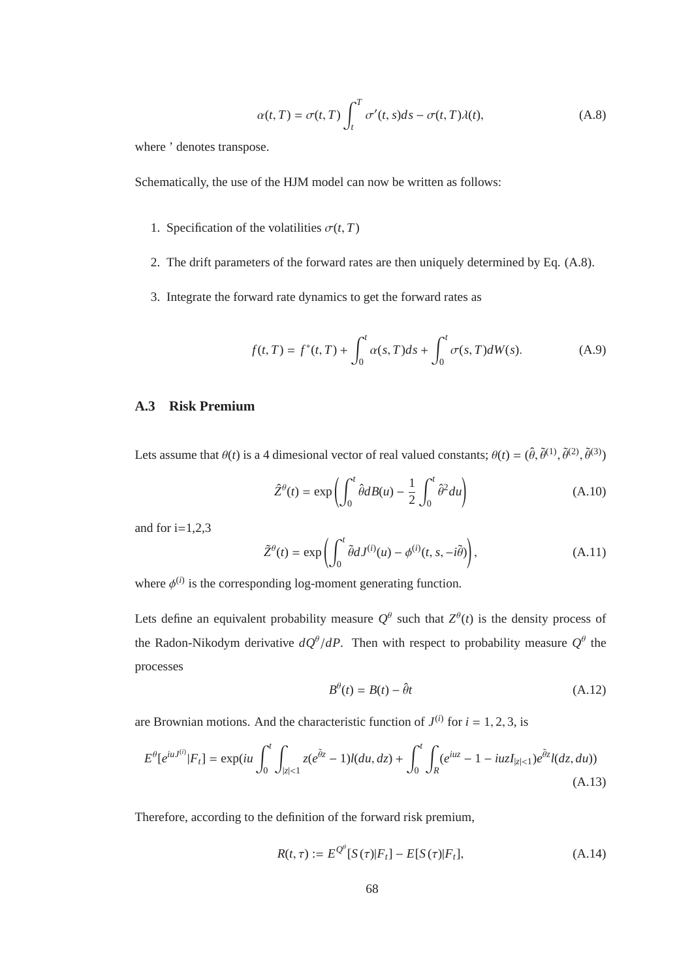$$
\alpha(t,T) = \sigma(t,T) \int_{t}^{T} \sigma'(t,s)ds - \sigma(t,T)\lambda(t), \qquad (A.8)
$$

where ' denotes transpose.

Schematically, the use of the HJM model can now be written as follows:

- 1. Specification of the volatilities  $\sigma(t, T)$
- 2. The drift parameters of the forward rates are then uniquely determined by Eq. (A.8).
- 3. Integrate the forward rate dynamics to get the forward rates as

$$
f(t,T) = f^*(t,T) + \int_0^t \alpha(s,T)ds + \int_0^t \sigma(s,T)dW(s).
$$
 (A.9)

#### **A.3 Risk Premium**

Lets assume that  $\theta(t)$  is a 4 dimesional vector of real valued constants;  $\theta(t) = (\hat{\theta}, \tilde{\theta}^{(1)}, \tilde{\theta}^{(2)}, \tilde{\theta}^{(3)})$ 

$$
\hat{Z}^{\theta}(t) = \exp\left(\int_0^t \hat{\theta} dB(u) - \frac{1}{2} \int_0^t \hat{\theta}^2 du\right)
$$
 (A.10)

and for  $i=1,2,3$ 

$$
\tilde{Z}^{\theta}(t) = \exp\left(\int_0^t \tilde{\theta} dJ^{(i)}(u) - \phi^{(i)}(t, s, -i\tilde{\theta})\right),\tag{A.11}
$$

where  $\phi^{(i)}$  is the corresponding log-moment generating function.

Lets define an equivalent probability measure  $Q^{\theta}$  such that  $Z^{\theta}(t)$  is the density process of the Radon-Nikodym derivative  $dQ^{\theta}/dP$ . Then with respect to probability measure  $Q^{\theta}$  the processes

$$
B^{\theta}(t) = B(t) - \hat{\theta}t \tag{A.12}
$$

are Brownian motions. And the characteristic function of  $J^{(i)}$  for  $i = 1, 2, 3$ , is

$$
E^{\theta}[e^{iuJ^{(i)}}|F_t] = \exp(iu \int_0^t \int_{|z| < 1} z(e^{\tilde{\theta}z} - 1)l(du, dz) + \int_0^t \int_R (e^{iuz} - 1 - iuzI_{|z| < 1})e^{\tilde{\theta}z}l(dz, du))
$$
\n(A.13)

Therefore, according to the definition of the forward risk premium,

$$
R(t,\tau) := E^{\mathcal{Q}^{\theta}}[S(\tau)|F_t] - E[S(\tau)|F_t],
$$
\n(A.14)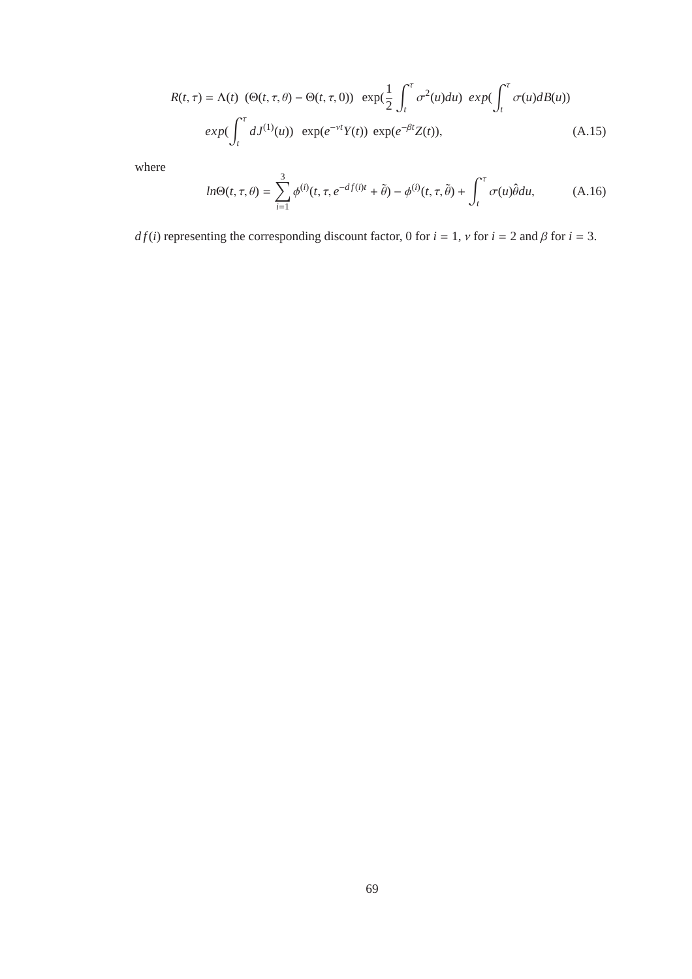$$
R(t,\tau) = \Lambda(t) \left( \Theta(t,\tau,\theta) - \Theta(t,\tau,0) \right) \exp\left(\frac{1}{2} \int_t^\tau \sigma^2(u) du\right) \exp\left(\int_t^\tau \sigma(u) dB(u)\right)
$$

$$
exp\left(\int_t^\tau dJ^{(1)}(u)\right) \exp(e^{-\nu t} Y(t)) \exp(e^{-\beta t} Z(t)), \tag{A.15}
$$

where

$$
ln\Theta(t,\tau,\theta) = \sum_{i=1}^{3} \phi^{(i)}(t,\tau,e^{-df(i)t}+\tilde{\theta}) - \phi^{(i)}(t,\tau,\tilde{\theta}) + \int_{t}^{\tau} \sigma(u)\theta du, \tag{A.16}
$$

*df(i)* representing the corresponding discount factor, 0 for  $i = 1$ ,  $\nu$  for  $i = 2$  and  $\beta$  for  $i = 3$ .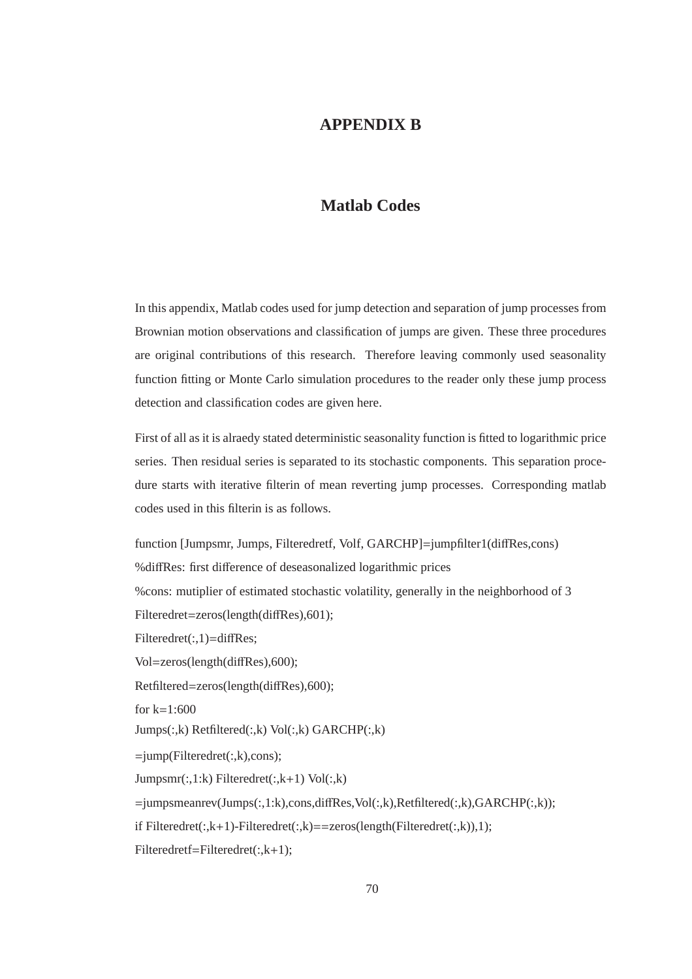## **APPENDIX B**

## **Matlab Codes**

In this appendix, Matlab codes used for jump detection and separation of jump processes from Brownian motion observations and classification of jumps are given. These three procedures are original contributions of this research. Therefore leaving commonly used seasonality function fitting or Monte Carlo simulation procedures to the reader only these jump process detection and classification codes are given here.

First of all as it is alraedy stated deterministic seasonality function is fitted to logarithmic price series. Then residual series is separated to its stochastic components. This separation procedure starts with iterative filterin of mean reverting jump processes. Corresponding matlab codes used in this filterin is as follows.

function [Jumpsmr, Jumps, Filteredretf, Volf, GARCHP]=jumpfilter1(diffRes,cons) %diffRes: first difference of deseasonalized logarithmic prices %cons: mutiplier of estimated stochastic volatility, generally in the neighborhood of 3 Filteredret=zeros(length(diffRes),601); Filteredret(:,1)=diffRes; Vol=zeros(length(diffRes),600); Retfiltered=zeros(length(diffRes),600); for  $k=1.600$ Jumps(:,k) Retfiltered(:,k) Vol(:,k) GARCHP(:,k)  $=$ jump(Filteredret $(:,k)$ ,cons);  $Jumpsmr(:,1:k)$  Filteredret $(:,k+1)$  Vol $(:,k)$  $=$ jumpsmeanrev(Jumps(:,1:k),cons,diffRes,Vol(:,k),Retfiltered(:,k),GARCHP(:,k)); if Filteredret(:,k+1)-Filteredret(:,k)==zeros(length(Filteredret(:,k)),1);

Filteredretf=Filteredret(:,k+1);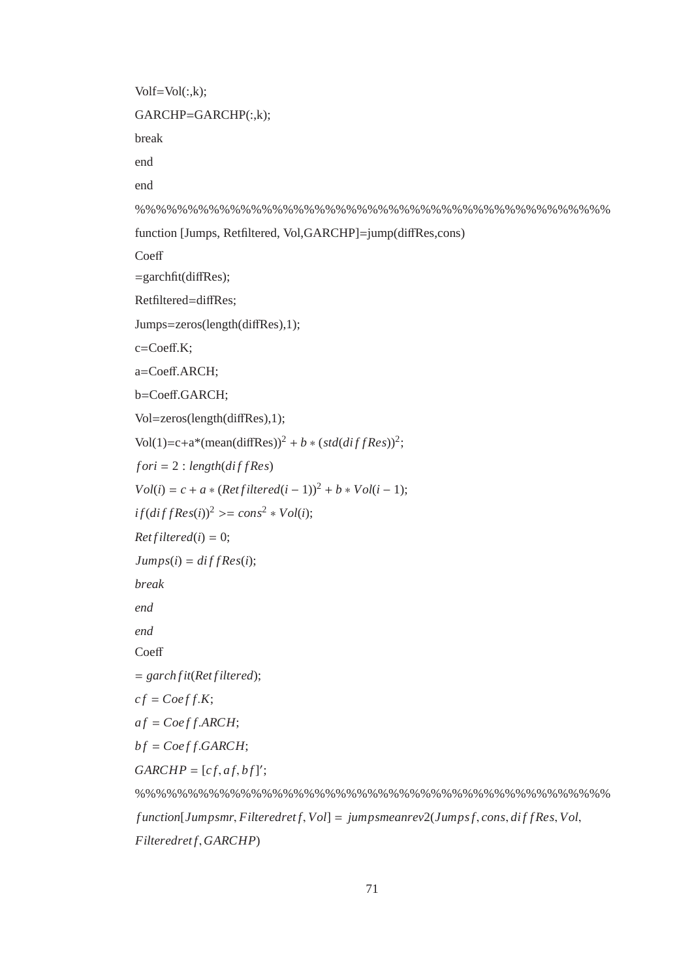$Volf=Vol(:,k);$ GARCHP=GARCHP(:,k); break end end %%%%%%%%%%%%%%%%%%%%%%%%%%%%%%%%%%%%%%%%%%%%% function [Jumps, Retfiltered, Vol,GARCHP]=jump(diffRes,cons) **Coeff**  $=$ garchfit(diffRes); Retfiltered=diffRes; Jumps=zeros(length(diffRes),1); c=Coeff.K; a=Coeff.ARCH; b=Coeff.GARCH; Vol=zeros(length(diffRes),1); Vol(1)=c+a\*(mean(diffRes))<sup>2</sup> + *b* \* ( $std(diffRes)$ )<sup>2</sup>;  $for i = 2 : length(di f Res)$  $Vol(i) = c + a * (Retfiltered(i-1))^{2} + b * Vol(i-1);$  $if$ ( $diffRes(i)$ )<sup>2</sup> > =  $cons^2 * Vol(i)$ ;  $Retfiltered(i) = 0;$  $Jumps(i) = diffRes(i);$ *break end end* **Coeff** = *garch f it*(*Ret f iltered*);  $cf = Coeff.K;$  $af = Coeff, ARCH;$  $bf = Coeff.GARCH;$  $GARCHP = [cf, af, bf]';$ %%%%%%%%%%%%%%%%%%%%%%%%%%%%%%%%%%%%%%%%%%%%% *f unction*[*Jumpsmr*, *Filteredret f*, *Vol*] = *jumpsmeanrev*2(*Jumps f*, *cons*, *di f f Res*, *Vol*,

*Filteredret f*,*GARCHP*)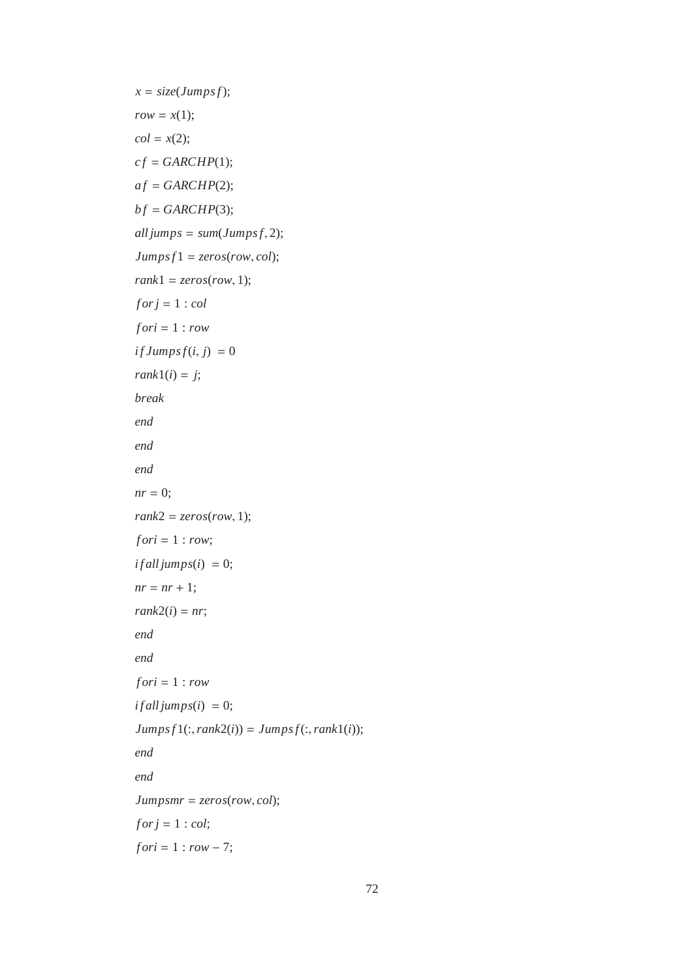```
x = \text{size}(Jumpsf);row = x(1);col = x(2);cf = GARCHP(1);af = GARCHP(2);bf = GARCHP(3);all jumps = sum(Jumps f, 2);Jumps f1 = zeros(row,col);rank1 = zeros(row, 1);for j = 1 : colf ori = 1 : row
if \, \textit{Jumpsf}(i, j) = 0rank1(i) = j;break
end
end
end
nr = 0;
rank2 = zeros(row, 1);for i = 1 : row;if all jumps(i) = 0;nr = nr + 1;rank2(i) = nr;end
end
f ori = 1 : row
if all jumps (i) = 0;Jumps f1(:,rank2(i)) = Jumps f(:,rank1(i));end
end
Jumpsmr = zeros(row, col);
for j = 1 : col;f ori = 1 : row − 7;
```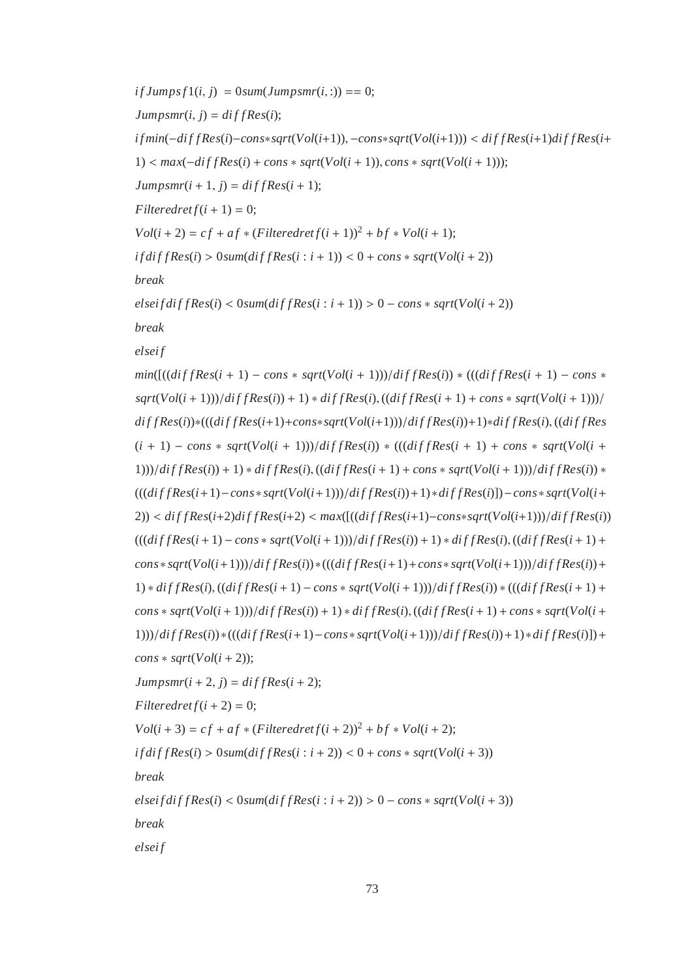$if \, \lim_{t \to \infty} f(1(i, i)) = 0 \, \lim_{t \to \infty} \lim_{t \to \infty} f(i, i) = 0;$  $Jumpsmr(i, j) = diffRes(i);$ *i f min*(−*di f f Res*(*i*)−*cons*∗*sqrt*(*Vol*(*i*+1)), −*cons*∗*sqrt*(*Vol*(*i*+1))) < *di f f Res*(*i*+1)*di f f Res*(*i*+ 1) < *max*(−*di f f Res*(*i*) + *cons* ∗ *sqrt*(*Vol*(*i* + 1)), *cons* ∗ *sqrt*(*Vol*(*i* + 1)));  $Jumpsmr(i+1, j) = diffRes(i+1);$  $F{\textit{lteredret}} f(i+1) = 0;$  $Vol(i + 2) = cf + af * (Filteredref(i + 1))^{2} + bf * Vol(i + 1);$  $if diffRes(i) > 0$ *sum* $(dffRes(i : i + 1)) < 0 + const * sqrt(Vol(i + 2))$ *break*  $e$ *lsei*  $f$ *di*  $f$   $f$ *Res*( $i$ ) < 0*sum*( $diff$   $Res$ ( $i$  :  $i + 1$ )) > 0 –  $cons$   $*$   $sqrt{Vol(i + 2)}$ *break elsei f*  $min([(diffRes(i + 1) - cons * sqrt(Vol(i + 1)))/diffRes(i)) * (((diffRes(i + 1) - cons *$  $sqrt{Vol(i+1))}/diffRes(i) + 1) * diffRes(i), ((diffRes(i+1) + const * sqrt(Vol(i+1)))/$ *di f f Res*(*i*))∗(((*di f f Res*(*i*+1)+*cons*∗*sqrt*(*Vol*(*i*+1)))/*di f f Res*(*i*))+1)∗*di f f Res*(*i*), ((*di f f Res*  $(i + 1) - const * sqrt(Vol(i + 1))$ / $diffRes(i) * (((diffRes(i + 1) + cons * sqrt(Vol(i + 1)))$  $1$ )))/ $diffRes(i) + 1$ ) \*  $diffRes(i)$ ,  $((diffRes(i + 1) + const * sqrt(Vol(i + 1)))/diffRes(i)$  \* (((*di f f Res*(*i*+1)−*cons*∗ *sqrt*(*Vol*(*i*+1)))/*di f f Res*(*i*))+1)∗*di f f Res*(*i*)])−*cons*∗ *sqrt*(*Vol*(*i*+  $2)$ ) <  $diffRes(i+2)diffRes(i+2)$  <  $max([(diffRes(i+1)-cons*sqrt(Vol(i+1)))/diffRes(i))]$  $(((diffRes(i+1) - cons * sqrt(Vol(i+1)))/diffRes(i)) + 1) * diffRes(i), ((diffRes(i+1) +$  $cons*sqrt{Vol(i+1))}/diffRes(i)$  \*  $((diffRes(i+1)+cons*sqrt{Vol(i+1))})/diffRes(i)$  +  $1) * diffRes(i), ((diffRes(i+1) - cons * sqrt(Vol(i+1)))/diffRes(i)) * (((diffRes(i+1) +$  $cons * sqrt(Vol(i+1))$ / $diffRes(i)$  + 1)  $* diffRes(i)$ ,  $((diffRes(i+1) + cons * sqrt(Vol(i+1)))$ 1)))/*di f f Res*(*i*))∗(((*di f f Res*(*i*+1)−*cons*∗ *sqrt*(*Vol*(*i*+1)))/*di f f Res*(*i*))+1)∗*di f f Res*(*i*)])+  $cons * sqrt(Vol(i + 2))$ ;  $Jumpsmr(i + 2, j) = diffRes(i + 2);$  $F{\textit{l}}\textit{t}$  *Filteredret*  $f(i+2) = 0$ ;  $Vol(i + 3) = cf + af * (Filteredref(i + 2))^2 + bf * Vol(i + 2);$  $if diffRes(i) > 0$ *sum* $(dffRes(i : i + 2)) < 0 + const * sqrt(Vol(i + 3))$ *break*  $e$ *lsei*  $f$ *di*  $f$ *fRes*( $i$ ) < 0*sum*( $diff$ *Res*( $i$  :  $i$  + 2)) > 0 –  $cons$  \*  $sqrt{Vol(i + 3)}$ 

*break*

*elsei f*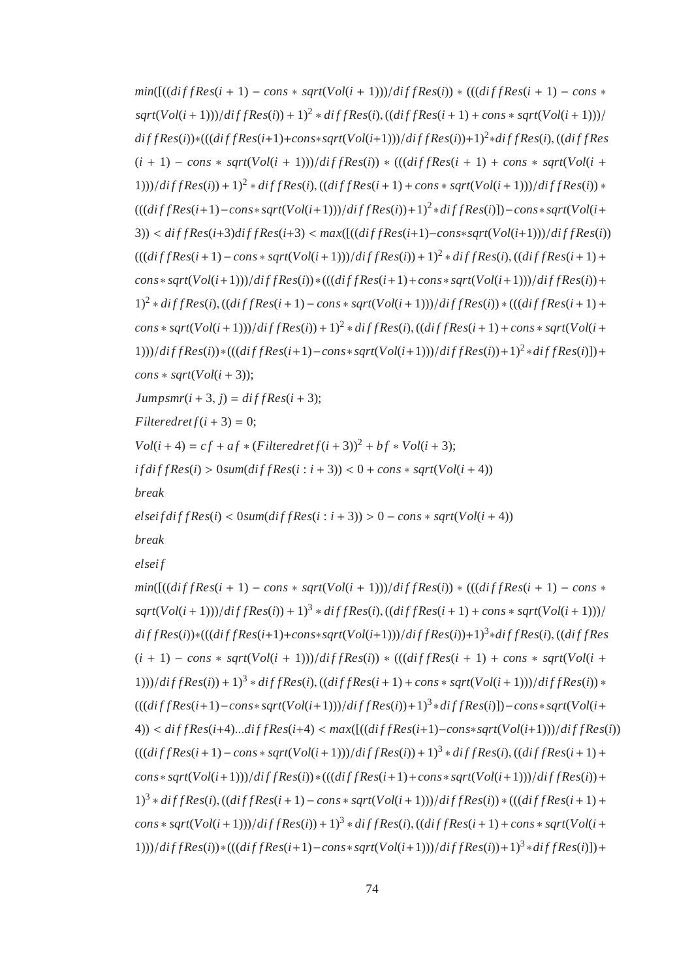$min([(diffRes(i + 1) - cons * sqrt(Vol(i + 1)))/diffRes(i)) * (((diffRes(i + 1) - cons *$  $sqrt{Vol(i+1))}/diffRes(i) + 1)^2 * diffRes(i)$ ,  $((diffRes(i+1) + const * sqrtVol(i+1)))/$ *di f f Res*(*i*))∗(((*di f f Res*(*i*+1)+*cons*∗*sqrt*(*Vol*(*i*+1)))/*di f f Res*(*i*))+1)<sup>2</sup> ∗*di f f Res*(*i*), ((*di f f Res*  $(i + 1) - const * sqrt(Vol(i + 1))$ / $diffRes(i)$  \*  $(((diffRes(i + 1) + cons * sqrt(Vol(i + 1)))$  $(1)$ ))/ $diffRes(i) + 1)^2 * diffRes(i)$ ,  $((diffRes(i + 1) + const * sqrt(Vol(i + 1)))/diffRes(i) *$ (((*di f f Res*(*i*+1)−*cons*<sup>∗</sup> *sqrt*(*Vol*(*i*+1)))/*di f f Res*(*i*))+1)<sup>2</sup> ∗*di f f Res*(*i*)])−*cons*∗ *sqrt*(*Vol*(*i*+  $3)$ ) <  $diffRes(i+3)diffRes(i+3)$  <  $max([(diffRes(i+1)-cons*sqrt(Vol(i+1)))/diffRes(i))]$  $(((diffRes(i + 1) - cons * sqrt(Vol(i + 1)))/diffRes(i)) + 1)^2 * diffRes(i), ((diffRes(i + 1) +$  $\frac{1}{\sqrt{2}}$  *cons*∗ *sqrt*( $Vol(i+1)$ ))/*di f f Res*(*i*))∗(((*di f f Res*(*i*+1)+*cons*∗ *sqrt*( $Vol(i+1)$ ))/*di f f Res*(*i*))+  $1)^2 * diffRes(i), ((diffRes(i + 1) - cons * sqrt(Vol(i + 1)))/diffRes(i)) * (((diffRes(i + 1) +$  $\frac{1}{2}$  *cons* \*  $sqrt{Vol(i+1))}/diffRes(i) + 1)^2 * diffRes(i), ((diffRes(i+1) + const * sqrt(Vol(i+1)))$ 1)))/*dif fRes*(*i*))∗(((*dif fRes*(*i*+1)−*cons*∗ *sqrt*( $Vol(i+1)$ ))/*dif fRes*(*i*))+1)<sup>2</sup> ∗*dif fRes*(*i*)])+  $cons * sqrt(Vol(i + 3));$  $Jumpsmr(i+3, j) = diffRes(i+3);$  $F{\textit{l}}\textit{t}$  *Filteredret*  $f(i+3) = 0$ ;  $Vol(i + 4) = cf + af * (Filteredref(i + 3))^{2} + bf * Vol(i + 3);$  $if diffRes(i) > 0$ *sum* $(dffRes(i : i + 3)) < 0 + const * sqrt(Vol(i + 4))$ *break*  $e$ *lsei*  $f$ *di*  $f$ *fRes*( $i$ ) < 0*sum*( $diff$ *Res*( $i$  :  $i$  + 3)) > 0 –  $cons$  \*  $sqrt{Vol(i + 4)}$ *break elsei f*  $min([(diffRes(i + 1) - cons * sqrt(Vol(i + 1)))/diffRes(i)) * (((diffRes(i + 1) - cons *$ 

 $sqrt{Vol(i+1))}/diffRes(i) + 1)^3 * diffRes(i)$ ,  $((diffRes(i+1) + const * sqrtVol(i+1)))/$ *di f f Res*(*i*))∗(((*di f f Res*(*i*+1)+*cons*∗*sqrt*(*Vol*(*i*+1)))/*di f f Res*(*i*))+1)<sup>3</sup> ∗*di f f Res*(*i*), ((*di f f Res*  $(i + 1) - const * sqrt(Vol(i + 1))$ / $diffRes(i)$  \*  $(((diffRes(i + 1) + cons * sqrt(Vol(i + 1)))$  $(1)$ ))/ $diffRes(i) + 1$ <sup>3</sup> \*  $diffRes(i)$ ,  $((diffRes(i + 1) + const * sqrt(Vol(i + 1)))/diffRes(i)$  \* (((*di f f Res*(*i*+1)−*cons*<sup>∗</sup> *sqrt*(*Vol*(*i*+1)))/*di f f Res*(*i*))+1)<sup>3</sup> ∗*di f f Res*(*i*)])−*cons*∗ *sqrt*(*Vol*(*i*+ 4)) < *di f f Res*(*i*+4)...*di f f Res*(*i*+4) < *max*([((*di f f Res*(*i*+1)−*cons*∗*sqrt*(*Vol*(*i*+1)))/*di f f Res*(*i*))  $(((diffRes(i + 1) - cons * sqrt(Vol(i + 1)))/diffRes(i)) + 1)<sup>3</sup> * diffRes(i), ((diffRes(i + 1) +$  $\frac{1}{\sqrt{2}}$  *cons*∗ *sqrt*( $Vol(i+1)$ ))/ $diffRes(i)$  \*((( $diffRes(i+1)$ + $cons$ \*  $sqrt{Vol(i+1)}$ ))/ $diffRes(i)$  +  $1)^3 * diffRes(i), ((diffRes(i + 1) - cons * sqrt(Vol(i + 1)))/diffRes(i)) * (((diffRes(i + 1) +$  $\frac{1}{2}$  *cons* \*  $sqrt{Vol(i+1)})/diffRes(i) + 1)^3 * diffRes(i)$ ,  $((diffRes(i+1) + const * sqrtVol(i+1))$ 1)))/*dif fRes*(*i*))∗(((*dif fRes*(*i*+1)−*cons*∗ *sqrt*( $Vol(i+1)$ ))/*dif fRes*(*i*))+1)<sup>3</sup> ∗*dif fRes*(*i*)])+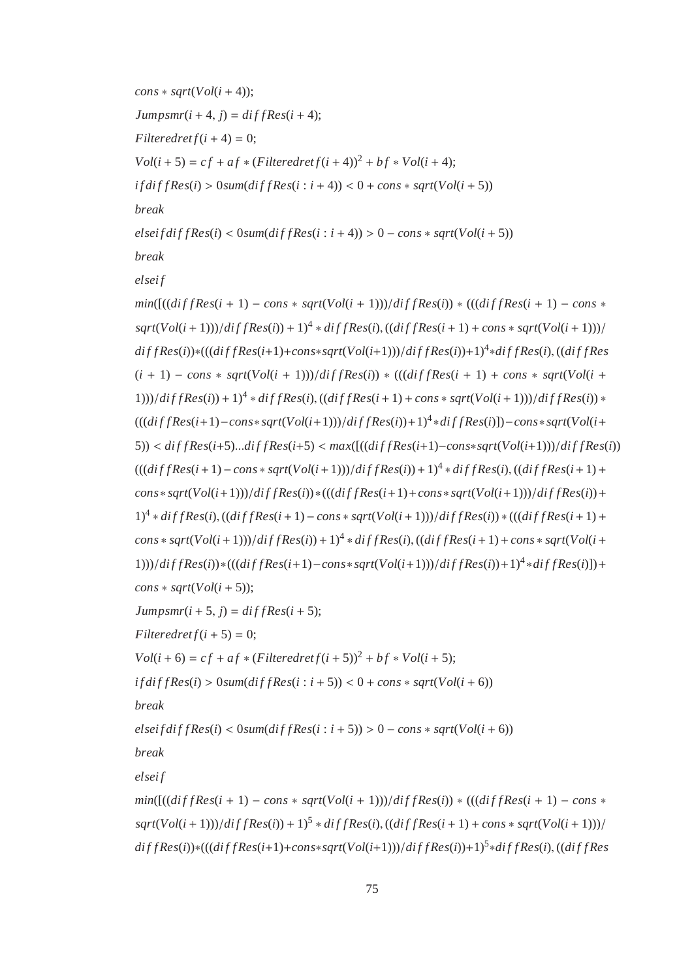$const * sqrt(Vol(i + 4));$  $Jumpsmr(i+4, j) = diffRes(i+4);$  $F{\textit{l}}\textit{t}$  *Filteredret*  $f(i+4) = 0$ ;  $Vol(i + 5) = cf + af * (Filteredref(i + 4))^2 + bf * Vol(i + 4);$  $if diffRes(i) > 0$ *sum*( $diffRes(i : i + 4)$ ) < 0 +  $cons * sqrt(Vol(i + 5))$ *break*  $e$ *lsei*  $f$ *di*  $f$   $f$ *Res*( $i$ ) < 0*sum*( $diff$ *Res*( $i$  :  $i + 4$ )) > 0 –  $cons * sqrt(Vol(i + 5))$ *break elsei f*  $min([(diffRes(i + 1) - cons * sqrt(Vol(i + 1)))/diffRes(i)) * (((diffRes(i + 1) - cons *$  $sqrt{Vol(i+1))}/diffRes(i) + 1)^{4}*diffRes(i), ((diffRes(i+1) + cons * sqrt(Vol(i+1)))/$ *di f f Res*(*i*))∗(((*di f f Res*(*i*+1)+*cons*∗*sqrt*(*Vol*(*i*+1)))/*di f f Res*(*i*))+1)<sup>4</sup> ∗*di f f Res*(*i*), ((*di f f Res*  $(i + 1) - \cos * \sqrt{\frac{sqrt{U}}{i + 1}}$ ))/ $diffRes(i)$  \*  $(((diffRes(i + 1) + \cos * \sqrt{\frac{sqrt{U}}{i + 1}}))$  $(1)$ ))/ $diffRes(i) + 1)^{4} * diffRes(i)$ ,  $((diffRes(i + 1) + const * sqrt(Vol(i + 1)))/diffRes(i) *$ (((*di f f Res*(*i*+1)−*cons*<sup>∗</sup> *sqrt*(*Vol*(*i*+1)))/*di f f Res*(*i*))+1)<sup>4</sup> ∗*di f f Res*(*i*)])−*cons*∗ *sqrt*(*Vol*(*i*+  $(5)$ ) <  $diffRes(i+5)...diffRes(i+5)$  <  $max([(diffRes(i+1)-cons*sqrt(Vol(i+1)))/diffRes(i))]$  $(((diffRes(i + 1) - cons * sqrt(Vol(i + 1)))/diffRes(i)) + 1)^{4} * diffRes(i), ((diffRes(i + 1) +$  $\frac{1}{\sqrt{2}}$  *cons*∗ *sqrt*( $Vol(i+1)$ ))/ $diffRes(i)$  \*((( $diffRes(i+1)$ + $cons$ \*  $sqrt{Vol(i+1)}$ ))/ $diffRes(i)$  +  $1)^4 * diffRes(i), ((diffRes(i + 1) - cons * sqrt(Vol(i + 1)))/diffRes(i)) * (((diffRes(i + 1) +$  $\frac{1}{2}$  *cons* \*  $sqrt{Vol(i+1))}/diffRes(i) + 1)^{4} * diffRes(i)$ ,  $((diffRes(i+1) + const * sqrt(Vol(i+1)))$ 1)))/*dif fRes*(*i*))∗(((*dif fRes*(*i*+1)−*cons*∗ *sqrt*( $Vol(i+1)$ ))/*dif fRes*(*i*))+1)<sup>4</sup> ∗*dif fRes*(*i*)])+  $const * sqrt(Vol(i + 5));$  $Jumpsmr(i+5, j) = diffRes(i+5);$  $F{\textit{ltered}ref(i+5)} = 0;$  $Vol(i + 6) = cf + af * (Filteredref(i + 5))^2 + bf * Vol(i + 5);$  $if diffRes(i) > 0$ *sum* $(dffRes(i : i + 5)) < 0 + const * sqrt(Vol(i + 6))$ *break*  $e$ *lsei*  $f$ *di*  $f$ *fRes*( $i$ ) < 0*sum*( $diff$ *Res*( $i$  :  $i$  + 5)) > 0 –  $cons$  \*  $sqrt{Vol(i + 6)}$ *break elsei f*  $min([(diffRes(i + 1) - cons * sqrt(Vol(i + 1)))/diffRes(i)) * (((diffRes(i + 1) - cons *$  $sqrt{Vol(i+1))}/diffRes(i) + 1)^5 * diffRes(i)$ ,  $((diffRes(i+1) + const * sqrtVol(i+1)))/$ *di f f Res*(*i*))∗(((*di f f Res*(*i*+1)+*cons*∗*sqrt*(*Vol*(*i*+1)))/*di f f Res*(*i*))+1)<sup>5</sup> ∗*di f f Res*(*i*), ((*di f f Res*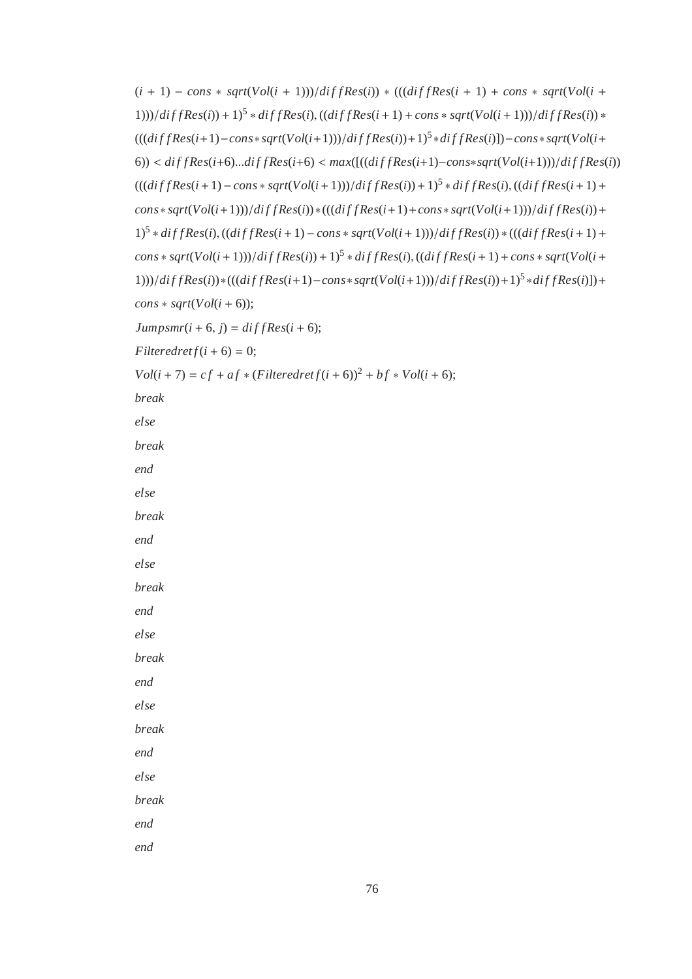$(i + 1) - \cos * \sqrt{\frac{Vol(i + 1)}{d}t}$  *f*  $fRes(i)$  \*  $(((diffRes(i + 1) + \cos * \sqrt{\frac{Vol(i + 1)}{d}t})$  $(1)$ ))/ $diffRes(i) + 1$ <sup>5</sup> \*  $diffRes(i)$ ,  $((diffRes(i + 1) + const * sqrt(Vol(i + 1)))/diffRes(i)$  \* (((*di f f Res*(*i*+1)−*cons*<sup>∗</sup> *sqrt*(*Vol*(*i*+1)))/*di f f Res*(*i*))+1)<sup>5</sup> ∗*di f f Res*(*i*)])−*cons*∗ *sqrt*(*Vol*(*i*+  $(6)$ ) <  $diffRes(i+6)...diffRes(i+6)$  <  $max([(diffRes(i+1)-cons*sqrt(Vol(i+1)))/diffRes(i))]$  $(((diffRes(i + 1) − cons * sqrt(Vol(i + 1)))/diffRes(i)) + 1)<sup>5</sup> * diffRes(i), ((diffRes(i + 1) +$  $cons*sqrt{Vol(i+1))}/di\ f\ f\ Res(i)) * (((dif\ f\ Res(i+1)+cons*sqrt{Vol(i+1)}))/di\ f\ Res(i)) +$  $1)^5 * diffRes(i), ((diffRes(i + 1) - cons * sqrt(Vol(i + 1)))/diffRes(i)) * (((diffRes(i + 1) +$  $\frac{1}{2}$  *cons* \*  $sqrt{Vol(i + 1)})/diffRes(i) + 1)^5 * diffRes(i)$ ,  $((diffRes(i + 1) + const * sqrt(Vol(i + 1)))$ 1)))/*di f f Res*(*i*))∗(((*di f f Res*(*i*+1)−*cons*<sup>∗</sup> *sqrt*(*Vol*(*i*+1)))/*di f f Res*(*i*))+1)<sup>5</sup> ∗*di f f Res*(*i*)])+  $const * sqrt(Vol(i + 6));$  $Jumpsmr(i + 6, i) = diffRes(i + 6);$  $Filteredret f(i+6) = 0$ ;  $Vol(i + 7) = cf + af * (Filteredref(i + 6))^2 + bf * Vol(i + 6);$ *break else break end else break end else break end else break end else break end else break end end*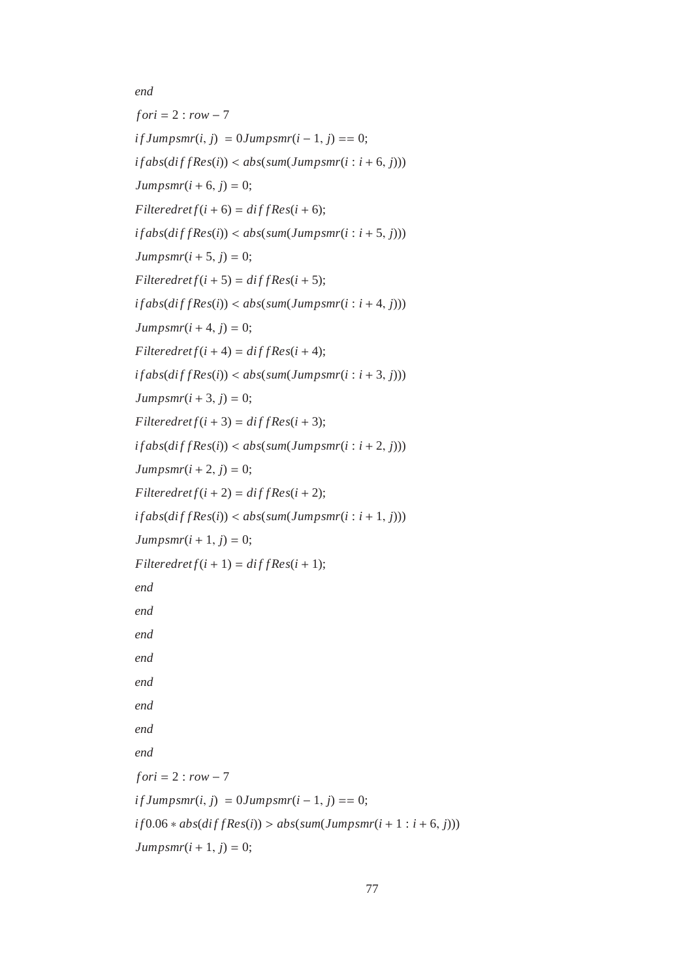```
end
fori = 2 : row - 7if \, \textit{Jumpsmr}(i, j) = 0 \, \textit{Jumpsmr}(i - 1, j) = 0;if abs(diffRes(i)) < abs(sum(Jumpsmr(i : i + 6, j)))Jumpsmr(i + 6, j) = 0;F{\text{}}\hat{f}(i+6) = \text{d}\hat{f}f\hat{f}Res(i + 6);
if abs(diffRes(i)) < abs(sum(Jumpsmr(i : i + 5, j)))Jumpsmr(i + 5, j) = 0;F{\text{}}l{\text{}}t{\text{}} Filteredret f(i+5) = \text{d}{\text{}}f{\text{}}{\text{}}f{\text{}}{R}\text{ }e{\text{}}s(i+5);
if abs(diffRes(i)) < abs(sum(Jumpsmr(i : i + 4, j)))Jumpsmr(i+4, j) = 0;F{\text{}}l{\text{}}t{\text{}} Filteredret f(i+4) = \text{d}{\text{}}f{\text{}}{\text{}}f{\text{}}{R}e{\text{}}s(i+4);if abs(diffRes(i)) < abs(sum(Jumpsmr(i : i + 3, j)))Jumpsmr(i+3, j) = 0;F{\textit{l}}\textit{t} Filteredret f(i+3) = \textit{diff} Res(i + 3);
if abs(diffRes(i)) < abs(sum(Jumpsmr(i : i + 2, j)))Jumpsmr(i + 2, j) = 0;F{\text{}}\hat{f}(i+2) = \text{d}\hat{f}f\hat{f}\hat{f}if abs(diffRes(i)) < abs(sum(Jumpsmr(i : i + 1, j)))Jumpsmr(i + 1, j) = 0;F{\text{}}\hat{f}(i+1) = \text{d}\hat{f}f\hat{f}Res(i+1);
end
end
end
end
end
end
end
end
f ori = 2 : row − 7
if \, \textit{Jumpsmr}(i, j) = 0 \, \textit{Jumpsmr}(i - 1, j) = 0;if 0.06 * abs(diffRes(i)) > abs(sum(Jumpsmr(i + 1 : i + 6, j)))Jumpsmr(i + 1, j) = 0;
```

```
77
```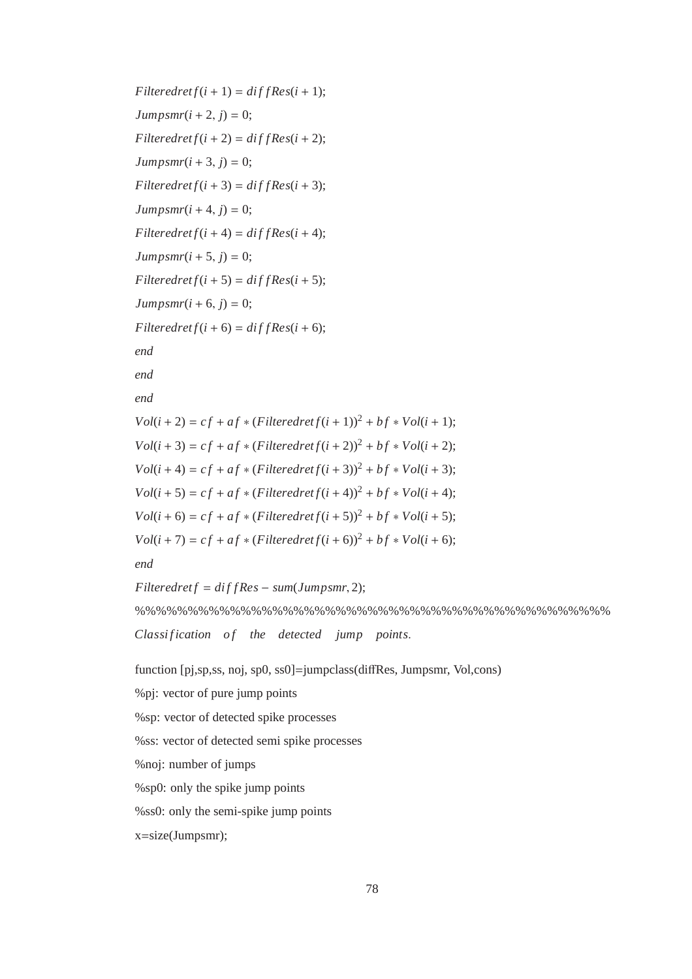```
F{\textit{l}}t Filteredret f(i + 1) = \textit{diff} Res(i + 1);
Jumpsmr(i + 2, i) = 0;
F{\text{}}\hat{f}(i+2) = \text{d}\hat{f}f\hat{f}Res(i + 2);
Jumpsmr(i+3, j) = 0;Finteredret f(i + 3) = diffRes(i + 3);Jumpsmr(i+4, j) = 0;F{\text{}}l{\text{}}t{\text{}} Filteredret f(i+4) = \text{d}{\text{}}f{\text{}}{\text{}}f{\text{}}{R}{\text{}}e{\text{}}s(i+4);Jumpsmr(i + 5, j) = 0;F{\textit{ltered}ret}(i+5) = \textit{diffRes}(i+5);Jumpsmr(i + 6, i) = 0;
F{\textit{l}}t Filteredret f(i+6) = \textit{diff} Res(i+6);
end
end
end
Vol(i + 2) = cf + af * (Filteredref(i + 1))^{2} + bf * Vol(i + 1);Vol(i + 3) = cf + af * (Filteredref(i + 2))^2 + bf * Vol(i + 2);Vol(i + 4) = cf + af * (Filteredref(i + 3))^2 + bf * Vol(i + 3);Vol(i + 5) = cf + af * (Filteredref(i + 4))^2 + bf * Vol(i + 4);Vol(i + 6) = cf + af * (Filteredref(i + 5))^2 + bf * Vol(i + 5);Vol(i + 7) = cf + af * (Filteredref(i + 6))^2 + bf * Vol(i + 6);end
```

```
Filteredref = diffRes - sum(Jumpsmr, 2);%%%%%%%%%%%%%%%%%%%%%%%%%%%%%%%%%%%%%%%%%%%%%
Classification of the detected jump points.
```
function [pj,sp,ss, noj, sp0, ss0]=jumpclass(diffRes, Jumpsmr, Vol,cons)

%pj: vector of pure jump points

%sp: vector of detected spike processes

%ss: vector of detected semi spike processes

%noj: number of jumps

%sp0: only the spike jump points

%ss0: only the semi-spike jump points

x=size(Jumpsmr);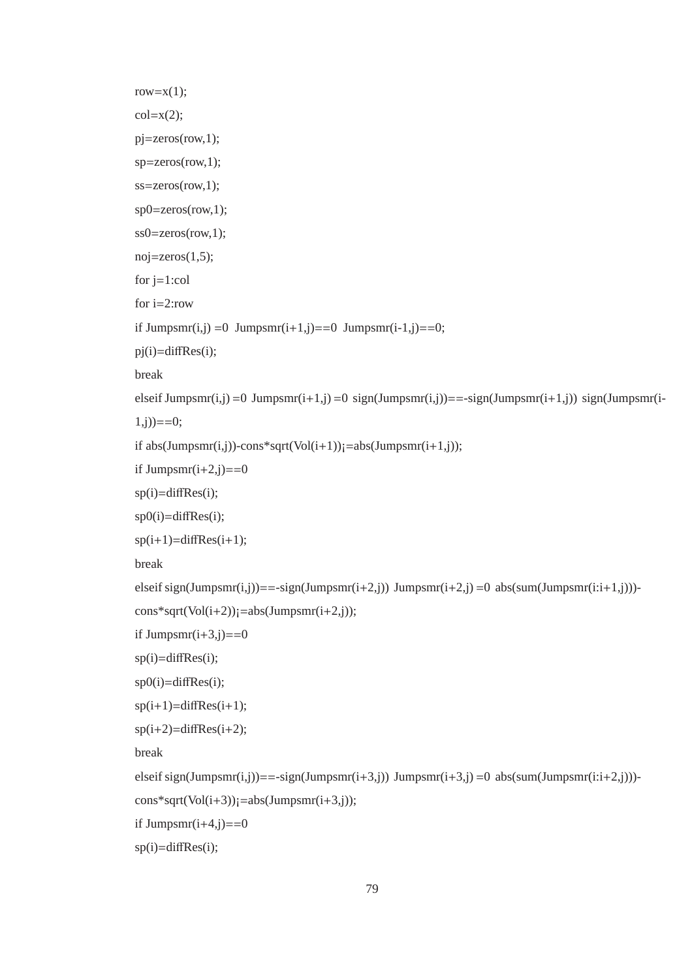```
row=x(1);
col=x(2);
pj=zeros(row,1);
sp=zeros(row,1);
ss=zeros(row,1);
sp0=zeros(row,1);
ss0=zeros(row,1);
noj=zeros(1,5);for j=1:col
for i=2:row
if Jumpsmr(i,j) =0 Jumpsmr(i+1,j)==0 Jumpsmr(i-1,j)==0;
pi(i)=diffRes(i);break
elseif Jumpsmr(i,j) =0 Jumpsmr(i+1,j) =0 sign(Jumpsmr(i,j)) = = -sign(Jumpsmr(i+1,j)) sign(Jumpsmr(i-
(1,i)) == 0;if abs(Jumpsmr(i,j))-cons*sqrt(Vol(i+1))j=abs(Jumpsmr(i+1,j));if Jumpsmr(i+2,j)==0
sp(i)=diffRes(i);
sp0(i)=diffRes(i);
sp(i+1)=diffRes(i+1);break
elseif sign(Jumpsmr(i,j))==-sign(Jumpsmr(i+2,j)) Jumpsmr(i+2,j) =0 abs(sum(Jumpsmr(i:i+1,j)))-
cons*sqrt(Vol(i+2)); =abs(Jumpsmr(i+2,j));
if Jumpsmr(i+3,j)==0
sp(i)=diffRes(i);sp0(i)=diffRes(i);sp(i+1)=diffRes(i+1);sp(i+2)=diffRes(i+2);break
elseif sign(Jumpsmr(i,j))==-sign(Jumpsmr(i+3,j)) Jumpsmr(i+3,j) =0 abs(sum(Jumpsmr(i:i+2,j)))-
cons*sqrt(Vol(i+3)); =abs(Jumpsmr(i+3,j));
if Jumpsmr(i+4,j)==0
sp(i)=diffRes(i);
```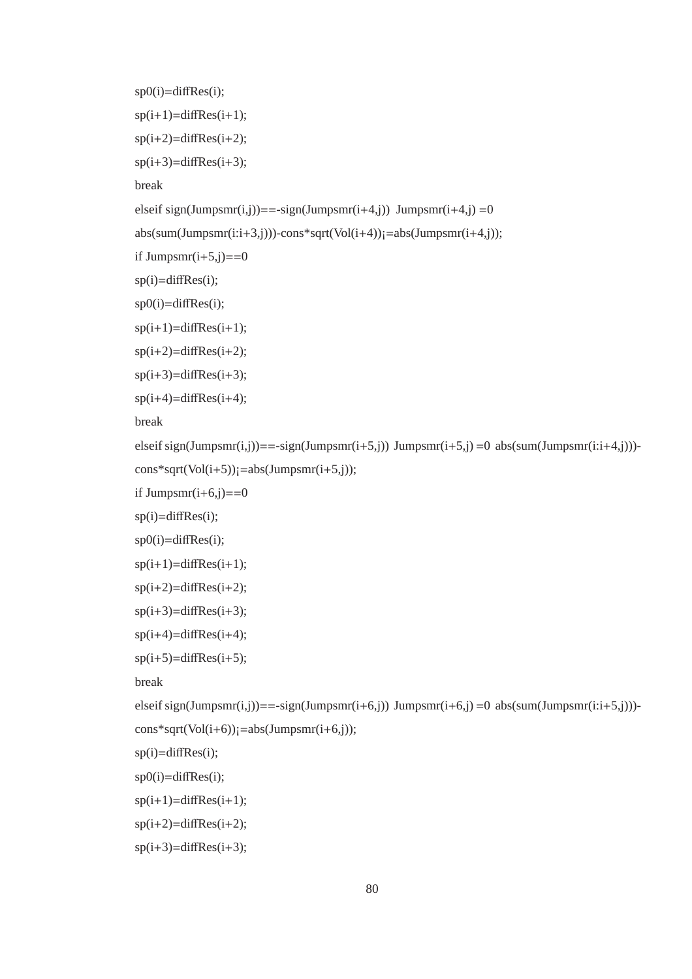```
sp0(i)=diffRes(i);sp(i+1)=diffRes(i+1);sp(i+2)=diffRes(i+2);sp(i+3)=diffRes(i+3);break
elseif sign(Jumpsmr(i,j))==-sign(Jumpsmr(i+4,j)) Jumpsmr(i+4,j) =0
abs(sum(Jumpsmr(i:i+3,j)))-cons*sqrt(Vol(i+4))j=abs(Jumpsmr(i+4,j));if Jumpsmr(i+5,j)==0
sp(i)=diffRes(i);sp0(i)=diffRes(i);sp(i+1)=diffRes(i+1);sp(i+2)=diffRes(i+2);sp(i+3)=diffRes(i+3);sp(i+4)=diffRes(i+4);break
elseif sign(Jumpsmr(i,j))==-sign(Jumpsmr(i+5,j)) Jumpsmr(i+5,j) =0 abs(sum(Jumpsmr(i:i+4,j)))-
cons*sqrt(Vol(i+5)); =abs(Jumpsmr(i+5,j));
if Jumpsmr(i+6,j)==0
sp(i)=diffRes(i);
sp0(i)=diffRes(i);sp(i+1)=diffRes(i+1);sp(i+2)=diffRes(i+2);sp(i+3)=diffRes(i+3);sp(i+4)=diffRes(i+4);sp(i+5)=diffRes(i+5);break
elseif sign(Jumpsmr(i,j))==-sign(Jumpsmr(i+6,j)) Jumpsmr(i+6,j) =0 abs(sum(Jumpsmr(i:i+5,j)))-
cons*sqrt(Vol(i+6)); =abs(Jumpsmr(i+6,j));
sp(i)=diffRes(i);
sp0(i)=diffRes(i);sp(i+1)=diffRes(i+1);sp(i+2)=diffRes(i+2);
```
 $sp(i+3)=diffRes(i+3);$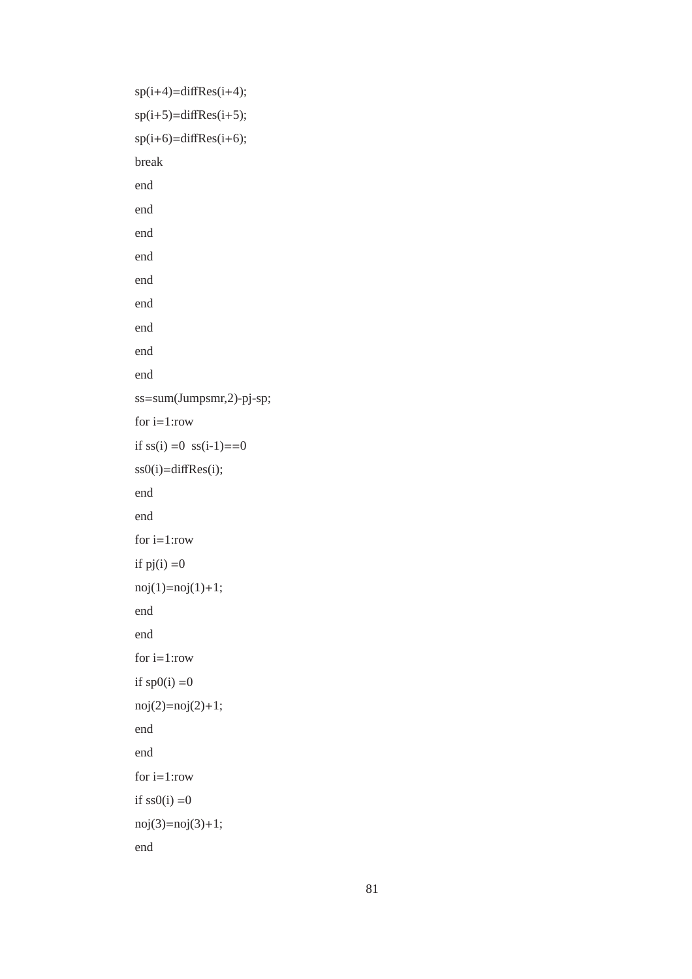```
sp(i+4)=diffRes(i+4);sp(i+5)=diffRes(i+5);sp(i+6)=diffRes(i+6);break
end
end
end
end
end
end
end
end
end
ss=sum(Jumpsmr,2)-pj-sp;
for i=1:row
if ss(i) = 0 ss(i-1) = 0ss0(i)=diffRes(i);
end
end
for i=1:row
if pj(i) = 0noj(1)=noj(1)+1;end
end
for i=1:rowif sp0(i) = 0noj(2)=noj(2)+1;end
end
for i=1:rowif ss0(i) = 0noj(3)=noj(3)+1;end
```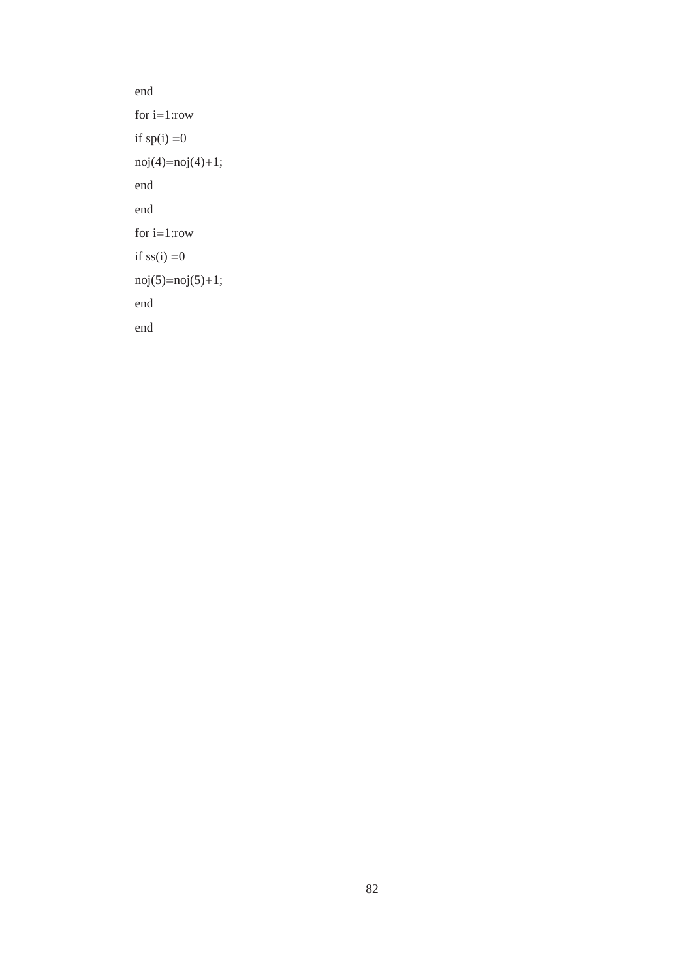```
end
for i=1:row
if sp(i) = 0noj(4)=noj(4)+1;end
end
for i=1:row
if ss(i) = 0noj(5)=noj(5)+1;end
end
```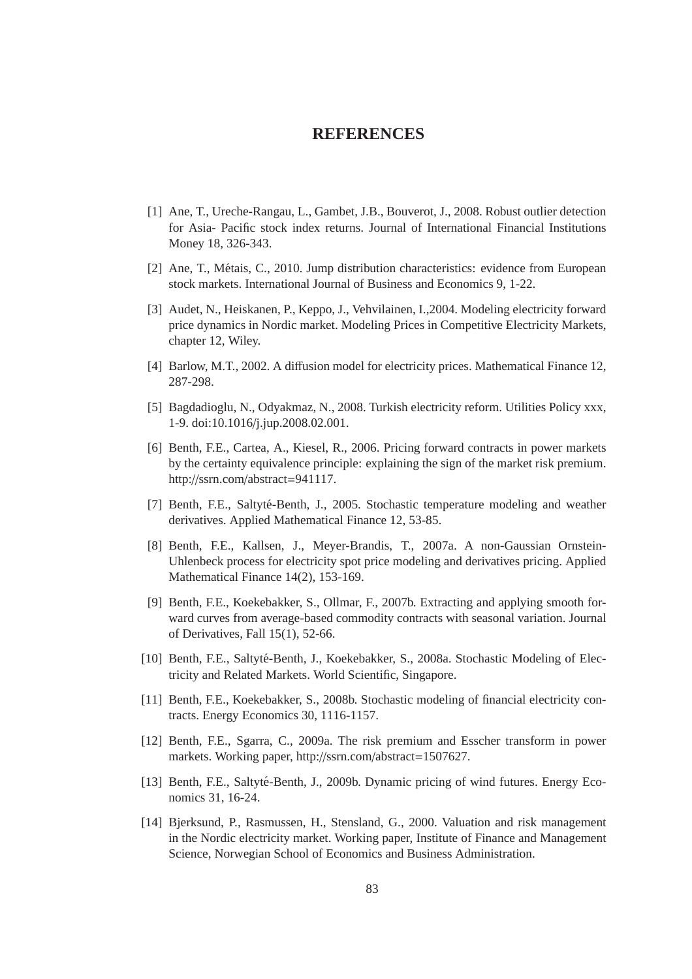#### **REFERENCES**

- [1] Ane, T., Ureche-Rangau, L., Gambet, J.B., Bouverot, J., 2008. Robust outlier detection for Asia- Pacific stock index returns. Journal of International Financial Institutions Money 18, 326-343.
- [2] Ane, T., Métais, C., 2010. Jump distribution characteristics: evidence from European stock markets. International Journal of Business and Economics 9, 1-22.
- [3] Audet, N., Heiskanen, P., Keppo, J., Vehvilainen, I.,2004. Modeling electricity forward price dynamics in Nordic market. Modeling Prices in Competitive Electricity Markets, chapter 12, Wiley.
- [4] Barlow, M.T., 2002. A diffusion model for electricity prices. Mathematical Finance 12, 287-298.
- [5] Bagdadioglu, N., Odyakmaz, N., 2008. Turkish electricity reform. Utilities Policy xxx, 1-9. doi:10.1016/j.jup.2008.02.001.
- [6] Benth, F.E., Cartea, A., Kiesel, R., 2006. Pricing forward contracts in power markets by the certainty equivalence principle: explaining the sign of the market risk premium. http://ssrn.com/abstract=941117.
- [7] Benth, F.E., Saltyté-Benth, J., 2005. Stochastic temperature modeling and weather derivatives. Applied Mathematical Finance 12, 53-85.
- [8] Benth, F.E., Kallsen, J., Meyer-Brandis, T., 2007a. A non-Gaussian Ornstein-Uhlenbeck process for electricity spot price modeling and derivatives pricing. Applied Mathematical Finance 14(2), 153-169.
- [9] Benth, F.E., Koekebakker, S., Ollmar, F., 2007b. Extracting and applying smooth forward curves from average-based commodity contracts with seasonal variation. Journal of Derivatives, Fall 15(1), 52-66.
- [10] Benth, F.E., Saltyté-Benth, J., Koekebakker, S., 2008a. Stochastic Modeling of Electricity and Related Markets. World Scientific, Singapore.
- [11] Benth, F.E., Koekebakker, S., 2008b. Stochastic modeling of financial electricity contracts. Energy Economics 30, 1116-1157.
- [12] Benth, F.E., Sgarra, C., 2009a. The risk premium and Esscher transform in power markets. Working paper, http://ssrn.com/abstract=1507627.
- [13] Benth, F.E., Saltyté-Benth, J., 2009b. Dynamic pricing of wind futures. Energy Economics 31, 16-24.
- [14] Bjerksund, P., Rasmussen, H., Stensland, G., 2000. Valuation and risk management in the Nordic electricity market. Working paper, Institute of Finance and Management Science, Norwegian School of Economics and Business Administration.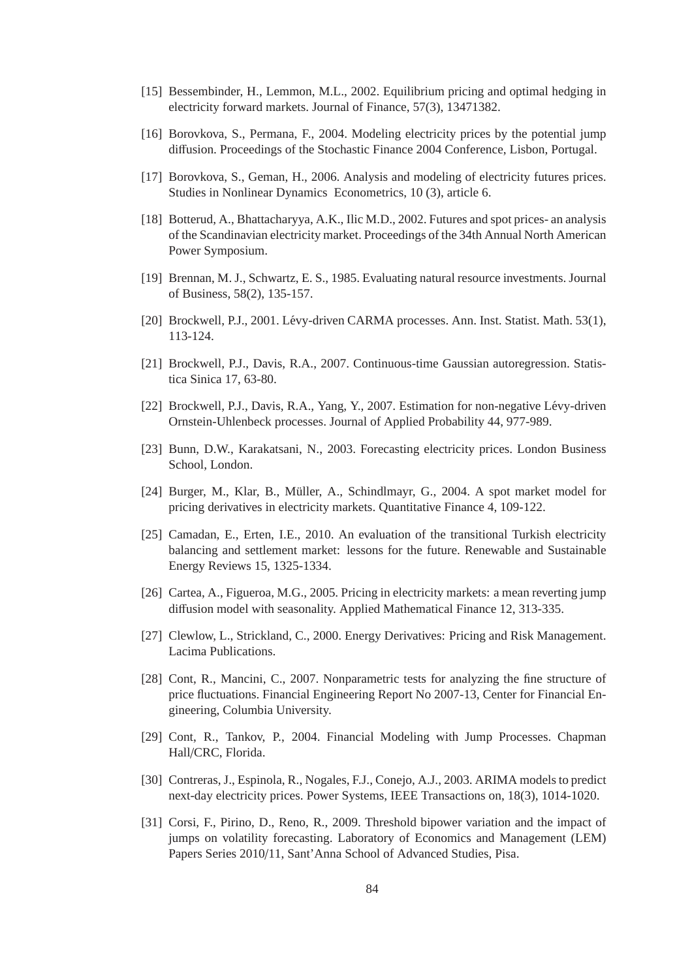- [15] Bessembinder, H., Lemmon, M.L., 2002. Equilibrium pricing and optimal hedging in electricity forward markets. Journal of Finance, 57(3), 13471382.
- [16] Borovkova, S., Permana, F., 2004. Modeling electricity prices by the potential jump diffusion. Proceedings of the Stochastic Finance 2004 Conference, Lisbon, Portugal.
- [17] Borovkova, S., Geman, H., 2006. Analysis and modeling of electricity futures prices. Studies in Nonlinear Dynamics Econometrics, 10 (3), article 6.
- [18] Botterud, A., Bhattacharyya, A.K., Ilic M.D., 2002. Futures and spot prices- an analysis of the Scandinavian electricity market. Proceedings of the 34th Annual North American Power Symposium.
- [19] Brennan, M. J., Schwartz, E. S., 1985. Evaluating natural resource investments. Journal of Business, 58(2), 135-157.
- [20] Brockwell, P.J., 2001. Lévy-driven CARMA processes. Ann. Inst. Statist. Math. 53(1), 113-124.
- [21] Brockwell, P.J., Davis, R.A., 2007. Continuous-time Gaussian autoregression. Statistica Sinica 17, 63-80.
- [22] Brockwell, P.J., Davis, R.A., Yang, Y., 2007. Estimation for non-negative Lévy-driven Ornstein-Uhlenbeck processes. Journal of Applied Probability 44, 977-989.
- [23] Bunn, D.W., Karakatsani, N., 2003. Forecasting electricity prices. London Business School, London.
- [24] Burger, M., Klar, B., Müller, A., Schindlmayr, G., 2004. A spot market model for pricing derivatives in electricity markets. Quantitative Finance 4, 109-122.
- [25] Camadan, E., Erten, I.E., 2010. An evaluation of the transitional Turkish electricity balancing and settlement market: lessons for the future. Renewable and Sustainable Energy Reviews 15, 1325-1334.
- [26] Cartea, A., Figueroa, M.G., 2005. Pricing in electricity markets: a mean reverting jump diffusion model with seasonality. Applied Mathematical Finance 12, 313-335.
- [27] Clewlow, L., Strickland, C., 2000. Energy Derivatives: Pricing and Risk Management. Lacima Publications.
- [28] Cont, R., Mancini, C., 2007. Nonparametric tests for analyzing the fine structure of price fluctuations. Financial Engineering Report No 2007-13, Center for Financial Engineering, Columbia University.
- [29] Cont, R., Tankov, P., 2004. Financial Modeling with Jump Processes. Chapman Hall/CRC, Florida.
- [30] Contreras, J., Espinola, R., Nogales, F.J., Conejo, A.J., 2003. ARIMA models to predict next-day electricity prices. Power Systems, IEEE Transactions on, 18(3), 1014-1020.
- [31] Corsi, F., Pirino, D., Reno, R., 2009. Threshold bipower variation and the impact of jumps on volatility forecasting. Laboratory of Economics and Management (LEM) Papers Series 2010/11, Sant'Anna School of Advanced Studies, Pisa.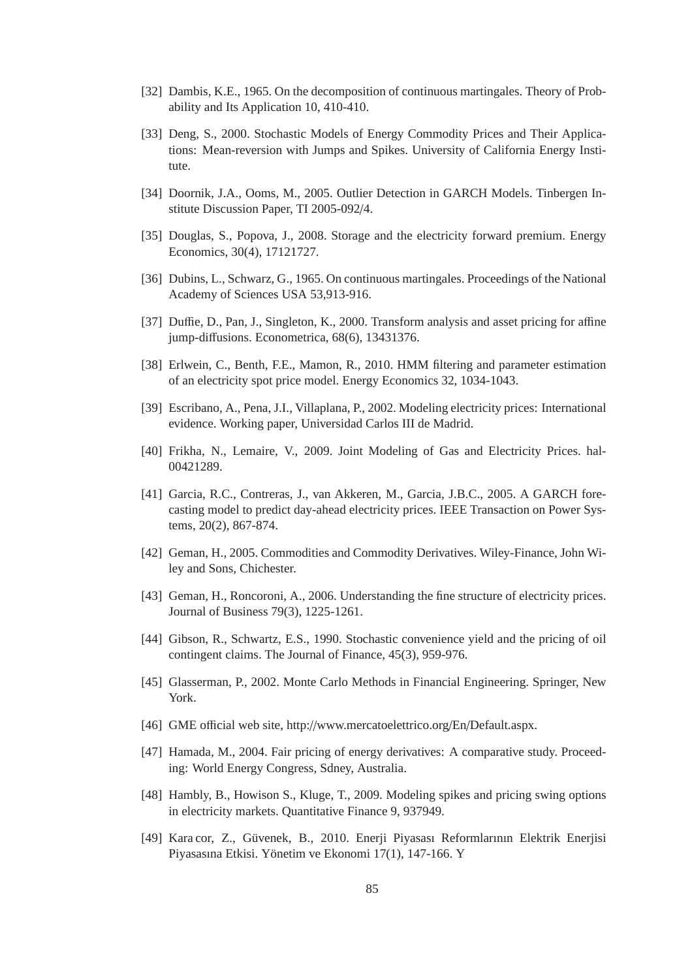- [32] Dambis, K.E., 1965. On the decomposition of continuous martingales. Theory of Probability and Its Application 10, 410-410.
- [33] Deng, S., 2000. Stochastic Models of Energy Commodity Prices and Their Applications: Mean-reversion with Jumps and Spikes. University of California Energy Institute.
- [34] Doornik, J.A., Ooms, M., 2005. Outlier Detection in GARCH Models. Tinbergen Institute Discussion Paper, TI 2005-092/4.
- [35] Douglas, S., Popova, J., 2008. Storage and the electricity forward premium. Energy Economics, 30(4), 17121727.
- [36] Dubins, L., Schwarz, G., 1965. On continuous martingales. Proceedings of the National Academy of Sciences USA 53,913-916.
- [37] Duffie, D., Pan, J., Singleton, K., 2000. Transform analysis and asset pricing for affine jump-diffusions. Econometrica, 68(6), 13431376.
- [38] Erlwein, C., Benth, F.E., Mamon, R., 2010. HMM filtering and parameter estimation of an electricity spot price model. Energy Economics 32, 1034-1043.
- [39] Escribano, A., Pena, J.I., Villaplana, P., 2002. Modeling electricity prices: International evidence. Working paper, Universidad Carlos III de Madrid.
- [40] Frikha, N., Lemaire, V., 2009. Joint Modeling of Gas and Electricity Prices. hal-00421289.
- [41] Garcia, R.C., Contreras, J., van Akkeren, M., Garcia, J.B.C., 2005. A GARCH forecasting model to predict day-ahead electricity prices. IEEE Transaction on Power Systems, 20(2), 867-874.
- [42] Geman, H., 2005. Commodities and Commodity Derivatives. Wiley-Finance, John Wiley and Sons, Chichester.
- [43] Geman, H., Roncoroni, A., 2006. Understanding the fine structure of electricity prices. Journal of Business 79(3), 1225-1261.
- [44] Gibson, R., Schwartz, E.S., 1990. Stochastic convenience yield and the pricing of oil contingent claims. The Journal of Finance, 45(3), 959-976.
- [45] Glasserman, P., 2002. Monte Carlo Methods in Financial Engineering. Springer, New York.
- [46] GME official web site, http://www.mercatoelettrico.org/En/Default.aspx.
- [47] Hamada, M., 2004. Fair pricing of energy derivatives: A comparative study. Proceeding: World Energy Congress, Sdney, Australia.
- [48] Hambly, B., Howison S., Kluge, T., 2009. Modeling spikes and pricing swing options in electricity markets. Quantitative Finance 9, 937949.
- [49] Kara cor, Z., Guvenek, B., 2010. Enerji Piyasası Reformlarının Elektrik Enerjisi ¨ Piyasasına Etkisi. Yönetim ve Ekonomi 17(1), 147-166. Y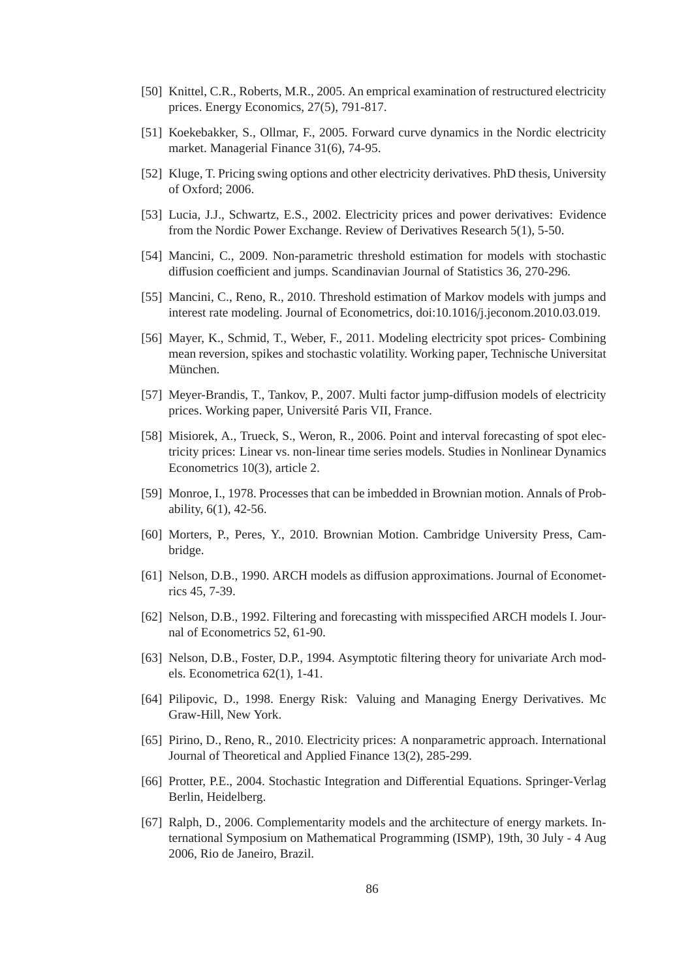- [50] Knittel, C.R., Roberts, M.R., 2005. An emprical examination of restructured electricity prices. Energy Economics, 27(5), 791-817.
- [51] Koekebakker, S., Ollmar, F., 2005. Forward curve dynamics in the Nordic electricity market. Managerial Finance 31(6), 74-95.
- [52] Kluge, T. Pricing swing options and other electricity derivatives. PhD thesis, University of Oxford; 2006.
- [53] Lucia, J.J., Schwartz, E.S., 2002. Electricity prices and power derivatives: Evidence from the Nordic Power Exchange. Review of Derivatives Research 5(1), 5-50.
- [54] Mancini, C., 2009. Non-parametric threshold estimation for models with stochastic diffusion coefficient and jumps. Scandinavian Journal of Statistics 36, 270-296.
- [55] Mancini, C., Reno, R., 2010. Threshold estimation of Markov models with jumps and interest rate modeling. Journal of Econometrics, doi:10.1016/j.jeconom.2010.03.019.
- [56] Mayer, K., Schmid, T., Weber, F., 2011. Modeling electricity spot prices- Combining mean reversion, spikes and stochastic volatility. Working paper, Technische Universitat München.
- [57] Meyer-Brandis, T., Tankov, P., 2007. Multi factor jump-diffusion models of electricity prices. Working paper, Universite Paris VII, France. ´
- [58] Misiorek, A., Trueck, S., Weron, R., 2006. Point and interval forecasting of spot electricity prices: Linear vs. non-linear time series models. Studies in Nonlinear Dynamics Econometrics 10(3), article 2.
- [59] Monroe, I., 1978. Processes that can be imbedded in Brownian motion. Annals of Probability, 6(1), 42-56.
- [60] Morters, P., Peres, Y., 2010. Brownian Motion. Cambridge University Press, Cambridge.
- [61] Nelson, D.B., 1990. ARCH models as diffusion approximations. Journal of Econometrics 45, 7-39.
- [62] Nelson, D.B., 1992. Filtering and forecasting with misspecified ARCH models I. Journal of Econometrics 52, 61-90.
- [63] Nelson, D.B., Foster, D.P., 1994. Asymptotic filtering theory for univariate Arch models. Econometrica 62(1), 1-41.
- [64] Pilipovic, D., 1998. Energy Risk: Valuing and Managing Energy Derivatives. Mc Graw-Hill, New York.
- [65] Pirino, D., Reno, R., 2010. Electricity prices: A nonparametric approach. International Journal of Theoretical and Applied Finance 13(2), 285-299.
- [66] Protter, P.E., 2004. Stochastic Integration and Differential Equations. Springer-Verlag Berlin, Heidelberg.
- [67] Ralph, D., 2006. Complementarity models and the architecture of energy markets. International Symposium on Mathematical Programming (ISMP), 19th, 30 July - 4 Aug 2006, Rio de Janeiro, Brazil.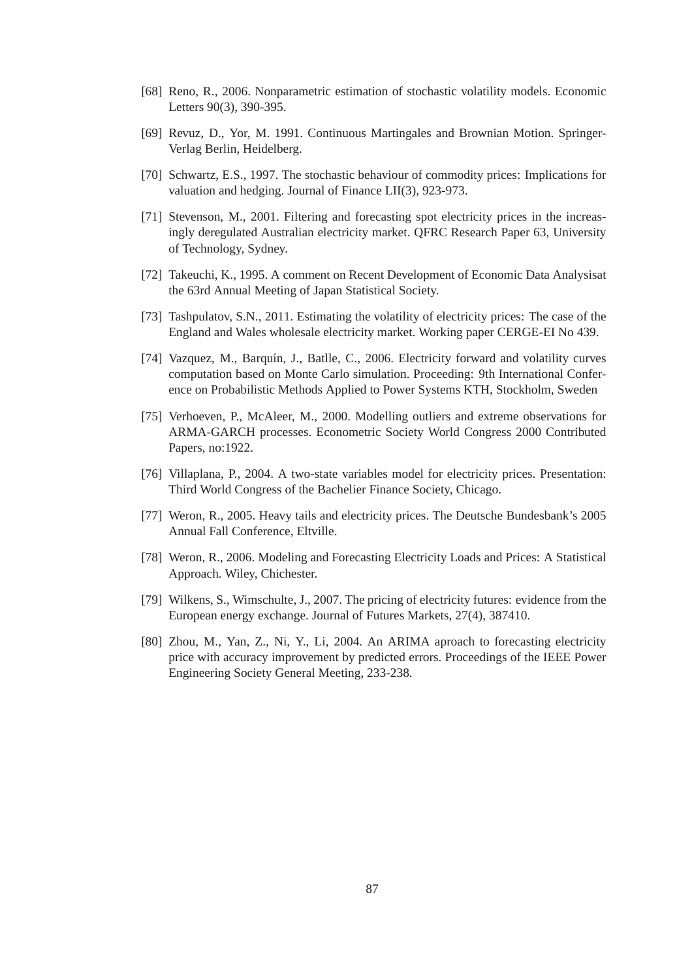- [68] Reno, R., 2006. Nonparametric estimation of stochastic volatility models. Economic Letters 90(3), 390-395.
- [69] Revuz, D., Yor, M. 1991. Continuous Martingales and Brownian Motion. Springer-Verlag Berlin, Heidelberg.
- [70] Schwartz, E.S., 1997. The stochastic behaviour of commodity prices: Implications for valuation and hedging. Journal of Finance LII(3), 923-973.
- [71] Stevenson, M., 2001. Filtering and forecasting spot electricity prices in the increasingly deregulated Australian electricity market. QFRC Research Paper 63, University of Technology, Sydney.
- [72] Takeuchi, K., 1995. A comment on Recent Development of Economic Data Analysisat the 63rd Annual Meeting of Japan Statistical Society.
- [73] Tashpulatov, S.N., 2011. Estimating the volatility of electricity prices: The case of the England and Wales wholesale electricity market. Working paper CERGE-EI No 439.
- [74] Vazquez, M., Barquín, J., Batlle, C., 2006. Electricity forward and volatility curves computation based on Monte Carlo simulation. Proceeding: 9th International Conference on Probabilistic Methods Applied to Power Systems KTH, Stockholm, Sweden
- [75] Verhoeven, P., McAleer, M., 2000. Modelling outliers and extreme observations for ARMA-GARCH processes. Econometric Society World Congress 2000 Contributed Papers, no:1922.
- [76] Villaplana, P., 2004. A two-state variables model for electricity prices. Presentation: Third World Congress of the Bachelier Finance Society, Chicago.
- [77] Weron, R., 2005. Heavy tails and electricity prices. The Deutsche Bundesbank's 2005 Annual Fall Conference, Eltville.
- [78] Weron, R., 2006. Modeling and Forecasting Electricity Loads and Prices: A Statistical Approach. Wiley, Chichester.
- [79] Wilkens, S., Wimschulte, J., 2007. The pricing of electricity futures: evidence from the European energy exchange. Journal of Futures Markets, 27(4), 387410.
- [80] Zhou, M., Yan, Z., Ni, Y., Li, 2004. An ARIMA aproach to forecasting electricity price with accuracy improvement by predicted errors. Proceedings of the IEEE Power Engineering Society General Meeting, 233-238.